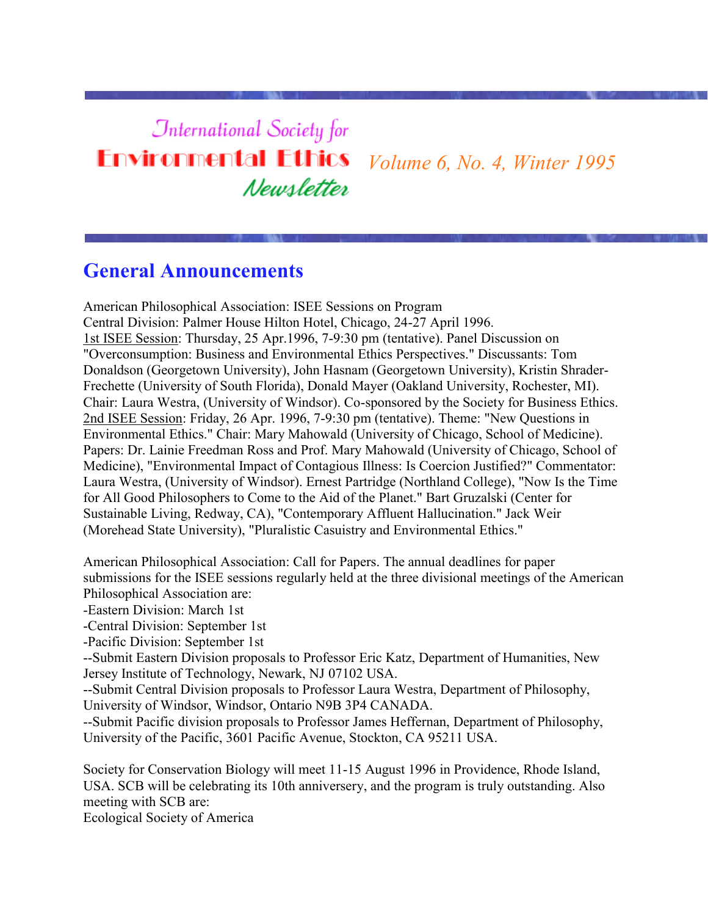## **International Society for Environmental Ethics** *Volume 6, No. 4, Winter 1995* Newsletter

## **General Announcements**

American Philosophical Association: ISEE Sessions on Program Central Division: Palmer House Hilton Hotel, Chicago, 24-27 April 1996. 1st ISEE Session: Thursday, 25 Apr.1996, 7-9:30 pm (tentative). Panel Discussion on "Overconsumption: Business and Environmental Ethics Perspectives." Discussants: Tom Donaldson (Georgetown University), John Hasnam (Georgetown University), Kristin Shrader-Frechette (University of South Florida), Donald Mayer (Oakland University, Rochester, MI). Chair: Laura Westra, (University of Windsor). Co-sponsored by the Society for Business Ethics. 2nd ISEE Session: Friday, 26 Apr. 1996, 7-9:30 pm (tentative). Theme: "New Questions in Environmental Ethics." Chair: Mary Mahowald (University of Chicago, School of Medicine). Papers: Dr. Lainie Freedman Ross and Prof. Mary Mahowald (University of Chicago, School of Medicine), "Environmental Impact of Contagious Illness: Is Coercion Justified?" Commentator: Laura Westra, (University of Windsor). Ernest Partridge (Northland College), "Now Is the Time for All Good Philosophers to Come to the Aid of the Planet." Bart Gruzalski (Center for Sustainable Living, Redway, CA), "Contemporary Affluent Hallucination." Jack Weir (Morehead State University), "Pluralistic Casuistry and Environmental Ethics."

American Philosophical Association: Call for Papers. The annual deadlines for paper submissions for the ISEE sessions regularly held at the three divisional meetings of the American Philosophical Association are:

-Eastern Division: March 1st

-Central Division: September 1st

-Pacific Division: September 1st

--Submit Eastern Division proposals to Professor Eric Katz, Department of Humanities, New Jersey Institute of Technology, Newark, NJ 07102 USA.

--Submit Central Division proposals to Professor Laura Westra, Department of Philosophy, University of Windsor, Windsor, Ontario N9B 3P4 CANADA.

--Submit Pacific division proposals to Professor James Heffernan, Department of Philosophy, University of the Pacific, 3601 Pacific Avenue, Stockton, CA 95211 USA.

Society for Conservation Biology will meet 11-15 August 1996 in Providence, Rhode Island, USA. SCB will be celebrating its 10th anniversery, and the program is truly outstanding. Also meeting with SCB are:

Ecological Society of America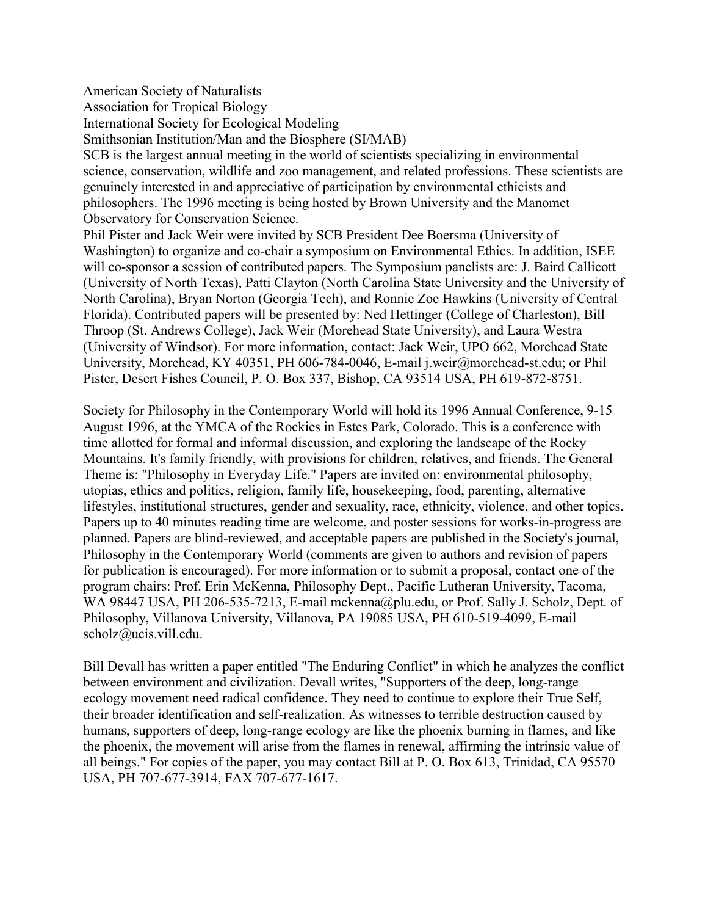American Society of Naturalists

Association for Tropical Biology

International Society for Ecological Modeling

Smithsonian Institution/Man and the Biosphere (SI/MAB)

SCB is the largest annual meeting in the world of scientists specializing in environmental science, conservation, wildlife and zoo management, and related professions. These scientists are genuinely interested in and appreciative of participation by environmental ethicists and philosophers. The 1996 meeting is being hosted by Brown University and the Manomet Observatory for Conservation Science.

Phil Pister and Jack Weir were invited by SCB President Dee Boersma (University of Washington) to organize and co-chair a symposium on Environmental Ethics. In addition, ISEE will co-sponsor a session of contributed papers. The Symposium panelists are: J. Baird Callicott (University of North Texas), Patti Clayton (North Carolina State University and the University of North Carolina), Bryan Norton (Georgia Tech), and Ronnie Zoe Hawkins (University of Central Florida). Contributed papers will be presented by: Ned Hettinger (College of Charleston), Bill Throop (St. Andrews College), Jack Weir (Morehead State University), and Laura Westra (University of Windsor). For more information, contact: Jack Weir, UPO 662, Morehead State University, Morehead, KY 40351, PH 606-784-0046, E-mail j.weir@morehead-st.edu; or Phil Pister, Desert Fishes Council, P. O. Box 337, Bishop, CA 93514 USA, PH 619-872-8751.

Society for Philosophy in the Contemporary World will hold its 1996 Annual Conference, 9-15 August 1996, at the YMCA of the Rockies in Estes Park, Colorado. This is a conference with time allotted for formal and informal discussion, and exploring the landscape of the Rocky Mountains. It's family friendly, with provisions for children, relatives, and friends. The General Theme is: "Philosophy in Everyday Life." Papers are invited on: environmental philosophy, utopias, ethics and politics, religion, family life, housekeeping, food, parenting, alternative lifestyles, institutional structures, gender and sexuality, race, ethnicity, violence, and other topics. Papers up to 40 minutes reading time are welcome, and poster sessions for works-in-progress are planned. Papers are blind-reviewed, and acceptable papers are published in the Society's journal, Philosophy in the Contemporary World (comments are given to authors and revision of papers for publication is encouraged). For more information or to submit a proposal, contact one of the program chairs: Prof. Erin McKenna, Philosophy Dept., Pacific Lutheran University, Tacoma, WA 98447 USA, PH 206-535-7213, E-mail mckenna@plu.edu, or Prof. Sally J. Scholz, Dept. of Philosophy, Villanova University, Villanova, PA 19085 USA, PH 610-519-4099, E-mail scholz@ucis.vill.edu.

Bill Devall has written a paper entitled "The Enduring Conflict" in which he analyzes the conflict between environment and civilization. Devall writes, "Supporters of the deep, long-range ecology movement need radical confidence. They need to continue to explore their True Self, their broader identification and self-realization. As witnesses to terrible destruction caused by humans, supporters of deep, long-range ecology are like the phoenix burning in flames, and like the phoenix, the movement will arise from the flames in renewal, affirming the intrinsic value of all beings." For copies of the paper, you may contact Bill at P. O. Box 613, Trinidad, CA 95570 USA, PH 707-677-3914, FAX 707-677-1617.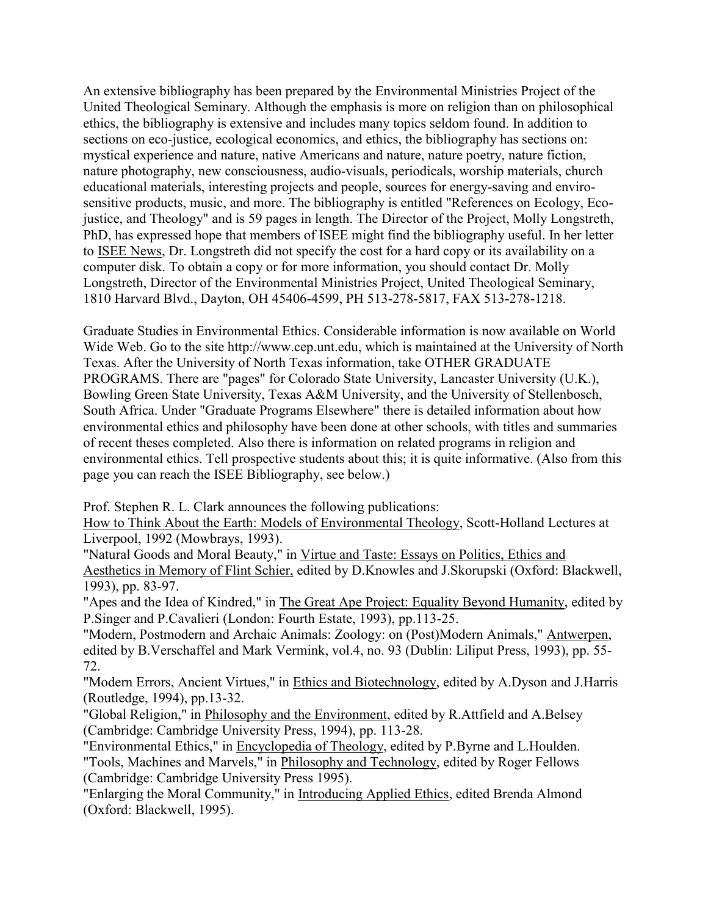An extensive bibliography has been prepared by the Environmental Ministries Project of the United Theological Seminary. Although the emphasis is more on religion than on philosophical ethics, the bibliography is extensive and includes many topics seldom found. In addition to sections on eco-justice, ecological economics, and ethics, the bibliography has sections on: mystical experience and nature, native Americans and nature, nature poetry, nature fiction, nature photography, new consciousness, audio-visuals, periodicals, worship materials, church educational materials, interesting projects and people, sources for energy-saving and envirosensitive products, music, and more. The bibliography is entitled "References on Ecology, Ecojustice, and Theology" and is 59 pages in length. The Director of the Project, Molly Longstreth, PhD, has expressed hope that members of ISEE might find the bibliography useful. In her letter to ISEE News, Dr. Longstreth did not specify the cost for a hard copy or its availability on a computer disk. To obtain a copy or for more information, you should contact Dr. Molly Longstreth, Director of the Environmental Ministries Project, United Theological Seminary, 1810 Harvard Blvd., Dayton, OH 45406-4599, PH 513-278-5817, FAX 513-278-1218.

Graduate Studies in Environmental Ethics. Considerable information is now available on World Wide Web. Go to the site http://www.cep.unt.edu, which is maintained at the University of North Texas. After the University of North Texas information, take OTHER GRADUATE PROGRAMS. There are "pages" for Colorado State University, Lancaster University (U.K.), Bowling Green State University, Texas A&M University, and the University of Stellenbosch, South Africa. Under "Graduate Programs Elsewhere" there is detailed information about how environmental ethics and philosophy have been done at other schools, with titles and summaries of recent theses completed. Also there is information on related programs in religion and environmental ethics. Tell prospective students about this; it is quite informative. (Also from this page you can reach the ISEE Bibliography, see below.)

Prof. Stephen R. L. Clark announces the following publications:

How to Think About the Earth: Models of Environmental Theology, Scott-Holland Lectures at Liverpool, 1992 (Mowbrays, 1993).

"Natural Goods and Moral Beauty," in Virtue and Taste: Essays on Politics, Ethics and Aesthetics in Memory of Flint Schier, edited by D.Knowles and J.Skorupski (Oxford: Blackwell, 1993), pp. 83-97.

"Apes and the Idea of Kindred," in The Great Ape Project: Equality Beyond Humanity, edited by P.Singer and P.Cavalieri (London: Fourth Estate, 1993), pp.113-25.

"Modern, Postmodern and Archaic Animals: Zoology: on (Post)Modern Animals," Antwerpen, edited by B.Verschaffel and Mark Vermink, vol.4, no. 93 (Dublin: Liliput Press, 1993), pp. 55- 72.

"Modern Errors, Ancient Virtues," in Ethics and Biotechnology, edited by A.Dyson and J.Harris (Routledge, 1994), pp.13-32.

"Global Religion," in Philosophy and the Environment, edited by R.Attfield and A.Belsey (Cambridge: Cambridge University Press, 1994), pp. 113-28.

"Environmental Ethics," in Encyclopedia of Theology, edited by P.Byrne and L.Houlden. "Tools, Machines and Marvels," in Philosophy and Technology, edited by Roger Fellows (Cambridge: Cambridge University Press 1995).

"Enlarging the Moral Community," in Introducing Applied Ethics, edited Brenda Almond (Oxford: Blackwell, 1995).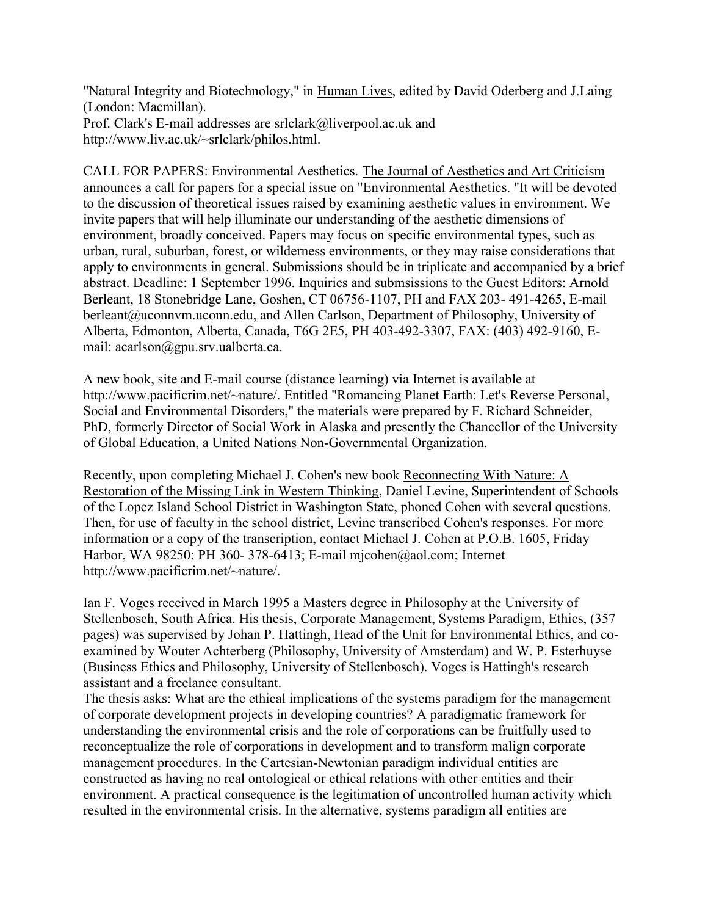"Natural Integrity and Biotechnology," in Human Lives, edited by David Oderberg and J.Laing (London: Macmillan). Prof. Clark's E-mail addresses are srlclark@liverpool.ac.uk and http://www.liv.ac.uk/~srlclark/philos.html.

CALL FOR PAPERS: Environmental Aesthetics. The Journal of Aesthetics and Art Criticism announces a call for papers for a special issue on "Environmental Aesthetics. "It will be devoted to the discussion of theoretical issues raised by examining aesthetic values in environment. We invite papers that will help illuminate our understanding of the aesthetic dimensions of environment, broadly conceived. Papers may focus on specific environmental types, such as urban, rural, suburban, forest, or wilderness environments, or they may raise considerations that apply to environments in general. Submissions should be in triplicate and accompanied by a brief abstract. Deadline: 1 September 1996. Inquiries and submsissions to the Guest Editors: Arnold Berleant, 18 Stonebridge Lane, Goshen, CT 06756-1107, PH and FAX 203- 491-4265, E-mail berleant@uconnym.uconn.edu, and Allen Carlson, Department of Philosophy, University of Alberta, Edmonton, Alberta, Canada, T6G 2E5, PH 403-492-3307, FAX: (403) 492-9160, Email: acarlson@gpu.srv.ualberta.ca.

A new book, site and E-mail course (distance learning) via Internet is available at http://www.pacificrim.net/~nature/. Entitled "Romancing Planet Earth: Let's Reverse Personal, Social and Environmental Disorders," the materials were prepared by F. Richard Schneider, PhD, formerly Director of Social Work in Alaska and presently the Chancellor of the University of Global Education, a United Nations Non-Governmental Organization.

Recently, upon completing Michael J. Cohen's new book Reconnecting With Nature: A Restoration of the Missing Link in Western Thinking, Daniel Levine, Superintendent of Schools of the Lopez Island School District in Washington State, phoned Cohen with several questions. Then, for use of faculty in the school district, Levine transcribed Cohen's responses. For more information or a copy of the transcription, contact Michael J. Cohen at P.O.B. 1605, Friday Harbor, WA 98250; PH 360- 378-6413; E-mail mjcohen@aol.com; Internet http://www.pacificrim.net/~nature/.

Ian F. Voges received in March 1995 a Masters degree in Philosophy at the University of Stellenbosch, South Africa. His thesis, Corporate Management, Systems Paradigm, Ethics, (357 pages) was supervised by Johan P. Hattingh, Head of the Unit for Environmental Ethics, and coexamined by Wouter Achterberg (Philosophy, University of Amsterdam) and W. P. Esterhuyse (Business Ethics and Philosophy, University of Stellenbosch). Voges is Hattingh's research assistant and a freelance consultant.

The thesis asks: What are the ethical implications of the systems paradigm for the management of corporate development projects in developing countries? A paradigmatic framework for understanding the environmental crisis and the role of corporations can be fruitfully used to reconceptualize the role of corporations in development and to transform malign corporate management procedures. In the Cartesian-Newtonian paradigm individual entities are constructed as having no real ontological or ethical relations with other entities and their environment. A practical consequence is the legitimation of uncontrolled human activity which resulted in the environmental crisis. In the alternative, systems paradigm all entities are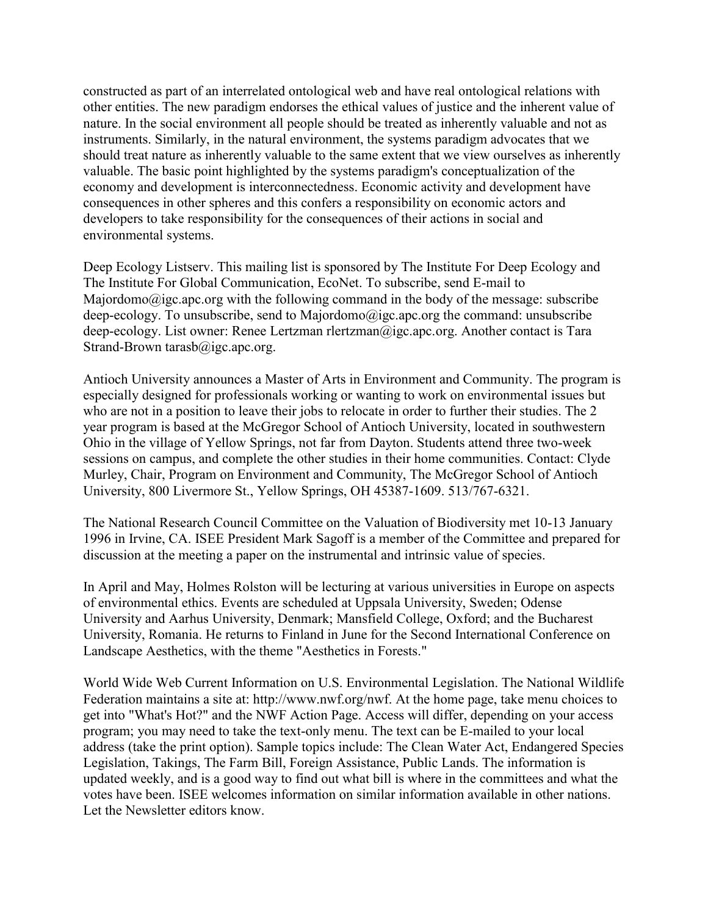constructed as part of an interrelated ontological web and have real ontological relations with other entities. The new paradigm endorses the ethical values of justice and the inherent value of nature. In the social environment all people should be treated as inherently valuable and not as instruments. Similarly, in the natural environment, the systems paradigm advocates that we should treat nature as inherently valuable to the same extent that we view ourselves as inherently valuable. The basic point highlighted by the systems paradigm's conceptualization of the economy and development is interconnectedness. Economic activity and development have consequences in other spheres and this confers a responsibility on economic actors and developers to take responsibility for the consequences of their actions in social and environmental systems.

Deep Ecology Listserv. This mailing list is sponsored by The Institute For Deep Ecology and The Institute For Global Communication, EcoNet. To subscribe, send E-mail to Majordomo@igc.apc.org with the following command in the body of the message: subscribe deep-ecology. To unsubscribe, send to Majordomo@igc.apc.org the command: unsubscribe deep-ecology. List owner: Renee Lertzman rlertzman@igc.apc.org. Another contact is Tara Strand-Brown tarasb@igc.apc.org.

Antioch University announces a Master of Arts in Environment and Community. The program is especially designed for professionals working or wanting to work on environmental issues but who are not in a position to leave their jobs to relocate in order to further their studies. The 2 year program is based at the McGregor School of Antioch University, located in southwestern Ohio in the village of Yellow Springs, not far from Dayton. Students attend three two-week sessions on campus, and complete the other studies in their home communities. Contact: Clyde Murley, Chair, Program on Environment and Community, The McGregor School of Antioch University, 800 Livermore St., Yellow Springs, OH 45387-1609. 513/767-6321.

The National Research Council Committee on the Valuation of Biodiversity met 10-13 January 1996 in Irvine, CA. ISEE President Mark Sagoff is a member of the Committee and prepared for discussion at the meeting a paper on the instrumental and intrinsic value of species.

In April and May, Holmes Rolston will be lecturing at various universities in Europe on aspects of environmental ethics. Events are scheduled at Uppsala University, Sweden; Odense University and Aarhus University, Denmark; Mansfield College, Oxford; and the Bucharest University, Romania. He returns to Finland in June for the Second International Conference on Landscape Aesthetics, with the theme "Aesthetics in Forests."

World Wide Web Current Information on U.S. Environmental Legislation. The National Wildlife Federation maintains a site at: http://www.nwf.org/nwf. At the home page, take menu choices to get into "What's Hot?" and the NWF Action Page. Access will differ, depending on your access program; you may need to take the text-only menu. The text can be E-mailed to your local address (take the print option). Sample topics include: The Clean Water Act, Endangered Species Legislation, Takings, The Farm Bill, Foreign Assistance, Public Lands. The information is updated weekly, and is a good way to find out what bill is where in the committees and what the votes have been. ISEE welcomes information on similar information available in other nations. Let the Newsletter editors know.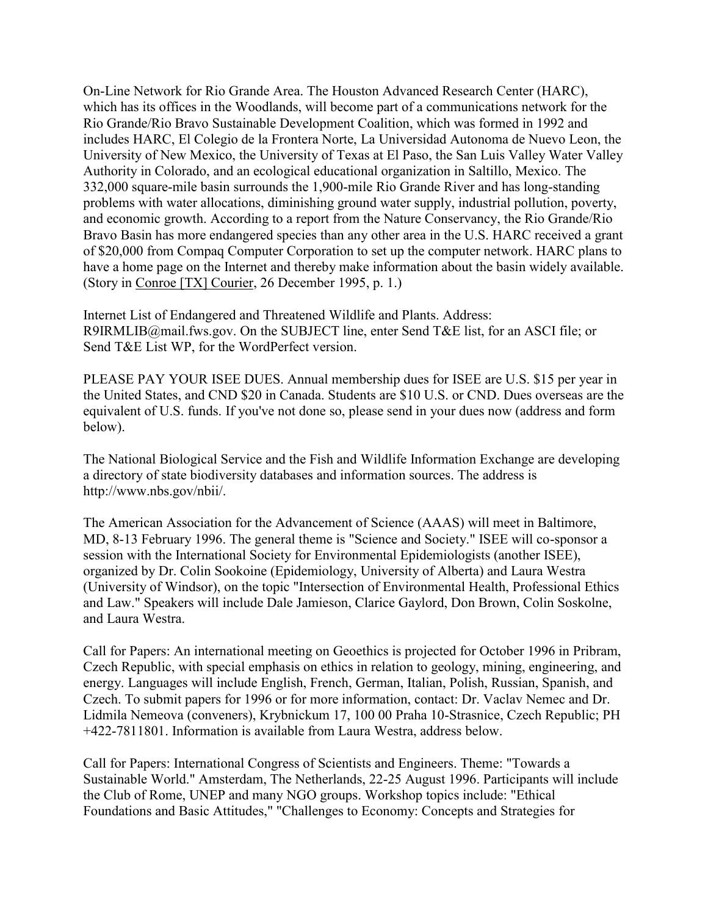On-Line Network for Rio Grande Area. The Houston Advanced Research Center (HARC), which has its offices in the Woodlands, will become part of a communications network for the Rio Grande/Rio Bravo Sustainable Development Coalition, which was formed in 1992 and includes HARC, El Colegio de la Frontera Norte, La Universidad Autonoma de Nuevo Leon, the University of New Mexico, the University of Texas at El Paso, the San Luis Valley Water Valley Authority in Colorado, and an ecological educational organization in Saltillo, Mexico. The 332,000 square-mile basin surrounds the 1,900-mile Rio Grande River and has long-standing problems with water allocations, diminishing ground water supply, industrial pollution, poverty, and economic growth. According to a report from the Nature Conservancy, the Rio Grande/Rio Bravo Basin has more endangered species than any other area in the U.S. HARC received a grant of \$20,000 from Compaq Computer Corporation to set up the computer network. HARC plans to have a home page on the Internet and thereby make information about the basin widely available. (Story in Conroe [TX] Courier, 26 December 1995, p. 1.)

Internet List of Endangered and Threatened Wildlife and Plants. Address: R9IRMLIB@mail.fws.gov. On the SUBJECT line, enter Send T&E list, for an ASCI file; or Send T&E List WP, for the WordPerfect version.

PLEASE PAY YOUR ISEE DUES. Annual membership dues for ISEE are U.S. \$15 per year in the United States, and CND \$20 in Canada. Students are \$10 U.S. or CND. Dues overseas are the equivalent of U.S. funds. If you've not done so, please send in your dues now (address and form below).

The National Biological Service and the Fish and Wildlife Information Exchange are developing a directory of state biodiversity databases and information sources. The address is http://www.nbs.gov/nbii/.

The American Association for the Advancement of Science (AAAS) will meet in Baltimore, MD, 8-13 February 1996. The general theme is "Science and Society." ISEE will co-sponsor a session with the International Society for Environmental Epidemiologists (another ISEE), organized by Dr. Colin Sookoine (Epidemiology, University of Alberta) and Laura Westra (University of Windsor), on the topic "Intersection of Environmental Health, Professional Ethics and Law." Speakers will include Dale Jamieson, Clarice Gaylord, Don Brown, Colin Soskolne, and Laura Westra.

Call for Papers: An international meeting on Geoethics is projected for October 1996 in Pribram, Czech Republic, with special emphasis on ethics in relation to geology, mining, engineering, and energy. Languages will include English, French, German, Italian, Polish, Russian, Spanish, and Czech. To submit papers for 1996 or for more information, contact: Dr. Vaclav Nemec and Dr. Lidmila Nemeova (conveners), Krybnickum 17, 100 00 Praha 10-Strasnice, Czech Republic; PH +422-7811801. Information is available from Laura Westra, address below.

Call for Papers: International Congress of Scientists and Engineers. Theme: "Towards a Sustainable World." Amsterdam, The Netherlands, 22-25 August 1996. Participants will include the Club of Rome, UNEP and many NGO groups. Workshop topics include: "Ethical Foundations and Basic Attitudes," "Challenges to Economy: Concepts and Strategies for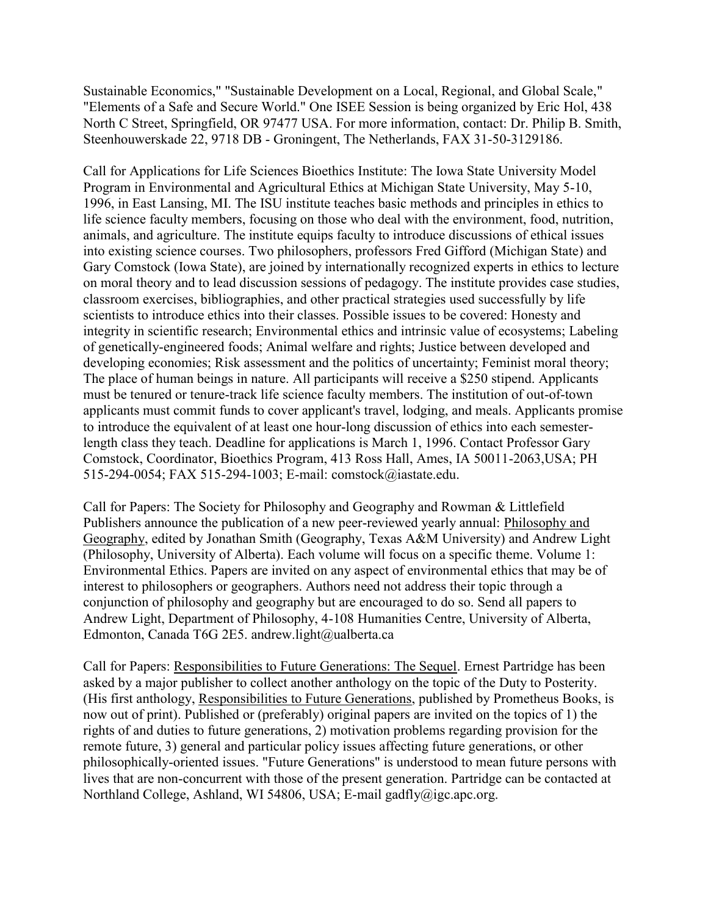Sustainable Economics," "Sustainable Development on a Local, Regional, and Global Scale," "Elements of a Safe and Secure World." One ISEE Session is being organized by Eric Hol, 438 North C Street, Springfield, OR 97477 USA. For more information, contact: Dr. Philip B. Smith, Steenhouwerskade 22, 9718 DB - Groningent, The Netherlands, FAX 31-50-3129186.

Call for Applications for Life Sciences Bioethics Institute: The Iowa State University Model Program in Environmental and Agricultural Ethics at Michigan State University, May 5-10, 1996, in East Lansing, MI. The ISU institute teaches basic methods and principles in ethics to life science faculty members, focusing on those who deal with the environment, food, nutrition, animals, and agriculture. The institute equips faculty to introduce discussions of ethical issues into existing science courses. Two philosophers, professors Fred Gifford (Michigan State) and Gary Comstock (Iowa State), are joined by internationally recognized experts in ethics to lecture on moral theory and to lead discussion sessions of pedagogy. The institute provides case studies, classroom exercises, bibliographies, and other practical strategies used successfully by life scientists to introduce ethics into their classes. Possible issues to be covered: Honesty and integrity in scientific research; Environmental ethics and intrinsic value of ecosystems; Labeling of genetically-engineered foods; Animal welfare and rights; Justice between developed and developing economies; Risk assessment and the politics of uncertainty; Feminist moral theory; The place of human beings in nature. All participants will receive a \$250 stipend. Applicants must be tenured or tenure-track life science faculty members. The institution of out-of-town applicants must commit funds to cover applicant's travel, lodging, and meals. Applicants promise to introduce the equivalent of at least one hour-long discussion of ethics into each semesterlength class they teach. Deadline for applications is March 1, 1996. Contact Professor Gary Comstock, Coordinator, Bioethics Program, 413 Ross Hall, Ames, IA 50011-2063,USA; PH 515-294-0054; FAX 515-294-1003; E-mail: comstock@iastate.edu.

Call for Papers: The Society for Philosophy and Geography and Rowman & Littlefield Publishers announce the publication of a new peer-reviewed yearly annual: Philosophy and Geography, edited by Jonathan Smith (Geography, Texas A&M University) and Andrew Light (Philosophy, University of Alberta). Each volume will focus on a specific theme. Volume 1: Environmental Ethics. Papers are invited on any aspect of environmental ethics that may be of interest to philosophers or geographers. Authors need not address their topic through a conjunction of philosophy and geography but are encouraged to do so. Send all papers to Andrew Light, Department of Philosophy, 4-108 Humanities Centre, University of Alberta, Edmonton, Canada T6G 2E5. andrew.light@ualberta.ca

Call for Papers: Responsibilities to Future Generations: The Sequel. Ernest Partridge has been asked by a major publisher to collect another anthology on the topic of the Duty to Posterity. (His first anthology, Responsibilities to Future Generations, published by Prometheus Books, is now out of print). Published or (preferably) original papers are invited on the topics of 1) the rights of and duties to future generations, 2) motivation problems regarding provision for the remote future, 3) general and particular policy issues affecting future generations, or other philosophically-oriented issues. "Future Generations" is understood to mean future persons with lives that are non-concurrent with those of the present generation. Partridge can be contacted at Northland College, Ashland, WI 54806, USA; E-mail gadfly@igc.apc.org.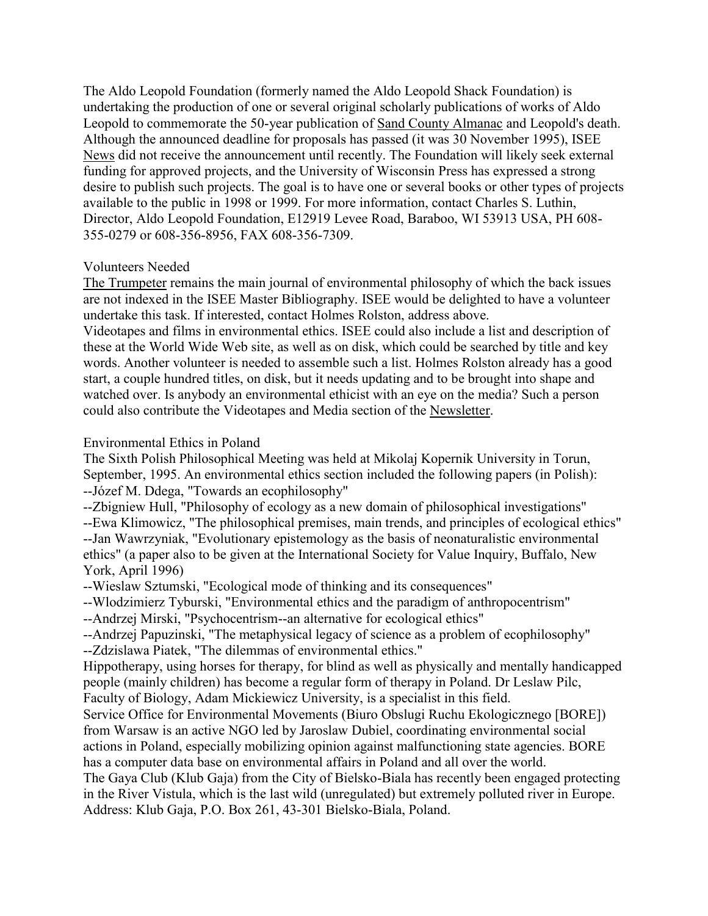The Aldo Leopold Foundation (formerly named the Aldo Leopold Shack Foundation) is undertaking the production of one or several original scholarly publications of works of Aldo Leopold to commemorate the 50-year publication of Sand County Almanac and Leopold's death. Although the announced deadline for proposals has passed (it was 30 November 1995), ISEE News did not receive the announcement until recently. The Foundation will likely seek external funding for approved projects, and the University of Wisconsin Press has expressed a strong desire to publish such projects. The goal is to have one or several books or other types of projects available to the public in 1998 or 1999. For more information, contact Charles S. Luthin, Director, Aldo Leopold Foundation, E12919 Levee Road, Baraboo, WI 53913 USA, PH 608- 355-0279 or 608-356-8956, FAX 608-356-7309.

### Volunteers Needed

The Trumpeter remains the main journal of environmental philosophy of which the back issues are not indexed in the ISEE Master Bibliography. ISEE would be delighted to have a volunteer undertake this task. If interested, contact Holmes Rolston, address above.

Videotapes and films in environmental ethics. ISEE could also include a list and description of these at the World Wide Web site, as well as on disk, which could be searched by title and key words. Another volunteer is needed to assemble such a list. Holmes Rolston already has a good start, a couple hundred titles, on disk, but it needs updating and to be brought into shape and watched over. Is anybody an environmental ethicist with an eye on the media? Such a person could also contribute the Videotapes and Media section of the Newsletter.

### Environmental Ethics in Poland

The Sixth Polish Philosophical Meeting was held at Mikolaj Kopernik University in Torun, September, 1995. An environmental ethics section included the following papers (in Polish): --Józef M. Ddega, "Towards an ecophilosophy"

--Zbigniew Hull, "Philosophy of ecology as a new domain of philosophical investigations"

--Ewa Klimowicz, "The philosophical premises, main trends, and principles of ecological ethics" --Jan Wawrzyniak, "Evolutionary epistemology as the basis of neonaturalistic environmental ethics" (a paper also to be given at the International Society for Value Inquiry, Buffalo, New York, April 1996)

--Wieslaw Sztumski, "Ecological mode of thinking and its consequences"

--Wlodzimierz Tyburski, "Environmental ethics and the paradigm of anthropocentrism"

--Andrzej Mirski, "Psychocentrism--an alternative for ecological ethics"

--Andrzej Papuzinski, "The metaphysical legacy of science as a problem of ecophilosophy" --Zdzislawa Piatek, "The dilemmas of environmental ethics."

Hippotherapy, using horses for therapy, for blind as well as physically and mentally handicapped people (mainly children) has become a regular form of therapy in Poland. Dr Leslaw Pilc, Faculty of Biology, Adam Mickiewicz University, is a specialist in this field.

Service Office for Environmental Movements (Biuro Obslugi Ruchu Ekologicznego [BORE]) from Warsaw is an active NGO led by Jaroslaw Dubiel, coordinating environmental social actions in Poland, especially mobilizing opinion against malfunctioning state agencies. BORE has a computer data base on environmental affairs in Poland and all over the world.

The Gaya Club (Klub Gaja) from the City of Bielsko-Biala has recently been engaged protecting in the River Vistula, which is the last wild (unregulated) but extremely polluted river in Europe. Address: Klub Gaja, P.O. Box 261, 43-301 Bielsko-Biala, Poland.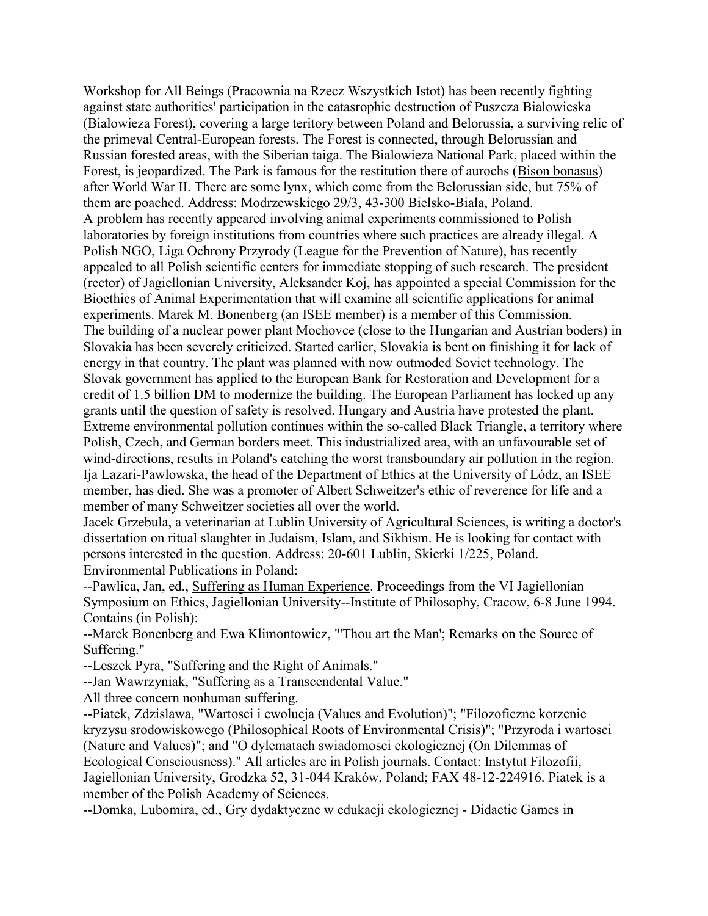Workshop for All Beings (Pracownia na Rzecz Wszystkich Istot) has been recently fighting against state authorities' participation in the catasrophic destruction of Puszcza Bialowieska (Bialowieza Forest), covering a large teritory between Poland and Belorussia, a surviving relic of the primeval Central-European forests. The Forest is connected, through Belorussian and Russian forested areas, with the Siberian taiga. The Bialowieza National Park, placed within the Forest, is jeopardized. The Park is famous for the restitution there of aurochs (Bison bonasus) after World War II. There are some lynx, which come from the Belorussian side, but 75% of them are poached. Address: Modrzewskiego 29/3, 43-300 Bielsko-Biala, Poland. A problem has recently appeared involving animal experiments commissioned to Polish laboratories by foreign institutions from countries where such practices are already illegal. A Polish NGO, Liga Ochrony Przyrody (League for the Prevention of Nature), has recently appealed to all Polish scientific centers for immediate stopping of such research. The president (rector) of Jagiellonian University, Aleksander Koj, has appointed a special Commission for the Bioethics of Animal Experimentation that will examine all scientific applications for animal experiments. Marek M. Bonenberg (an ISEE member) is a member of this Commission. The building of a nuclear power plant Mochovce (close to the Hungarian and Austrian boders) in Slovakia has been severely criticized. Started earlier, Slovakia is bent on finishing it for lack of energy in that country. The plant was planned with now outmoded Soviet technology. The Slovak government has applied to the European Bank for Restoration and Development for a credit of 1.5 billion DM to modernize the building. The European Parliament has locked up any grants until the question of safety is resolved. Hungary and Austria have protested the plant. Extreme environmental pollution continues within the so-called Black Triangle, a territory where Polish, Czech, and German borders meet. This industrialized area, with an unfavourable set of wind-directions, results in Poland's catching the worst transboundary air pollution in the region. Ija Lazari-Pawlowska, the head of the Department of Ethics at the University of Lódz, an ISEE member, has died. She was a promoter of Albert Schweitzer's ethic of reverence for life and a member of many Schweitzer societies all over the world.

Jacek Grzebula, a veterinarian at Lublin University of Agricultural Sciences, is writing a doctor's dissertation on ritual slaughter in Judaism, Islam, and Sikhism. He is looking for contact with persons interested in the question. Address: 20-601 Lublin, Skierki 1/225, Poland. Environmental Publications in Poland:

--Pawlica, Jan, ed., Suffering as Human Experience. Proceedings from the VI Jagiellonian Symposium on Ethics, Jagiellonian University--Institute of Philosophy, Cracow, 6-8 June 1994. Contains (in Polish):

--Marek Bonenberg and Ewa Klimontowicz, "'Thou art the Man'; Remarks on the Source of Suffering."

--Leszek Pyra, "Suffering and the Right of Animals."

--Jan Wawrzyniak, "Suffering as a Transcendental Value."

All three concern nonhuman suffering.

--Piatek, Zdzislawa, "Wartosci i ewolucja (Values and Evolution)"; "Filozoficzne korzenie kryzysu srodowiskowego (Philosophical Roots of Environmental Crisis)"; "Przyroda i wartosci (Nature and Values)"; and "O dylematach swiadomosci ekologicznej (On Dilemmas of Ecological Consciousness)." All articles are in Polish journals. Contact: Instytut Filozofii, Jagiellonian University, Grodzka 52, 31-044 Kraków, Poland; FAX 48-12-224916. Piatek is a member of the Polish Academy of Sciences.

--Domka, Lubomira, ed., Gry dydaktyczne w edukacji ekologicznej - Didactic Games in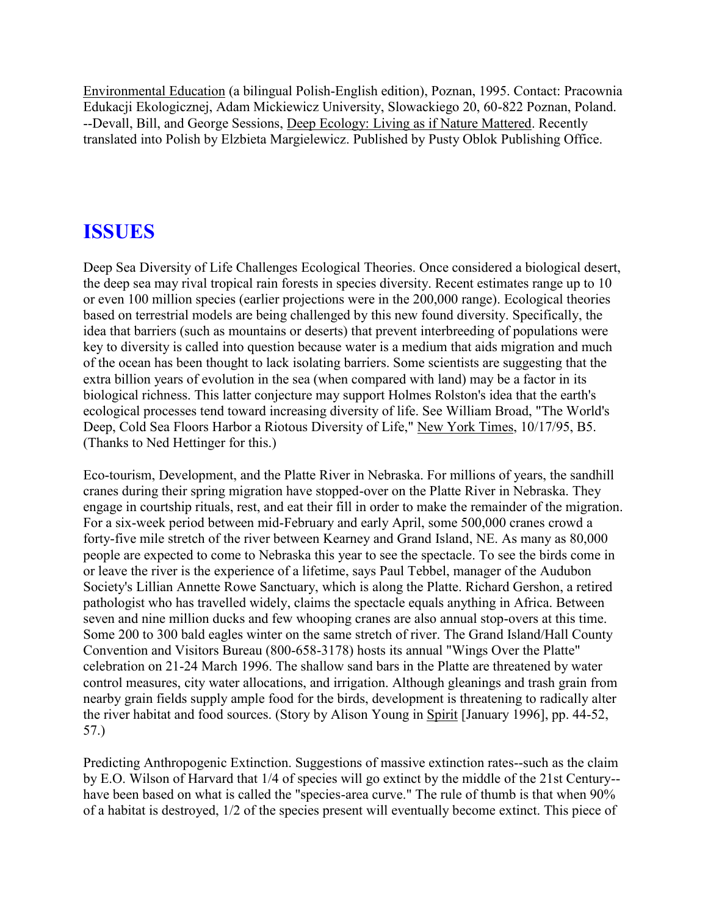Environmental Education (a bilingual Polish-English edition), Poznan, 1995. Contact: Pracownia Edukacji Ekologicznej, Adam Mickiewicz University, Slowackiego 20, 60-822 Poznan, Poland. --Devall, Bill, and George Sessions, Deep Ecology: Living as if Nature Mattered. Recently translated into Polish by Elzbieta Margielewicz. Published by Pusty Oblok Publishing Office.

# **ISSUES**

Deep Sea Diversity of Life Challenges Ecological Theories. Once considered a biological desert, the deep sea may rival tropical rain forests in species diversity. Recent estimates range up to 10 or even 100 million species (earlier projections were in the 200,000 range). Ecological theories based on terrestrial models are being challenged by this new found diversity. Specifically, the idea that barriers (such as mountains or deserts) that prevent interbreeding of populations were key to diversity is called into question because water is a medium that aids migration and much of the ocean has been thought to lack isolating barriers. Some scientists are suggesting that the extra billion years of evolution in the sea (when compared with land) may be a factor in its biological richness. This latter conjecture may support Holmes Rolston's idea that the earth's ecological processes tend toward increasing diversity of life. See William Broad, "The World's Deep, Cold Sea Floors Harbor a Riotous Diversity of Life," New York Times, 10/17/95, B5. (Thanks to Ned Hettinger for this.)

Eco-tourism, Development, and the Platte River in Nebraska. For millions of years, the sandhill cranes during their spring migration have stopped-over on the Platte River in Nebraska. They engage in courtship rituals, rest, and eat their fill in order to make the remainder of the migration. For a six-week period between mid-February and early April, some 500,000 cranes crowd a forty-five mile stretch of the river between Kearney and Grand Island, NE. As many as 80,000 people are expected to come to Nebraska this year to see the spectacle. To see the birds come in or leave the river is the experience of a lifetime, says Paul Tebbel, manager of the Audubon Society's Lillian Annette Rowe Sanctuary, which is along the Platte. Richard Gershon, a retired pathologist who has travelled widely, claims the spectacle equals anything in Africa. Between seven and nine million ducks and few whooping cranes are also annual stop-overs at this time. Some 200 to 300 bald eagles winter on the same stretch of river. The Grand Island/Hall County Convention and Visitors Bureau (800-658-3178) hosts its annual "Wings Over the Platte" celebration on 21-24 March 1996. The shallow sand bars in the Platte are threatened by water control measures, city water allocations, and irrigation. Although gleanings and trash grain from nearby grain fields supply ample food for the birds, development is threatening to radically alter the river habitat and food sources. (Story by Alison Young in Spirit [January 1996], pp. 44-52, 57.)

Predicting Anthropogenic Extinction. Suggestions of massive extinction rates--such as the claim by E.O. Wilson of Harvard that 1/4 of species will go extinct by the middle of the 21st Century- have been based on what is called the "species-area curve." The rule of thumb is that when 90% of a habitat is destroyed, 1/2 of the species present will eventually become extinct. This piece of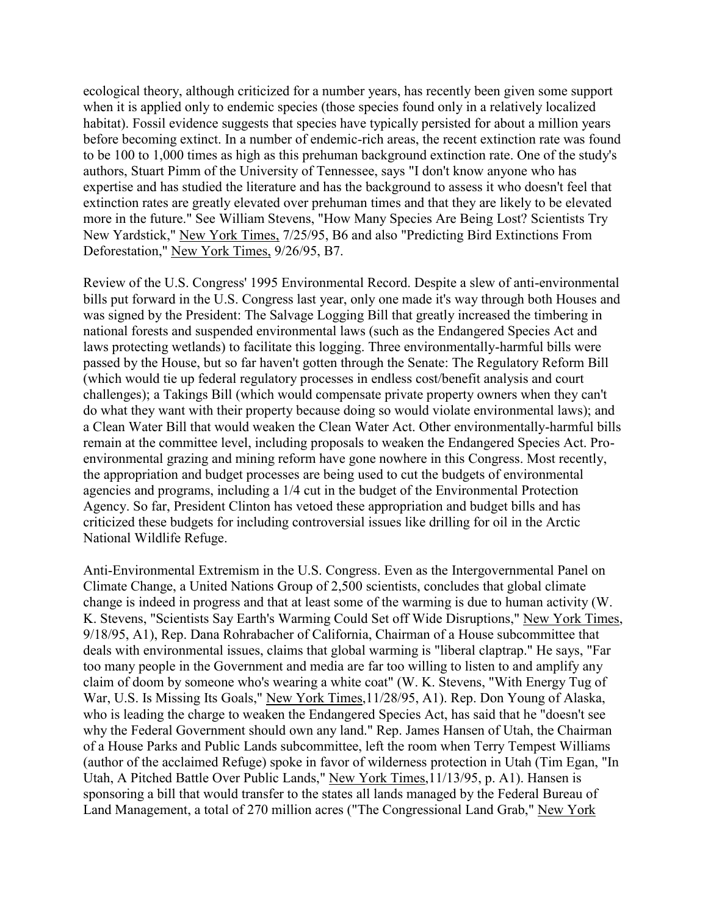ecological theory, although criticized for a number years, has recently been given some support when it is applied only to endemic species (those species found only in a relatively localized habitat). Fossil evidence suggests that species have typically persisted for about a million years before becoming extinct. In a number of endemic-rich areas, the recent extinction rate was found to be 100 to 1,000 times as high as this prehuman background extinction rate. One of the study's authors, Stuart Pimm of the University of Tennessee, says "I don't know anyone who has expertise and has studied the literature and has the background to assess it who doesn't feel that extinction rates are greatly elevated over prehuman times and that they are likely to be elevated more in the future." See William Stevens, "How Many Species Are Being Lost? Scientists Try New Yardstick," New York Times, 7/25/95, B6 and also "Predicting Bird Extinctions From Deforestation," New York Times, 9/26/95, B7.

Review of the U.S. Congress' 1995 Environmental Record. Despite a slew of anti-environmental bills put forward in the U.S. Congress last year, only one made it's way through both Houses and was signed by the President: The Salvage Logging Bill that greatly increased the timbering in national forests and suspended environmental laws (such as the Endangered Species Act and laws protecting wetlands) to facilitate this logging. Three environmentally-harmful bills were passed by the House, but so far haven't gotten through the Senate: The Regulatory Reform Bill (which would tie up federal regulatory processes in endless cost/benefit analysis and court challenges); a Takings Bill (which would compensate private property owners when they can't do what they want with their property because doing so would violate environmental laws); and a Clean Water Bill that would weaken the Clean Water Act. Other environmentally-harmful bills remain at the committee level, including proposals to weaken the Endangered Species Act. Proenvironmental grazing and mining reform have gone nowhere in this Congress. Most recently, the appropriation and budget processes are being used to cut the budgets of environmental agencies and programs, including a 1/4 cut in the budget of the Environmental Protection Agency. So far, President Clinton has vetoed these appropriation and budget bills and has criticized these budgets for including controversial issues like drilling for oil in the Arctic National Wildlife Refuge.

Anti-Environmental Extremism in the U.S. Congress. Even as the Intergovernmental Panel on Climate Change, a United Nations Group of 2,500 scientists, concludes that global climate change is indeed in progress and that at least some of the warming is due to human activity (W. K. Stevens, "Scientists Say Earth's Warming Could Set off Wide Disruptions," New York Times, 9/18/95, A1), Rep. Dana Rohrabacher of California, Chairman of a House subcommittee that deals with environmental issues, claims that global warming is "liberal claptrap." He says, "Far too many people in the Government and media are far too willing to listen to and amplify any claim of doom by someone who's wearing a white coat" (W. K. Stevens, "With Energy Tug of War, U.S. Is Missing Its Goals," New York Times,11/28/95, A1). Rep. Don Young of Alaska, who is leading the charge to weaken the Endangered Species Act, has said that he "doesn't see why the Federal Government should own any land." Rep. James Hansen of Utah, the Chairman of a House Parks and Public Lands subcommittee, left the room when Terry Tempest Williams (author of the acclaimed Refuge) spoke in favor of wilderness protection in Utah (Tim Egan, "In Utah, A Pitched Battle Over Public Lands," New York Times,11/13/95, p. A1). Hansen is sponsoring a bill that would transfer to the states all lands managed by the Federal Bureau of Land Management, a total of 270 million acres ("The Congressional Land Grab," New York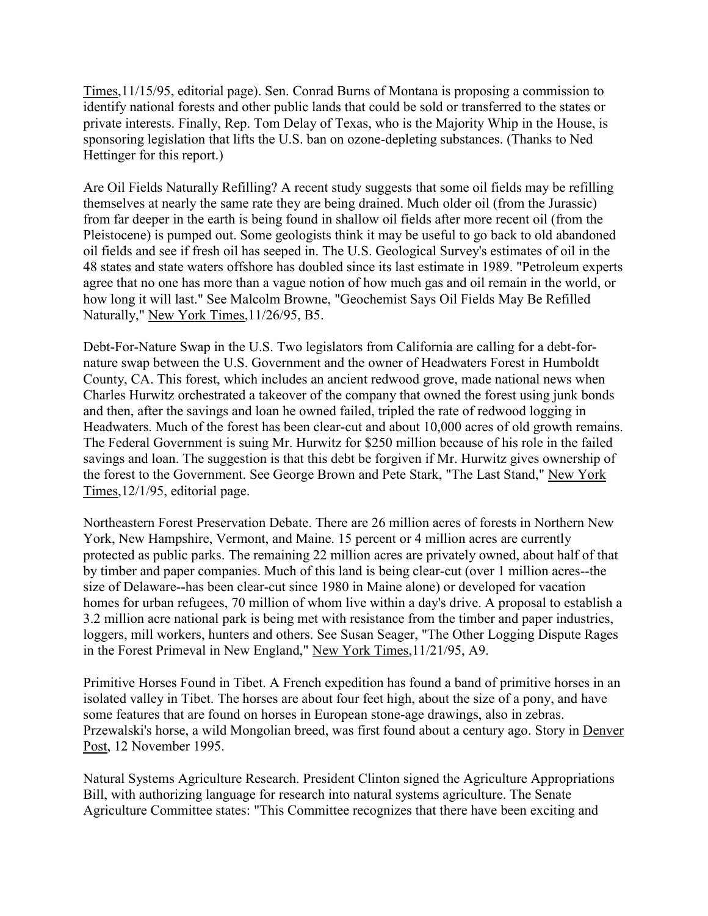Times,11/15/95, editorial page). Sen. Conrad Burns of Montana is proposing a commission to identify national forests and other public lands that could be sold or transferred to the states or private interests. Finally, Rep. Tom Delay of Texas, who is the Majority Whip in the House, is sponsoring legislation that lifts the U.S. ban on ozone-depleting substances. (Thanks to Ned Hettinger for this report.)

Are Oil Fields Naturally Refilling? A recent study suggests that some oil fields may be refilling themselves at nearly the same rate they are being drained. Much older oil (from the Jurassic) from far deeper in the earth is being found in shallow oil fields after more recent oil (from the Pleistocene) is pumped out. Some geologists think it may be useful to go back to old abandoned oil fields and see if fresh oil has seeped in. The U.S. Geological Survey's estimates of oil in the 48 states and state waters offshore has doubled since its last estimate in 1989. "Petroleum experts agree that no one has more than a vague notion of how much gas and oil remain in the world, or how long it will last." See Malcolm Browne, "Geochemist Says Oil Fields May Be Refilled Naturally," New York Times,11/26/95, B5.

Debt-For-Nature Swap in the U.S. Two legislators from California are calling for a debt-fornature swap between the U.S. Government and the owner of Headwaters Forest in Humboldt County, CA. This forest, which includes an ancient redwood grove, made national news when Charles Hurwitz orchestrated a takeover of the company that owned the forest using junk bonds and then, after the savings and loan he owned failed, tripled the rate of redwood logging in Headwaters. Much of the forest has been clear-cut and about 10,000 acres of old growth remains. The Federal Government is suing Mr. Hurwitz for \$250 million because of his role in the failed savings and loan. The suggestion is that this debt be forgiven if Mr. Hurwitz gives ownership of the forest to the Government. See George Brown and Pete Stark, "The Last Stand," New York Times,12/1/95, editorial page.

Northeastern Forest Preservation Debate. There are 26 million acres of forests in Northern New York, New Hampshire, Vermont, and Maine. 15 percent or 4 million acres are currently protected as public parks. The remaining 22 million acres are privately owned, about half of that by timber and paper companies. Much of this land is being clear-cut (over 1 million acres--the size of Delaware--has been clear-cut since 1980 in Maine alone) or developed for vacation homes for urban refugees, 70 million of whom live within a day's drive. A proposal to establish a 3.2 million acre national park is being met with resistance from the timber and paper industries, loggers, mill workers, hunters and others. See Susan Seager, "The Other Logging Dispute Rages in the Forest Primeval in New England," New York Times,11/21/95, A9.

Primitive Horses Found in Tibet. A French expedition has found a band of primitive horses in an isolated valley in Tibet. The horses are about four feet high, about the size of a pony, and have some features that are found on horses in European stone-age drawings, also in zebras. Przewalski's horse, a wild Mongolian breed, was first found about a century ago. Story in Denver Post, 12 November 1995.

Natural Systems Agriculture Research. President Clinton signed the Agriculture Appropriations Bill, with authorizing language for research into natural systems agriculture. The Senate Agriculture Committee states: "This Committee recognizes that there have been exciting and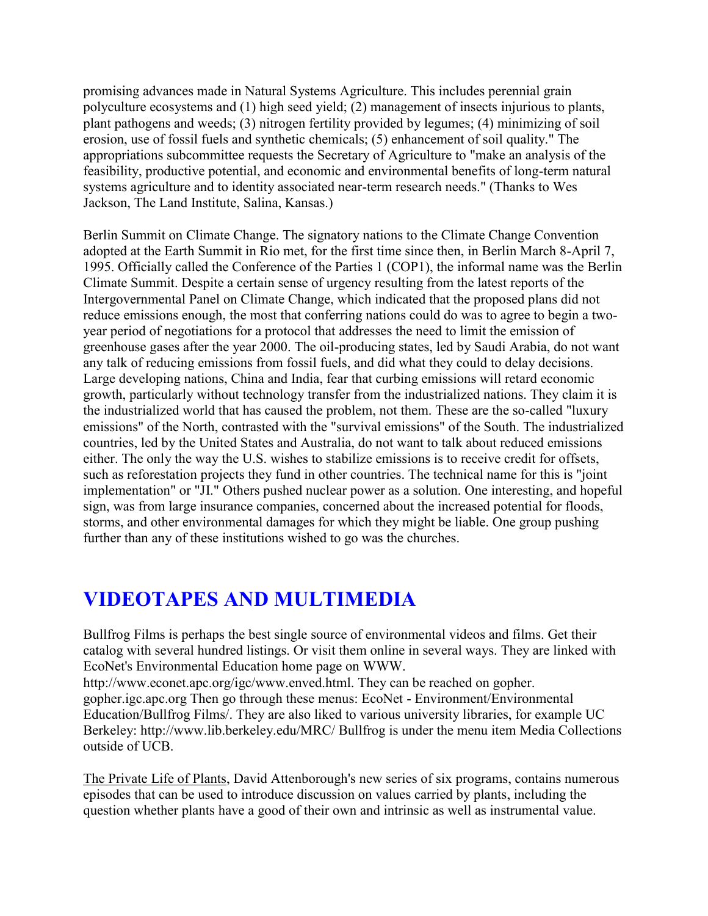promising advances made in Natural Systems Agriculture. This includes perennial grain polyculture ecosystems and (1) high seed yield; (2) management of insects injurious to plants, plant pathogens and weeds; (3) nitrogen fertility provided by legumes; (4) minimizing of soil erosion, use of fossil fuels and synthetic chemicals; (5) enhancement of soil quality." The appropriations subcommittee requests the Secretary of Agriculture to "make an analysis of the feasibility, productive potential, and economic and environmental benefits of long-term natural systems agriculture and to identity associated near-term research needs." (Thanks to Wes Jackson, The Land Institute, Salina, Kansas.)

Berlin Summit on Climate Change. The signatory nations to the Climate Change Convention adopted at the Earth Summit in Rio met, for the first time since then, in Berlin March 8-April 7, 1995. Officially called the Conference of the Parties 1 (COP1), the informal name was the Berlin Climate Summit. Despite a certain sense of urgency resulting from the latest reports of the Intergovernmental Panel on Climate Change, which indicated that the proposed plans did not reduce emissions enough, the most that conferring nations could do was to agree to begin a twoyear period of negotiations for a protocol that addresses the need to limit the emission of greenhouse gases after the year 2000. The oil-producing states, led by Saudi Arabia, do not want any talk of reducing emissions from fossil fuels, and did what they could to delay decisions. Large developing nations, China and India, fear that curbing emissions will retard economic growth, particularly without technology transfer from the industrialized nations. They claim it is the industrialized world that has caused the problem, not them. These are the so-called "luxury emissions" of the North, contrasted with the "survival emissions" of the South. The industrialized countries, led by the United States and Australia, do not want to talk about reduced emissions either. The only the way the U.S. wishes to stabilize emissions is to receive credit for offsets, such as reforestation projects they fund in other countries. The technical name for this is "joint implementation" or "JI." Others pushed nuclear power as a solution. One interesting, and hopeful sign, was from large insurance companies, concerned about the increased potential for floods, storms, and other environmental damages for which they might be liable. One group pushing further than any of these institutions wished to go was the churches.

# **VIDEOTAPES AND MULTIMEDIA**

Bullfrog Films is perhaps the best single source of environmental videos and films. Get their catalog with several hundred listings. Or visit them online in several ways. They are linked with EcoNet's Environmental Education home page on WWW.

http://www.econet.apc.org/igc/www.enved.html. They can be reached on gopher. gopher.igc.apc.org Then go through these menus: EcoNet - Environment/Environmental Education/Bullfrog Films/. They are also liked to various university libraries, for example UC Berkeley: http://www.lib.berkeley.edu/MRC/ Bullfrog is under the menu item Media Collections outside of UCB.

The Private Life of Plants, David Attenborough's new series of six programs, contains numerous episodes that can be used to introduce discussion on values carried by plants, including the question whether plants have a good of their own and intrinsic as well as instrumental value.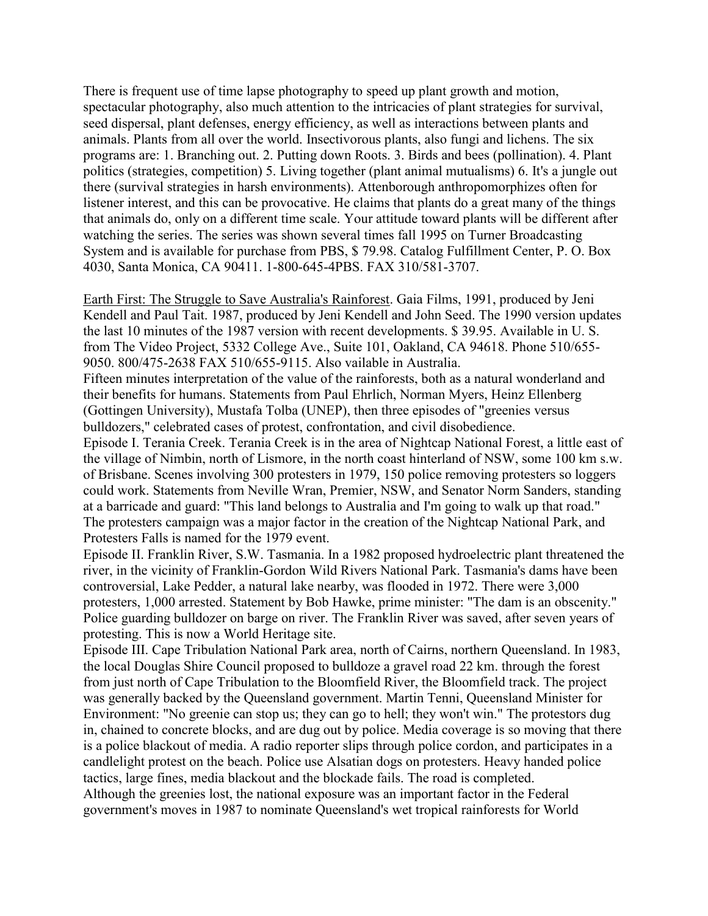There is frequent use of time lapse photography to speed up plant growth and motion, spectacular photography, also much attention to the intricacies of plant strategies for survival, seed dispersal, plant defenses, energy efficiency, as well as interactions between plants and animals. Plants from all over the world. Insectivorous plants, also fungi and lichens. The six programs are: 1. Branching out. 2. Putting down Roots. 3. Birds and bees (pollination). 4. Plant politics (strategies, competition) 5. Living together (plant animal mutualisms) 6. It's a jungle out there (survival strategies in harsh environments). Attenborough anthropomorphizes often for listener interest, and this can be provocative. He claims that plants do a great many of the things that animals do, only on a different time scale. Your attitude toward plants will be different after watching the series. The series was shown several times fall 1995 on Turner Broadcasting System and is available for purchase from PBS, \$ 79.98. Catalog Fulfillment Center, P. O. Box 4030, Santa Monica, CA 90411. 1-800-645-4PBS. FAX 310/581-3707.

Earth First: The Struggle to Save Australia's Rainforest. Gaia Films, 1991, produced by Jeni Kendell and Paul Tait. 1987, produced by Jeni Kendell and John Seed. The 1990 version updates the last 10 minutes of the 1987 version with recent developments. \$ 39.95. Available in U. S. from The Video Project, 5332 College Ave., Suite 101, Oakland, CA 94618. Phone 510/655- 9050. 800/475-2638 FAX 510/655-9115. Also vailable in Australia.

Fifteen minutes interpretation of the value of the rainforests, both as a natural wonderland and their benefits for humans. Statements from Paul Ehrlich, Norman Myers, Heinz Ellenberg (Gottingen University), Mustafa Tolba (UNEP), then three episodes of "greenies versus bulldozers," celebrated cases of protest, confrontation, and civil disobedience.

Episode I. Terania Creek. Terania Creek is in the area of Nightcap National Forest, a little east of the village of Nimbin, north of Lismore, in the north coast hinterland of NSW, some 100 km s.w. of Brisbane. Scenes involving 300 protesters in 1979, 150 police removing protesters so loggers could work. Statements from Neville Wran, Premier, NSW, and Senator Norm Sanders, standing at a barricade and guard: "This land belongs to Australia and I'm going to walk up that road." The protesters campaign was a major factor in the creation of the Nightcap National Park, and Protesters Falls is named for the 1979 event.

Episode II. Franklin River, S.W. Tasmania. In a 1982 proposed hydroelectric plant threatened the river, in the vicinity of Franklin-Gordon Wild Rivers National Park. Tasmania's dams have been controversial, Lake Pedder, a natural lake nearby, was flooded in 1972. There were 3,000 protesters, 1,000 arrested. Statement by Bob Hawke, prime minister: "The dam is an obscenity." Police guarding bulldozer on barge on river. The Franklin River was saved, after seven years of protesting. This is now a World Heritage site.

Episode III. Cape Tribulation National Park area, north of Cairns, northern Queensland. In 1983, the local Douglas Shire Council proposed to bulldoze a gravel road 22 km. through the forest from just north of Cape Tribulation to the Bloomfield River, the Bloomfield track. The project was generally backed by the Queensland government. Martin Tenni, Queensland Minister for Environment: "No greenie can stop us; they can go to hell; they won't win." The protestors dug in, chained to concrete blocks, and are dug out by police. Media coverage is so moving that there is a police blackout of media. A radio reporter slips through police cordon, and participates in a candlelight protest on the beach. Police use Alsatian dogs on protesters. Heavy handed police tactics, large fines, media blackout and the blockade fails. The road is completed. Although the greenies lost, the national exposure was an important factor in the Federal government's moves in 1987 to nominate Queensland's wet tropical rainforests for World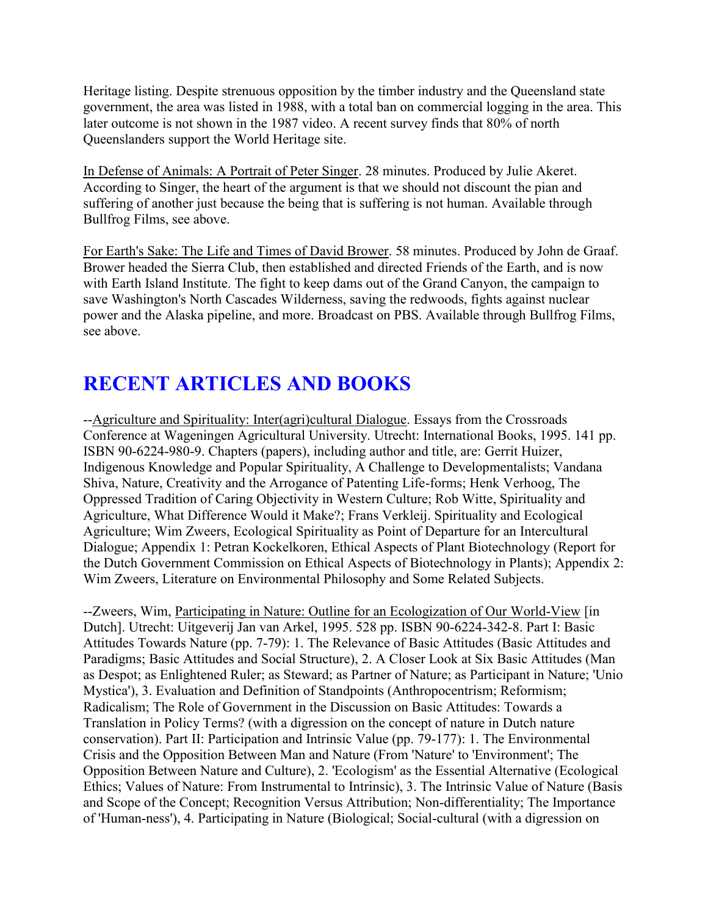Heritage listing. Despite strenuous opposition by the timber industry and the Queensland state government, the area was listed in 1988, with a total ban on commercial logging in the area. This later outcome is not shown in the 1987 video. A recent survey finds that 80% of north Queenslanders support the World Heritage site.

In Defense of Animals: A Portrait of Peter Singer. 28 minutes. Produced by Julie Akeret. According to Singer, the heart of the argument is that we should not discount the pian and suffering of another just because the being that is suffering is not human. Available through Bullfrog Films, see above.

For Earth's Sake: The Life and Times of David Brower. 58 minutes. Produced by John de Graaf. Brower headed the Sierra Club, then established and directed Friends of the Earth, and is now with Earth Island Institute. The fight to keep dams out of the Grand Canyon, the campaign to save Washington's North Cascades Wilderness, saving the redwoods, fights against nuclear power and the Alaska pipeline, and more. Broadcast on PBS. Available through Bullfrog Films, see above.

# **RECENT ARTICLES AND BOOKS**

--Agriculture and Spirituality: Inter(agri)cultural Dialogue. Essays from the Crossroads Conference at Wageningen Agricultural University. Utrecht: International Books, 1995. 141 pp. ISBN 90-6224-980-9. Chapters (papers), including author and title, are: Gerrit Huizer, Indigenous Knowledge and Popular Spirituality, A Challenge to Developmentalists; Vandana Shiva, Nature, Creativity and the Arrogance of Patenting Life-forms; Henk Verhoog, The Oppressed Tradition of Caring Objectivity in Western Culture; Rob Witte, Spirituality and Agriculture, What Difference Would it Make?; Frans Verkleij. Spirituality and Ecological Agriculture; Wim Zweers, Ecological Spirituality as Point of Departure for an Intercultural Dialogue; Appendix 1: Petran Kockelkoren, Ethical Aspects of Plant Biotechnology (Report for the Dutch Government Commission on Ethical Aspects of Biotechnology in Plants); Appendix 2: Wim Zweers, Literature on Environmental Philosophy and Some Related Subjects.

--Zweers, Wim, Participating in Nature: Outline for an Ecologization of Our World-View [in Dutch]. Utrecht: Uitgeverij Jan van Arkel, 1995. 528 pp. ISBN 90-6224-342-8. Part I: Basic Attitudes Towards Nature (pp. 7-79): 1. The Relevance of Basic Attitudes (Basic Attitudes and Paradigms; Basic Attitudes and Social Structure), 2. A Closer Look at Six Basic Attitudes (Man as Despot; as Enlightened Ruler; as Steward; as Partner of Nature; as Participant in Nature; 'Unio Mystica'), 3. Evaluation and Definition of Standpoints (Anthropocentrism; Reformism; Radicalism; The Role of Government in the Discussion on Basic Attitudes: Towards a Translation in Policy Terms? (with a digression on the concept of nature in Dutch nature conservation). Part II: Participation and Intrinsic Value (pp. 79-177): 1. The Environmental Crisis and the Opposition Between Man and Nature (From 'Nature' to 'Environment'; The Opposition Between Nature and Culture), 2. 'Ecologism' as the Essential Alternative (Ecological Ethics; Values of Nature: From Instrumental to Intrinsic), 3. The Intrinsic Value of Nature (Basis and Scope of the Concept; Recognition Versus Attribution; Non-differentiality; The Importance of 'Human-ness'), 4. Participating in Nature (Biological; Social-cultural (with a digression on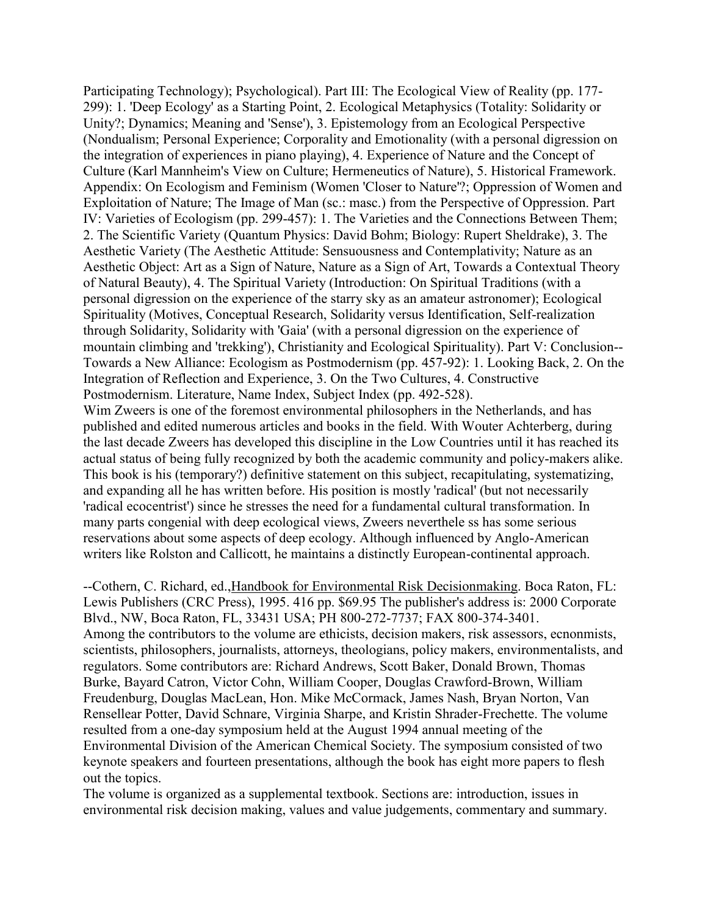Participating Technology); Psychological). Part III: The Ecological View of Reality (pp. 177- 299): 1. 'Deep Ecology' as a Starting Point, 2. Ecological Metaphysics (Totality: Solidarity or Unity?; Dynamics; Meaning and 'Sense'), 3. Epistemology from an Ecological Perspective (Nondualism; Personal Experience; Corporality and Emotionality (with a personal digression on the integration of experiences in piano playing), 4. Experience of Nature and the Concept of Culture (Karl Mannheim's View on Culture; Hermeneutics of Nature), 5. Historical Framework. Appendix: On Ecologism and Feminism (Women 'Closer to Nature'?; Oppression of Women and Exploitation of Nature; The Image of Man (sc.: masc.) from the Perspective of Oppression. Part IV: Varieties of Ecologism (pp. 299-457): 1. The Varieties and the Connections Between Them; 2. The Scientific Variety (Quantum Physics: David Bohm; Biology: Rupert Sheldrake), 3. The Aesthetic Variety (The Aesthetic Attitude: Sensuousness and Contemplativity; Nature as an Aesthetic Object: Art as a Sign of Nature, Nature as a Sign of Art, Towards a Contextual Theory of Natural Beauty), 4. The Spiritual Variety (Introduction: On Spiritual Traditions (with a personal digression on the experience of the starry sky as an amateur astronomer); Ecological Spirituality (Motives, Conceptual Research, Solidarity versus Identification, Self-realization through Solidarity, Solidarity with 'Gaia' (with a personal digression on the experience of mountain climbing and 'trekking'), Christianity and Ecological Spirituality). Part V: Conclusion-- Towards a New Alliance: Ecologism as Postmodernism (pp. 457-92): 1. Looking Back, 2. On the Integration of Reflection and Experience, 3. On the Two Cultures, 4. Constructive Postmodernism. Literature, Name Index, Subject Index (pp. 492-528).

Wim Zweers is one of the foremost environmental philosophers in the Netherlands, and has published and edited numerous articles and books in the field. With Wouter Achterberg, during the last decade Zweers has developed this discipline in the Low Countries until it has reached its actual status of being fully recognized by both the academic community and policy-makers alike. This book is his (temporary?) definitive statement on this subject, recapitulating, systematizing, and expanding all he has written before. His position is mostly 'radical' (but not necessarily 'radical ecocentrist') since he stresses the need for a fundamental cultural transformation. In many parts congenial with deep ecological views, Zweers neverthele ss has some serious reservations about some aspects of deep ecology. Although influenced by Anglo-American writers like Rolston and Callicott, he maintains a distinctly European-continental approach.

--Cothern, C. Richard, ed.,Handbook for Environmental Risk Decisionmaking. Boca Raton, FL: Lewis Publishers (CRC Press), 1995. 416 pp. \$69.95 The publisher's address is: 2000 Corporate Blvd., NW, Boca Raton, FL, 33431 USA; PH 800-272-7737; FAX 800-374-3401. Among the contributors to the volume are ethicists, decision makers, risk assessors, ecnonmists, scientists, philosophers, journalists, attorneys, theologians, policy makers, environmentalists, and regulators. Some contributors are: Richard Andrews, Scott Baker, Donald Brown, Thomas Burke, Bayard Catron, Victor Cohn, William Cooper, Douglas Crawford-Brown, William Freudenburg, Douglas MacLean, Hon. Mike McCormack, James Nash, Bryan Norton, Van Rensellear Potter, David Schnare, Virginia Sharpe, and Kristin Shrader-Frechette. The volume resulted from a one-day symposium held at the August 1994 annual meeting of the Environmental Division of the American Chemical Society. The symposium consisted of two keynote speakers and fourteen presentations, although the book has eight more papers to flesh out the topics.

The volume is organized as a supplemental textbook. Sections are: introduction, issues in environmental risk decision making, values and value judgements, commentary and summary.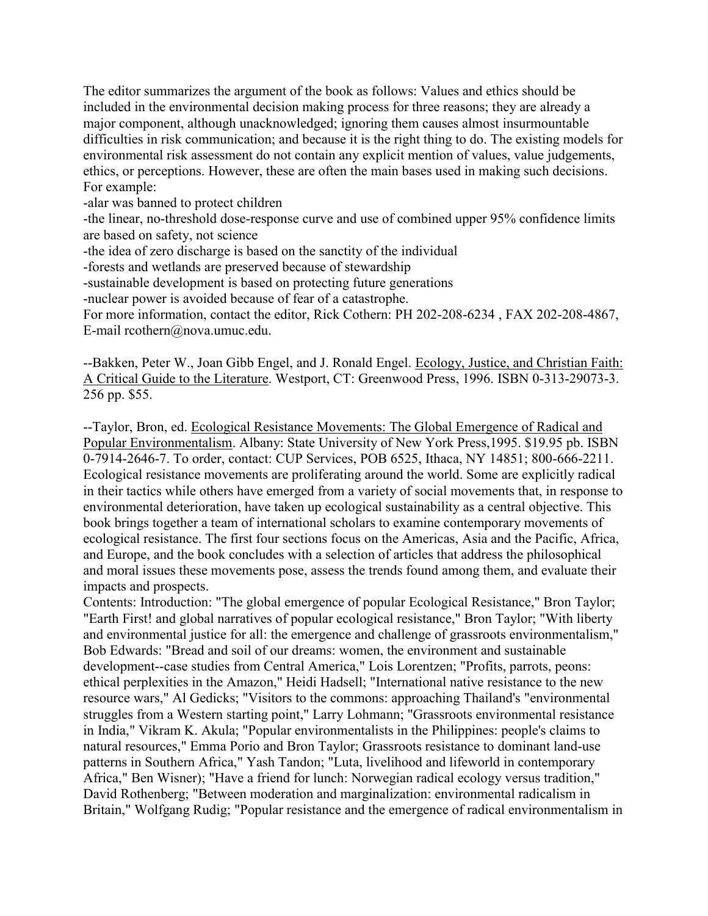The editor summarizes the argument of the book as follows: Values and ethics should be included in the environmental decision making process for three reasons; they are already a major component, although unacknowledged; ignoring them causes almost insurmountable difficulties in risk communication; and because it is the right thing to do. The existing models for environmental risk assessment do not contain any explicit mention of values, value judgements, ethics, or perceptions. However, these are often the main bases used in making such decisions. For example:

-alar was banned to protect children

-the linear, no-threshold dose-response curve and use of combined upper 95% confidence limits are based on safety, not science

-the idea of zero discharge is based on the sanctity of the individual

-forests and wetlands are preserved because of stewardship

-sustainable development is based on protecting future generations

-nuclear power is avoided because of fear of a catastrophe.

For more information, contact the editor, Rick Cothern: PH 202-208-6234 , FAX 202-208-4867, E-mail rcothern@nova.umuc.edu.

--Bakken, Peter W., Joan Gibb Engel, and J. Ronald Engel. Ecology, Justice, and Christian Faith: A Critical Guide to the Literature. Westport, CT: Greenwood Press, 1996. ISBN 0-313-29073-3. 256 pp. \$55.

--Taylor, Bron, ed. Ecological Resistance Movements: The Global Emergence of Radical and Popular Environmentalism. Albany: State University of New York Press,1995. \$19.95 pb. ISBN 0-7914-2646-7. To order, contact: CUP Services, POB 6525, Ithaca, NY 14851; 800-666-2211. Ecological resistance movements are proliferating around the world. Some are explicitly radical in their tactics while others have emerged from a variety of social movements that, in response to environmental deterioration, have taken up ecological sustainability as a central objective. This book brings together a team of international scholars to examine contemporary movements of ecological resistance. The first four sections focus on the Americas, Asia and the Pacific, Africa, and Europe, and the book concludes with a selection of articles that address the philosophical and moral issues these movements pose, assess the trends found among them, and evaluate their impacts and prospects.

Contents: Introduction: "The global emergence of popular Ecological Resistance," Bron Taylor; "Earth First! and global narratives of popular ecological resistance," Bron Taylor; "With liberty and environmental justice for all: the emergence and challenge of grassroots environmentalism," Bob Edwards: "Bread and soil of our dreams: women, the environment and sustainable development--case studies from Central America," Lois Lorentzen; "Profits, parrots, peons: ethical perplexities in the Amazon," Heidi Hadsell; "International native resistance to the new resource wars," Al Gedicks; "Visitors to the commons: approaching Thailand's "environmental struggles from a Western starting point," Larry Lohmann; "Grassroots environmental resistance in India," Vikram K. Akula; "Popular environmentalists in the Philippines: people's claims to natural resources," Emma Porio and Bron Taylor; Grassroots resistance to dominant land-use patterns in Southern Africa," Yash Tandon; "Luta, livelihood and lifeworld in contemporary Africa," Ben Wisner); "Have a friend for lunch: Norwegian radical ecology versus tradition," David Rothenberg; "Between moderation and marginalization: environmental radicalism in Britain," Wolfgang Rudig; "Popular resistance and the emergence of radical environmentalism in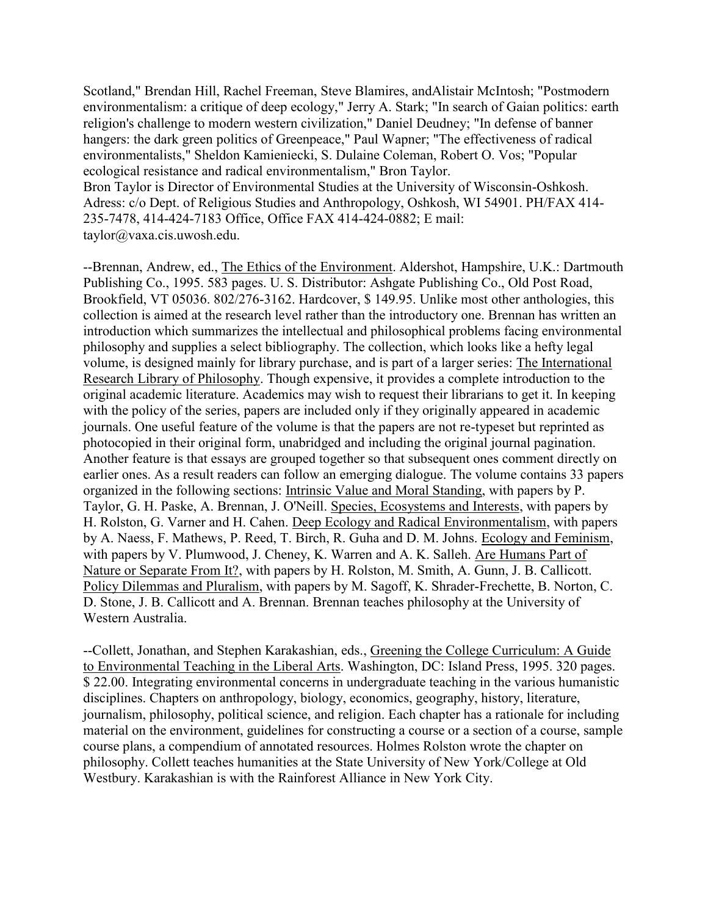Scotland," Brendan Hill, Rachel Freeman, Steve Blamires, andAlistair McIntosh; "Postmodern environmentalism: a critique of deep ecology," Jerry A. Stark; "In search of Gaian politics: earth religion's challenge to modern western civilization," Daniel Deudney; "In defense of banner hangers: the dark green politics of Greenpeace," Paul Wapner; "The effectiveness of radical environmentalists," Sheldon Kamieniecki, S. Dulaine Coleman, Robert O. Vos; "Popular ecological resistance and radical environmentalism," Bron Taylor. Bron Taylor is Director of Environmental Studies at the University of Wisconsin-Oshkosh. Adress: c/o Dept. of Religious Studies and Anthropology, Oshkosh, WI 54901. PH/FAX 414- 235-7478, 414-424-7183 Office, Office FAX 414-424-0882; E mail: taylor@vaxa.cis.uwosh.edu.

--Brennan, Andrew, ed., The Ethics of the Environment. Aldershot, Hampshire, U.K.: Dartmouth Publishing Co., 1995. 583 pages. U. S. Distributor: Ashgate Publishing Co., Old Post Road, Brookfield, VT 05036. 802/276-3162. Hardcover, \$ 149.95. Unlike most other anthologies, this collection is aimed at the research level rather than the introductory one. Brennan has written an introduction which summarizes the intellectual and philosophical problems facing environmental philosophy and supplies a select bibliography. The collection, which looks like a hefty legal volume, is designed mainly for library purchase, and is part of a larger series: The International Research Library of Philosophy. Though expensive, it provides a complete introduction to the original academic literature. Academics may wish to request their librarians to get it. In keeping with the policy of the series, papers are included only if they originally appeared in academic journals. One useful feature of the volume is that the papers are not re-typeset but reprinted as photocopied in their original form, unabridged and including the original journal pagination. Another feature is that essays are grouped together so that subsequent ones comment directly on earlier ones. As a result readers can follow an emerging dialogue. The volume contains 33 papers organized in the following sections: Intrinsic Value and Moral Standing, with papers by P. Taylor, G. H. Paske, A. Brennan, J. O'Neill. Species, Ecosystems and Interests, with papers by H. Rolston, G. Varner and H. Cahen. Deep Ecology and Radical Environmentalism, with papers by A. Naess, F. Mathews, P. Reed, T. Birch, R. Guha and D. M. Johns. Ecology and Feminism, with papers by V. Plumwood, J. Cheney, K. Warren and A. K. Salleh. Are Humans Part of Nature or Separate From It?, with papers by H. Rolston, M. Smith, A. Gunn, J. B. Callicott. Policy Dilemmas and Pluralism, with papers by M. Sagoff, K. Shrader-Frechette, B. Norton, C. D. Stone, J. B. Callicott and A. Brennan. Brennan teaches philosophy at the University of Western Australia.

--Collett, Jonathan, and Stephen Karakashian, eds., Greening the College Curriculum: A Guide to Environmental Teaching in the Liberal Arts. Washington, DC: Island Press, 1995. 320 pages. \$22.00. Integrating environmental concerns in undergraduate teaching in the various humanistic disciplines. Chapters on anthropology, biology, economics, geography, history, literature, journalism, philosophy, political science, and religion. Each chapter has a rationale for including material on the environment, guidelines for constructing a course or a section of a course, sample course plans, a compendium of annotated resources. Holmes Rolston wrote the chapter on philosophy. Collett teaches humanities at the State University of New York/College at Old Westbury. Karakashian is with the Rainforest Alliance in New York City.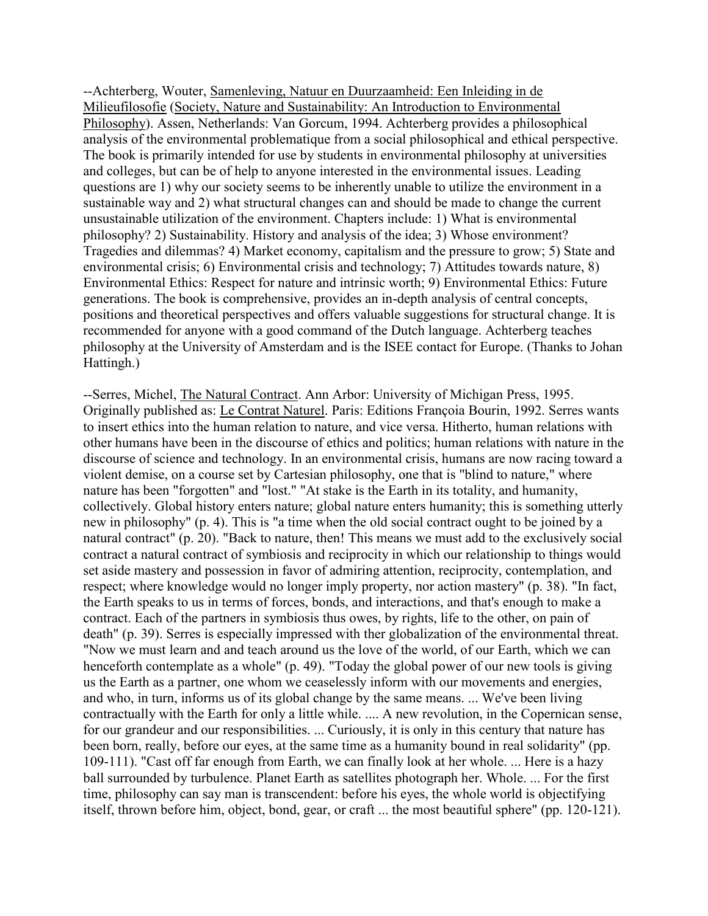--Achterberg, Wouter, Samenleving, Natuur en Duurzaamheid: Een Inleiding in de Milieufilosofie (Society, Nature and Sustainability: An Introduction to Environmental Philosophy). Assen, Netherlands: Van Gorcum, 1994. Achterberg provides a philosophical analysis of the environmental problematique from a social philosophical and ethical perspective. The book is primarily intended for use by students in environmental philosophy at universities and colleges, but can be of help to anyone interested in the environmental issues. Leading questions are 1) why our society seems to be inherently unable to utilize the environment in a sustainable way and 2) what structural changes can and should be made to change the current unsustainable utilization of the environment. Chapters include: 1) What is environmental philosophy? 2) Sustainability. History and analysis of the idea; 3) Whose environment? Tragedies and dilemmas? 4) Market economy, capitalism and the pressure to grow; 5) State and environmental crisis; 6) Environmental crisis and technology; 7) Attitudes towards nature, 8) Environmental Ethics: Respect for nature and intrinsic worth; 9) Environmental Ethics: Future generations. The book is comprehensive, provides an in-depth analysis of central concepts, positions and theoretical perspectives and offers valuable suggestions for structural change. It is recommended for anyone with a good command of the Dutch language. Achterberg teaches philosophy at the University of Amsterdam and is the ISEE contact for Europe. (Thanks to Johan Hattingh.)

--Serres, Michel, The Natural Contract. Ann Arbor: University of Michigan Press, 1995. Originally published as: Le Contrat Naturel. Paris: Editions Françoia Bourin, 1992. Serres wants to insert ethics into the human relation to nature, and vice versa. Hitherto, human relations with other humans have been in the discourse of ethics and politics; human relations with nature in the discourse of science and technology. In an environmental crisis, humans are now racing toward a violent demise, on a course set by Cartesian philosophy, one that is "blind to nature," where nature has been "forgotten" and "lost." "At stake is the Earth in its totality, and humanity, collectively. Global history enters nature; global nature enters humanity; this is something utterly new in philosophy" (p. 4). This is "a time when the old social contract ought to be joined by a natural contract" (p. 20). "Back to nature, then! This means we must add to the exclusively social contract a natural contract of symbiosis and reciprocity in which our relationship to things would set aside mastery and possession in favor of admiring attention, reciprocity, contemplation, and respect; where knowledge would no longer imply property, nor action mastery" (p. 38). "In fact, the Earth speaks to us in terms of forces, bonds, and interactions, and that's enough to make a contract. Each of the partners in symbiosis thus owes, by rights, life to the other, on pain of death" (p. 39). Serres is especially impressed with ther globalization of the environmental threat. "Now we must learn and and teach around us the love of the world, of our Earth, which we can henceforth contemplate as a whole" (p. 49). "Today the global power of our new tools is giving us the Earth as a partner, one whom we ceaselessly inform with our movements and energies, and who, in turn, informs us of its global change by the same means. ... We've been living contractually with the Earth for only a little while. .... A new revolution, in the Copernican sense, for our grandeur and our responsibilities. ... Curiously, it is only in this century that nature has been born, really, before our eyes, at the same time as a humanity bound in real solidarity" (pp. 109-111). "Cast off far enough from Earth, we can finally look at her whole. ... Here is a hazy ball surrounded by turbulence. Planet Earth as satellites photograph her. Whole. ... For the first time, philosophy can say man is transcendent: before his eyes, the whole world is objectifying itself, thrown before him, object, bond, gear, or craft ... the most beautiful sphere" (pp. 120-121).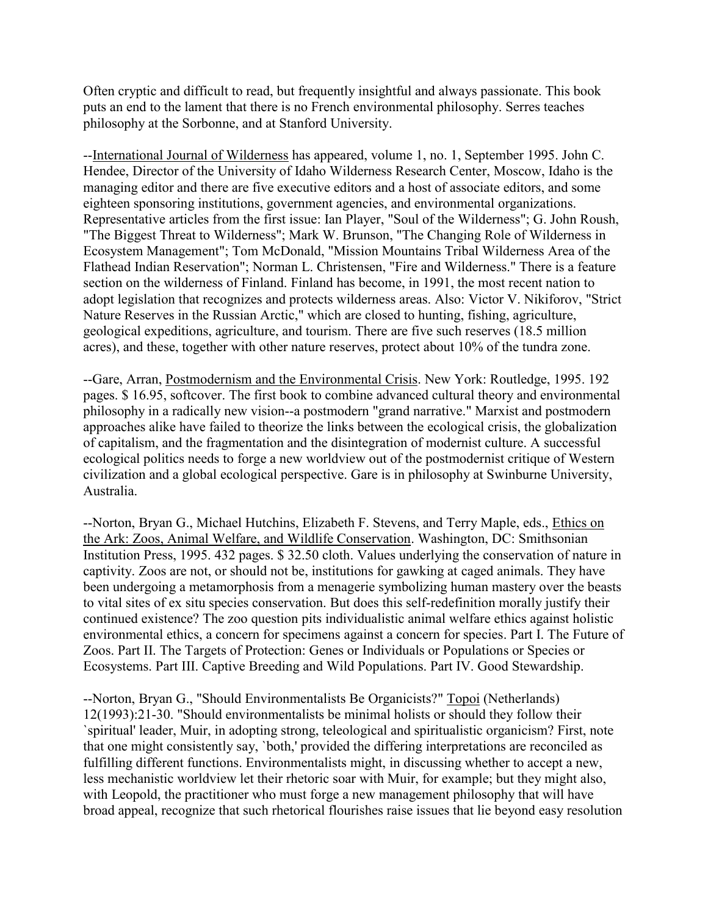Often cryptic and difficult to read, but frequently insightful and always passionate. This book puts an end to the lament that there is no French environmental philosophy. Serres teaches philosophy at the Sorbonne, and at Stanford University.

--International Journal of Wilderness has appeared, volume 1, no. 1, September 1995. John C. Hendee, Director of the University of Idaho Wilderness Research Center, Moscow, Idaho is the managing editor and there are five executive editors and a host of associate editors, and some eighteen sponsoring institutions, government agencies, and environmental organizations. Representative articles from the first issue: Ian Player, "Soul of the Wilderness"; G. John Roush, "The Biggest Threat to Wilderness"; Mark W. Brunson, "The Changing Role of Wilderness in Ecosystem Management"; Tom McDonald, "Mission Mountains Tribal Wilderness Area of the Flathead Indian Reservation"; Norman L. Christensen, "Fire and Wilderness." There is a feature section on the wilderness of Finland. Finland has become, in 1991, the most recent nation to adopt legislation that recognizes and protects wilderness areas. Also: Victor V. Nikiforov, "Strict Nature Reserves in the Russian Arctic," which are closed to hunting, fishing, agriculture, geological expeditions, agriculture, and tourism. There are five such reserves (18.5 million acres), and these, together with other nature reserves, protect about 10% of the tundra zone.

--Gare, Arran, Postmodernism and the Environmental Crisis. New York: Routledge, 1995. 192 pages. \$ 16.95, softcover. The first book to combine advanced cultural theory and environmental philosophy in a radically new vision--a postmodern "grand narrative." Marxist and postmodern approaches alike have failed to theorize the links between the ecological crisis, the globalization of capitalism, and the fragmentation and the disintegration of modernist culture. A successful ecological politics needs to forge a new worldview out of the postmodernist critique of Western civilization and a global ecological perspective. Gare is in philosophy at Swinburne University, Australia.

--Norton, Bryan G., Michael Hutchins, Elizabeth F. Stevens, and Terry Maple, eds., Ethics on the Ark: Zoos, Animal Welfare, and Wildlife Conservation. Washington, DC: Smithsonian Institution Press, 1995. 432 pages. \$ 32.50 cloth. Values underlying the conservation of nature in captivity. Zoos are not, or should not be, institutions for gawking at caged animals. They have been undergoing a metamorphosis from a menagerie symbolizing human mastery over the beasts to vital sites of ex situ species conservation. But does this self-redefinition morally justify their continued existence? The zoo question pits individualistic animal welfare ethics against holistic environmental ethics, a concern for specimens against a concern for species. Part I. The Future of Zoos. Part II. The Targets of Protection: Genes or Individuals or Populations or Species or Ecosystems. Part III. Captive Breeding and Wild Populations. Part IV. Good Stewardship.

--Norton, Bryan G., "Should Environmentalists Be Organicists?" Topoi (Netherlands) 12(1993):21-30. "Should environmentalists be minimal holists or should they follow their `spiritual' leader, Muir, in adopting strong, teleological and spiritualistic organicism? First, note that one might consistently say, `both,' provided the differing interpretations are reconciled as fulfilling different functions. Environmentalists might, in discussing whether to accept a new, less mechanistic worldview let their rhetoric soar with Muir, for example; but they might also, with Leopold, the practitioner who must forge a new management philosophy that will have broad appeal, recognize that such rhetorical flourishes raise issues that lie beyond easy resolution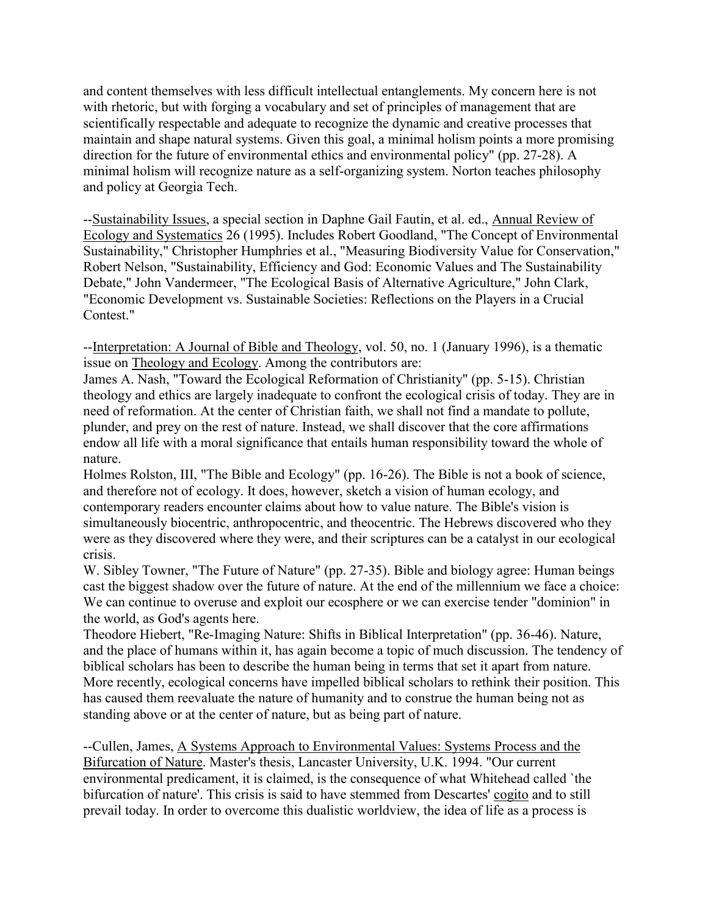and content themselves with less difficult intellectual entanglements. My concern here is not with rhetoric, but with forging a vocabulary and set of principles of management that are scientifically respectable and adequate to recognize the dynamic and creative processes that maintain and shape natural systems. Given this goal, a minimal holism points a more promising direction for the future of environmental ethics and environmental policy" (pp. 27-28). A minimal holism will recognize nature as a self-organizing system. Norton teaches philosophy and policy at Georgia Tech.

--Sustainability Issues, a special section in Daphne Gail Fautin, et al. ed., Annual Review of Ecology and Systematics 26 (1995). Includes Robert Goodland, "The Concept of Environmental Sustainability," Christopher Humphries et al., "Measuring Biodiversity Value for Conservation," Robert Nelson, "Sustainability, Efficiency and God: Economic Values and The Sustainability Debate," John Vandermeer, "The Ecological Basis of Alternative Agriculture," John Clark, "Economic Development vs. Sustainable Societies: Reflections on the Players in a Crucial Contest."

--Interpretation: A Journal of Bible and Theology, vol. 50, no. 1 (January 1996), is a thematic issue on Theology and Ecology. Among the contributors are:

James A. Nash, "Toward the Ecological Reformation of Christianity" (pp. 5-15). Christian theology and ethics are largely inadequate to confront the ecological crisis of today. They are in need of reformation. At the center of Christian faith, we shall not find a mandate to pollute, plunder, and prey on the rest of nature. Instead, we shall discover that the core affirmations endow all life with a moral significance that entails human responsibility toward the whole of nature.

Holmes Rolston, III, "The Bible and Ecology" (pp. 16-26). The Bible is not a book of science, and therefore not of ecology. It does, however, sketch a vision of human ecology, and contemporary readers encounter claims about how to value nature. The Bible's vision is simultaneously biocentric, anthropocentric, and theocentric. The Hebrews discovered who they were as they discovered where they were, and their scriptures can be a catalyst in our ecological crisis.

W. Sibley Towner, "The Future of Nature" (pp. 27-35). Bible and biology agree: Human beings cast the biggest shadow over the future of nature. At the end of the millennium we face a choice: We can continue to overuse and exploit our ecosphere or we can exercise tender "dominion" in the world, as God's agents here.

Theodore Hiebert, "Re-Imaging Nature: Shifts in Biblical Interpretation" (pp. 36-46). Nature, and the place of humans within it, has again become a topic of much discussion. The tendency of biblical scholars has been to describe the human being in terms that set it apart from nature. More recently, ecological concerns have impelled biblical scholars to rethink their position. This has caused them reevaluate the nature of humanity and to construe the human being not as standing above or at the center of nature, but as being part of nature.

--Cullen, James, A Systems Approach to Environmental Values: Systems Process and the Bifurcation of Nature. Master's thesis, Lancaster University, U.K. 1994. "Our current environmental predicament, it is claimed, is the consequence of what Whitehead called `the bifurcation of nature'. This crisis is said to have stemmed from Descartes' cogito and to still prevail today. In order to overcome this dualistic worldview, the idea of life as a process is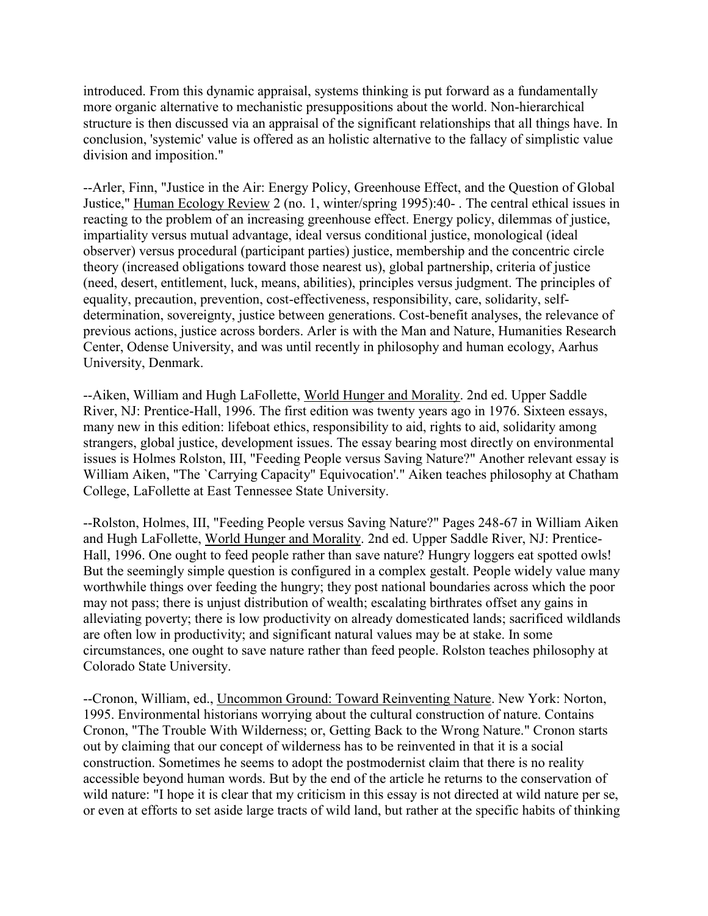introduced. From this dynamic appraisal, systems thinking is put forward as a fundamentally more organic alternative to mechanistic presuppositions about the world. Non-hierarchical structure is then discussed via an appraisal of the significant relationships that all things have. In conclusion, 'systemic' value is offered as an holistic alternative to the fallacy of simplistic value division and imposition."

--Arler, Finn, "Justice in the Air: Energy Policy, Greenhouse Effect, and the Question of Global Justice," Human Ecology Review 2 (no. 1, winter/spring 1995):40- . The central ethical issues in reacting to the problem of an increasing greenhouse effect. Energy policy, dilemmas of justice, impartiality versus mutual advantage, ideal versus conditional justice, monological (ideal observer) versus procedural (participant parties) justice, membership and the concentric circle theory (increased obligations toward those nearest us), global partnership, criteria of justice (need, desert, entitlement, luck, means, abilities), principles versus judgment. The principles of equality, precaution, prevention, cost-effectiveness, responsibility, care, solidarity, selfdetermination, sovereignty, justice between generations. Cost-benefit analyses, the relevance of previous actions, justice across borders. Arler is with the Man and Nature, Humanities Research Center, Odense University, and was until recently in philosophy and human ecology, Aarhus University, Denmark.

--Aiken, William and Hugh LaFollette, World Hunger and Morality. 2nd ed. Upper Saddle River, NJ: Prentice-Hall, 1996. The first edition was twenty years ago in 1976. Sixteen essays, many new in this edition: lifeboat ethics, responsibility to aid, rights to aid, solidarity among strangers, global justice, development issues. The essay bearing most directly on environmental issues is Holmes Rolston, III, "Feeding People versus Saving Nature?" Another relevant essay is William Aiken, "The `Carrying Capacity" Equivocation'." Aiken teaches philosophy at Chatham College, LaFollette at East Tennessee State University.

--Rolston, Holmes, III, "Feeding People versus Saving Nature?" Pages 248-67 in William Aiken and Hugh LaFollette, World Hunger and Morality. 2nd ed. Upper Saddle River, NJ: Prentice-Hall, 1996. One ought to feed people rather than save nature? Hungry loggers eat spotted owls! But the seemingly simple question is configured in a complex gestalt. People widely value many worthwhile things over feeding the hungry; they post national boundaries across which the poor may not pass; there is unjust distribution of wealth; escalating birthrates offset any gains in alleviating poverty; there is low productivity on already domesticated lands; sacrificed wildlands are often low in productivity; and significant natural values may be at stake. In some circumstances, one ought to save nature rather than feed people. Rolston teaches philosophy at Colorado State University.

--Cronon, William, ed., Uncommon Ground: Toward Reinventing Nature. New York: Norton, 1995. Environmental historians worrying about the cultural construction of nature. Contains Cronon, "The Trouble With Wilderness; or, Getting Back to the Wrong Nature." Cronon starts out by claiming that our concept of wilderness has to be reinvented in that it is a social construction. Sometimes he seems to adopt the postmodernist claim that there is no reality accessible beyond human words. But by the end of the article he returns to the conservation of wild nature: "I hope it is clear that my criticism in this essay is not directed at wild nature per se, or even at efforts to set aside large tracts of wild land, but rather at the specific habits of thinking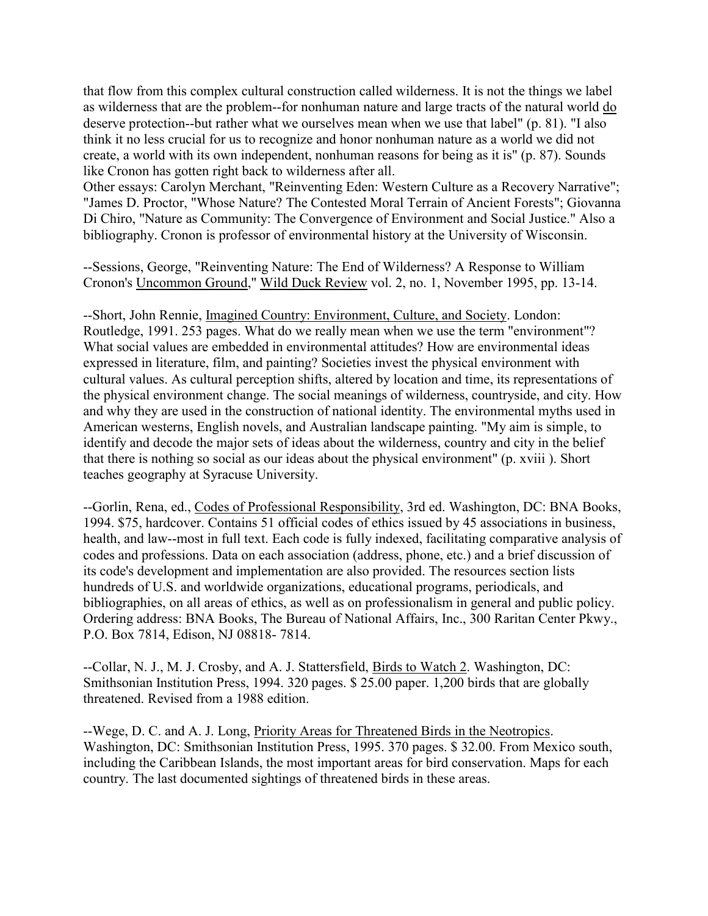that flow from this complex cultural construction called wilderness. It is not the things we label as wilderness that are the problem--for nonhuman nature and large tracts of the natural world do deserve protection--but rather what we ourselves mean when we use that label" (p. 81). "I also think it no less crucial for us to recognize and honor nonhuman nature as a world we did not create, a world with its own independent, nonhuman reasons for being as it is" (p. 87). Sounds like Cronon has gotten right back to wilderness after all.

Other essays: Carolyn Merchant, "Reinventing Eden: Western Culture as a Recovery Narrative"; "James D. Proctor, "Whose Nature? The Contested Moral Terrain of Ancient Forests"; Giovanna Di Chiro, "Nature as Community: The Convergence of Environment and Social Justice." Also a bibliography. Cronon is professor of environmental history at the University of Wisconsin.

--Sessions, George, "Reinventing Nature: The End of Wilderness? A Response to William Cronon's Uncommon Ground," Wild Duck Review vol. 2, no. 1, November 1995, pp. 13-14.

--Short, John Rennie, Imagined Country: Environment, Culture, and Society. London: Routledge, 1991. 253 pages. What do we really mean when we use the term "environment"? What social values are embedded in environmental attitudes? How are environmental ideas expressed in literature, film, and painting? Societies invest the physical environment with cultural values. As cultural perception shifts, altered by location and time, its representations of the physical environment change. The social meanings of wilderness, countryside, and city. How and why they are used in the construction of national identity. The environmental myths used in American westerns, English novels, and Australian landscape painting. "My aim is simple, to identify and decode the major sets of ideas about the wilderness, country and city in the belief that there is nothing so social as our ideas about the physical environment" (p. xviii ). Short teaches geography at Syracuse University.

--Gorlin, Rena, ed., Codes of Professional Responsibility, 3rd ed. Washington, DC: BNA Books, 1994. \$75, hardcover. Contains 51 official codes of ethics issued by 45 associations in business, health, and law--most in full text. Each code is fully indexed, facilitating comparative analysis of codes and professions. Data on each association (address, phone, etc.) and a brief discussion of its code's development and implementation are also provided. The resources section lists hundreds of U.S. and worldwide organizations, educational programs, periodicals, and bibliographies, on all areas of ethics, as well as on professionalism in general and public policy. Ordering address: BNA Books, The Bureau of National Affairs, Inc., 300 Raritan Center Pkwy., P.O. Box 7814, Edison, NJ 08818- 7814.

--Collar, N. J., M. J. Crosby, and A. J. Stattersfield, Birds to Watch 2. Washington, DC: Smithsonian Institution Press, 1994. 320 pages. \$ 25.00 paper. 1,200 birds that are globally threatened. Revised from a 1988 edition.

--Wege, D. C. and A. J. Long, Priority Areas for Threatened Birds in the Neotropics. Washington, DC: Smithsonian Institution Press, 1995. 370 pages. \$ 32.00. From Mexico south, including the Caribbean Islands, the most important areas for bird conservation. Maps for each country. The last documented sightings of threatened birds in these areas.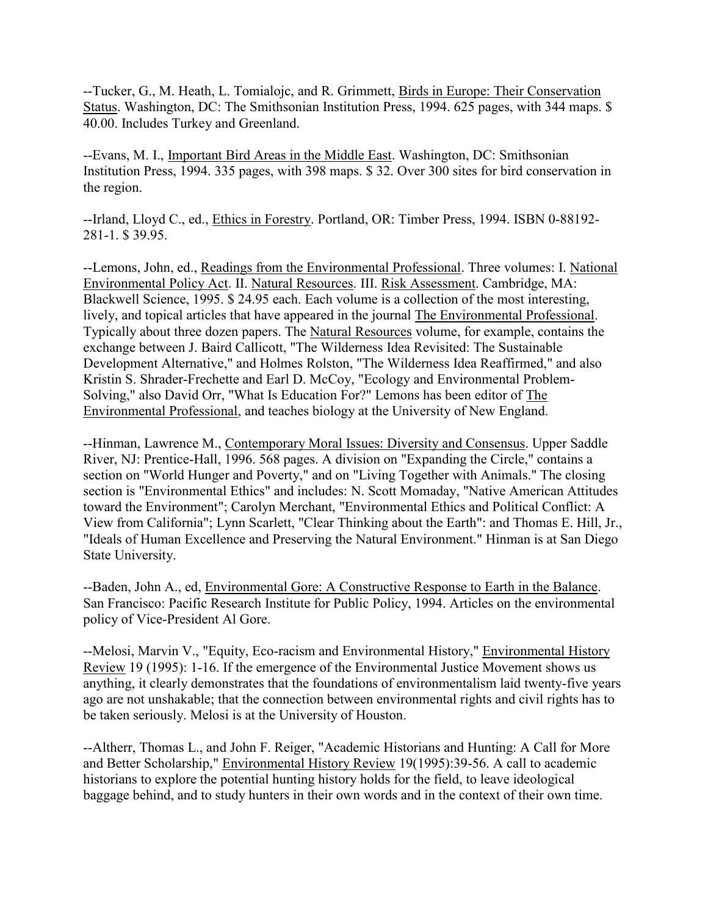--Tucker, G., M. Heath, L. Tomialojc, and R. Grimmett, Birds in Europe: Their Conservation Status. Washington, DC: The Smithsonian Institution Press, 1994. 625 pages, with 344 maps. \$ 40.00. Includes Turkey and Greenland.

--Evans, M. I., Important Bird Areas in the Middle East. Washington, DC: Smithsonian Institution Press, 1994. 335 pages, with 398 maps. \$ 32. Over 300 sites for bird conservation in the region.

--Irland, Lloyd C., ed., Ethics in Forestry. Portland, OR: Timber Press, 1994. ISBN 0-88192- 281-1. \$ 39.95.

--Lemons, John, ed., Readings from the Environmental Professional. Three volumes: I. National Environmental Policy Act. II. Natural Resources. III. Risk Assessment. Cambridge, MA: Blackwell Science, 1995. \$ 24.95 each. Each volume is a collection of the most interesting, lively, and topical articles that have appeared in the journal The Environmental Professional. Typically about three dozen papers. The Natural Resources volume, for example, contains the exchange between J. Baird Callicott, "The Wilderness Idea Revisited: The Sustainable Development Alternative," and Holmes Rolston, "The Wilderness Idea Reaffirmed," and also Kristin S. Shrader-Frechette and Earl D. McCoy, "Ecology and Environmental Problem-Solving," also David Orr, "What Is Education For?" Lemons has been editor of The Environmental Professional, and teaches biology at the University of New England.

--Hinman, Lawrence M., Contemporary Moral Issues: Diversity and Consensus. Upper Saddle River, NJ: Prentice-Hall, 1996. 568 pages. A division on "Expanding the Circle," contains a section on "World Hunger and Poverty," and on "Living Together with Animals." The closing section is "Environmental Ethics" and includes: N. Scott Momaday, "Native American Attitudes toward the Environment"; Carolyn Merchant, "Environmental Ethics and Political Conflict: A View from California"; Lynn Scarlett, "Clear Thinking about the Earth": and Thomas E. Hill, Jr., "Ideals of Human Excellence and Preserving the Natural Environment." Hinman is at San Diego State University.

--Baden, John A., ed, Environmental Gore: A Constructive Response to Earth in the Balance. San Francisco: Pacific Research Institute for Public Policy, 1994. Articles on the environmental policy of Vice-President Al Gore.

--Melosi, Marvin V., "Equity, Eco-racism and Environmental History," Environmental History Review 19 (1995): 1-16. If the emergence of the Environmental Justice Movement shows us anything, it clearly demonstrates that the foundations of environmentalism laid twenty-five years ago are not unshakable; that the connection between environmental rights and civil rights has to be taken seriously. Melosi is at the University of Houston.

--Altherr, Thomas L., and John F. Reiger, "Academic Historians and Hunting: A Call for More and Better Scholarship," Environmental History Review 19(1995):39-56. A call to academic historians to explore the potential hunting history holds for the field, to leave ideological baggage behind, and to study hunters in their own words and in the context of their own time.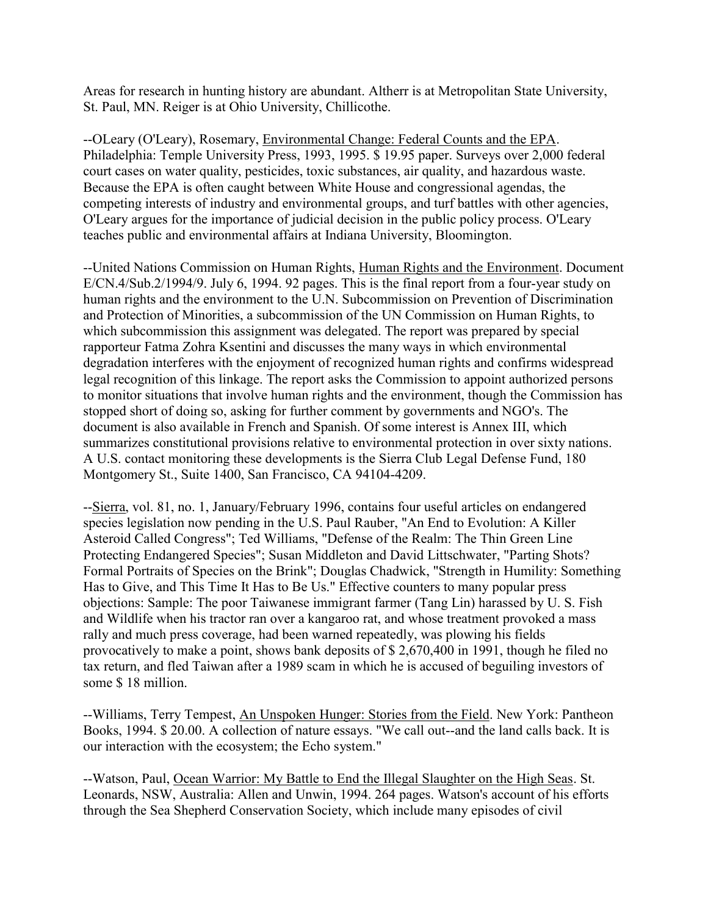Areas for research in hunting history are abundant. Altherr is at Metropolitan State University, St. Paul, MN. Reiger is at Ohio University, Chillicothe.

--OLeary (O'Leary), Rosemary, Environmental Change: Federal Counts and the EPA. Philadelphia: Temple University Press, 1993, 1995. \$ 19.95 paper. Surveys over 2,000 federal court cases on water quality, pesticides, toxic substances, air quality, and hazardous waste. Because the EPA is often caught between White House and congressional agendas, the competing interests of industry and environmental groups, and turf battles with other agencies, O'Leary argues for the importance of judicial decision in the public policy process. O'Leary teaches public and environmental affairs at Indiana University, Bloomington.

--United Nations Commission on Human Rights, Human Rights and the Environment. Document E/CN.4/Sub.2/1994/9. July 6, 1994. 92 pages. This is the final report from a four-year study on human rights and the environment to the U.N. Subcommission on Prevention of Discrimination and Protection of Minorities, a subcommission of the UN Commission on Human Rights, to which subcommission this assignment was delegated. The report was prepared by special rapporteur Fatma Zohra Ksentini and discusses the many ways in which environmental degradation interferes with the enjoyment of recognized human rights and confirms widespread legal recognition of this linkage. The report asks the Commission to appoint authorized persons to monitor situations that involve human rights and the environment, though the Commission has stopped short of doing so, asking for further comment by governments and NGO's. The document is also available in French and Spanish. Of some interest is Annex III, which summarizes constitutional provisions relative to environmental protection in over sixty nations. A U.S. contact monitoring these developments is the Sierra Club Legal Defense Fund, 180 Montgomery St., Suite 1400, San Francisco, CA 94104-4209.

--Sierra, vol. 81, no. 1, January/February 1996, contains four useful articles on endangered species legislation now pending in the U.S. Paul Rauber, "An End to Evolution: A Killer Asteroid Called Congress"; Ted Williams, "Defense of the Realm: The Thin Green Line Protecting Endangered Species"; Susan Middleton and David Littschwater, "Parting Shots? Formal Portraits of Species on the Brink"; Douglas Chadwick, "Strength in Humility: Something Has to Give, and This Time It Has to Be Us." Effective counters to many popular press objections: Sample: The poor Taiwanese immigrant farmer (Tang Lin) harassed by U. S. Fish and Wildlife when his tractor ran over a kangaroo rat, and whose treatment provoked a mass rally and much press coverage, had been warned repeatedly, was plowing his fields provocatively to make a point, shows bank deposits of \$ 2,670,400 in 1991, though he filed no tax return, and fled Taiwan after a 1989 scam in which he is accused of beguiling investors of some \$ 18 million.

--Williams, Terry Tempest, An Unspoken Hunger: Stories from the Field. New York: Pantheon Books, 1994. \$ 20.00. A collection of nature essays. "We call out--and the land calls back. It is our interaction with the ecosystem; the Echo system."

--Watson, Paul, Ocean Warrior: My Battle to End the Illegal Slaughter on the High Seas. St. Leonards, NSW, Australia: Allen and Unwin, 1994. 264 pages. Watson's account of his efforts through the Sea Shepherd Conservation Society, which include many episodes of civil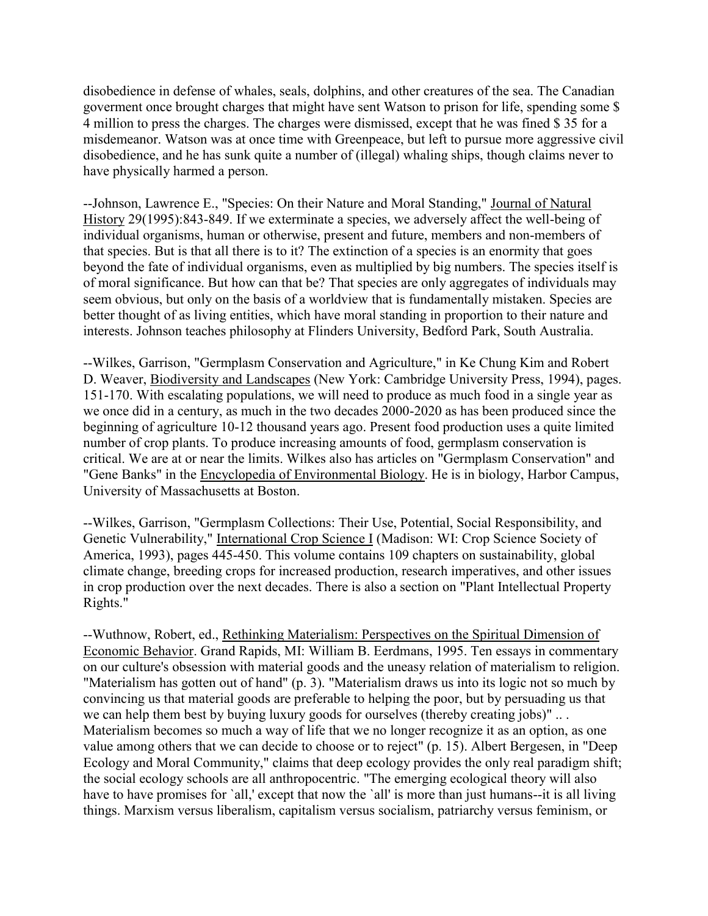disobedience in defense of whales, seals, dolphins, and other creatures of the sea. The Canadian goverment once brought charges that might have sent Watson to prison for life, spending some \$ 4 million to press the charges. The charges were dismissed, except that he was fined \$ 35 for a misdemeanor. Watson was at once time with Greenpeace, but left to pursue more aggressive civil disobedience, and he has sunk quite a number of (illegal) whaling ships, though claims never to have physically harmed a person.

--Johnson, Lawrence E., "Species: On their Nature and Moral Standing," Journal of Natural History 29(1995):843-849. If we exterminate a species, we adversely affect the well-being of individual organisms, human or otherwise, present and future, members and non-members of that species. But is that all there is to it? The extinction of a species is an enormity that goes beyond the fate of individual organisms, even as multiplied by big numbers. The species itself is of moral significance. But how can that be? That species are only aggregates of individuals may seem obvious, but only on the basis of a worldview that is fundamentally mistaken. Species are better thought of as living entities, which have moral standing in proportion to their nature and interests. Johnson teaches philosophy at Flinders University, Bedford Park, South Australia.

--Wilkes, Garrison, "Germplasm Conservation and Agriculture," in Ke Chung Kim and Robert D. Weaver, Biodiversity and Landscapes (New York: Cambridge University Press, 1994), pages. 151-170. With escalating populations, we will need to produce as much food in a single year as we once did in a century, as much in the two decades 2000-2020 as has been produced since the beginning of agriculture 10-12 thousand years ago. Present food production uses a quite limited number of crop plants. To produce increasing amounts of food, germplasm conservation is critical. We are at or near the limits. Wilkes also has articles on "Germplasm Conservation" and "Gene Banks" in the Encyclopedia of Environmental Biology. He is in biology, Harbor Campus, University of Massachusetts at Boston.

--Wilkes, Garrison, "Germplasm Collections: Their Use, Potential, Social Responsibility, and Genetic Vulnerability," International Crop Science I (Madison: WI: Crop Science Society of America, 1993), pages 445-450. This volume contains 109 chapters on sustainability, global climate change, breeding crops for increased production, research imperatives, and other issues in crop production over the next decades. There is also a section on "Plant Intellectual Property Rights."

--Wuthnow, Robert, ed., Rethinking Materialism: Perspectives on the Spiritual Dimension of Economic Behavior. Grand Rapids, MI: William B. Eerdmans, 1995. Ten essays in commentary on our culture's obsession with material goods and the uneasy relation of materialism to religion. "Materialism has gotten out of hand" (p. 3). "Materialism draws us into its logic not so much by convincing us that material goods are preferable to helping the poor, but by persuading us that we can help them best by buying luxury goods for ourselves (thereby creating jobs)"... Materialism becomes so much a way of life that we no longer recognize it as an option, as one value among others that we can decide to choose or to reject" (p. 15). Albert Bergesen, in "Deep Ecology and Moral Community," claims that deep ecology provides the only real paradigm shift; the social ecology schools are all anthropocentric. "The emerging ecological theory will also have to have promises for 'all,' except that now the 'all' is more than just humans--it is all living things. Marxism versus liberalism, capitalism versus socialism, patriarchy versus feminism, or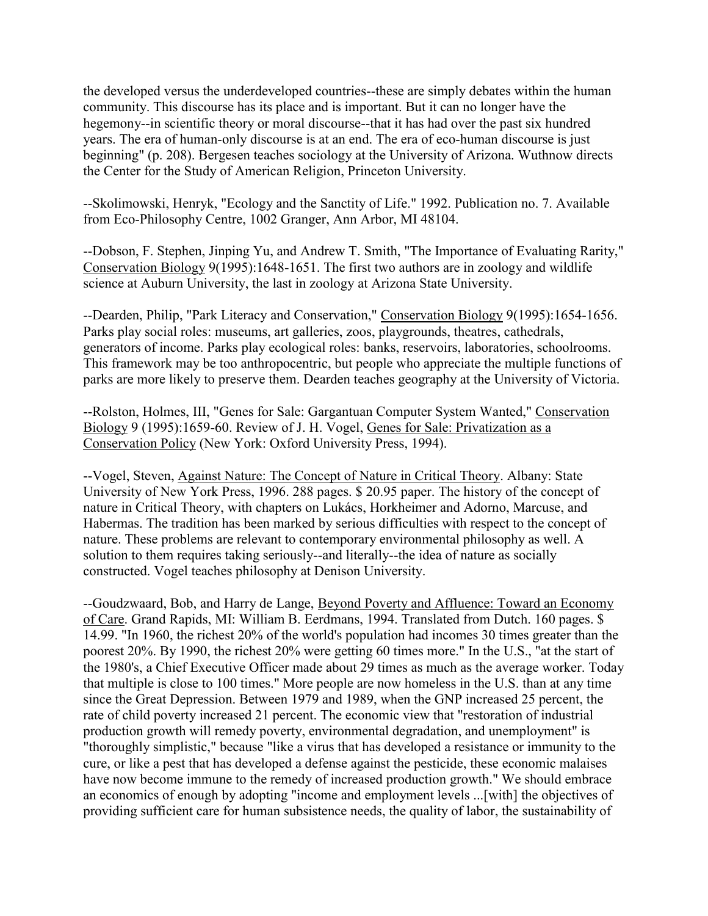the developed versus the underdeveloped countries--these are simply debates within the human community. This discourse has its place and is important. But it can no longer have the hegemony--in scientific theory or moral discourse--that it has had over the past six hundred years. The era of human-only discourse is at an end. The era of eco-human discourse is just beginning" (p. 208). Bergesen teaches sociology at the University of Arizona. Wuthnow directs the Center for the Study of American Religion, Princeton University.

--Skolimowski, Henryk, "Ecology and the Sanctity of Life." 1992. Publication no. 7. Available from Eco-Philosophy Centre, 1002 Granger, Ann Arbor, MI 48104.

--Dobson, F. Stephen, Jinping Yu, and Andrew T. Smith, "The Importance of Evaluating Rarity," Conservation Biology 9(1995):1648-1651. The first two authors are in zoology and wildlife science at Auburn University, the last in zoology at Arizona State University.

--Dearden, Philip, "Park Literacy and Conservation," Conservation Biology 9(1995):1654-1656. Parks play social roles: museums, art galleries, zoos, playgrounds, theatres, cathedrals, generators of income. Parks play ecological roles: banks, reservoirs, laboratories, schoolrooms. This framework may be too anthropocentric, but people who appreciate the multiple functions of parks are more likely to preserve them. Dearden teaches geography at the University of Victoria.

--Rolston, Holmes, III, "Genes for Sale: Gargantuan Computer System Wanted," Conservation Biology 9 (1995):1659-60. Review of J. H. Vogel, Genes for Sale: Privatization as a Conservation Policy (New York: Oxford University Press, 1994).

--Vogel, Steven, Against Nature: The Concept of Nature in Critical Theory. Albany: State University of New York Press, 1996. 288 pages. \$ 20.95 paper. The history of the concept of nature in Critical Theory, with chapters on Lukács, Horkheimer and Adorno, Marcuse, and Habermas. The tradition has been marked by serious difficulties with respect to the concept of nature. These problems are relevant to contemporary environmental philosophy as well. A solution to them requires taking seriously--and literally--the idea of nature as socially constructed. Vogel teaches philosophy at Denison University.

--Goudzwaard, Bob, and Harry de Lange, Beyond Poverty and Affluence: Toward an Economy of Care. Grand Rapids, MI: William B. Eerdmans, 1994. Translated from Dutch. 160 pages. \$ 14.99. "In 1960, the richest 20% of the world's population had incomes 30 times greater than the poorest 20%. By 1990, the richest 20% were getting 60 times more." In the U.S., "at the start of the 1980's, a Chief Executive Officer made about 29 times as much as the average worker. Today that multiple is close to 100 times." More people are now homeless in the U.S. than at any time since the Great Depression. Between 1979 and 1989, when the GNP increased 25 percent, the rate of child poverty increased 21 percent. The economic view that "restoration of industrial production growth will remedy poverty, environmental degradation, and unemployment" is "thoroughly simplistic," because "like a virus that has developed a resistance or immunity to the cure, or like a pest that has developed a defense against the pesticide, these economic malaises have now become immune to the remedy of increased production growth." We should embrace an economics of enough by adopting "income and employment levels ...[with] the objectives of providing sufficient care for human subsistence needs, the quality of labor, the sustainability of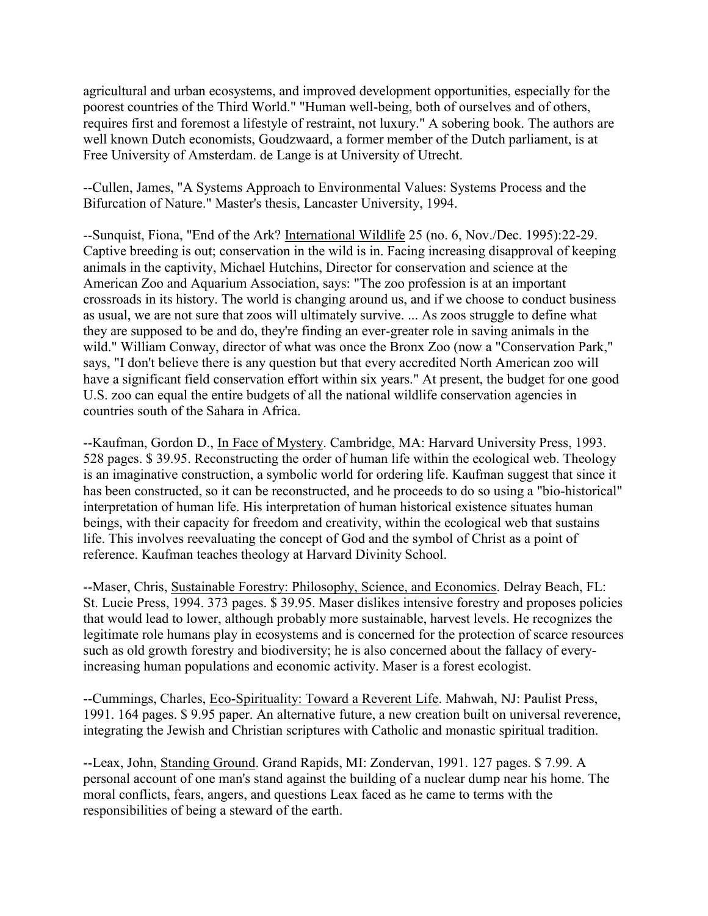agricultural and urban ecosystems, and improved development opportunities, especially for the poorest countries of the Third World." "Human well-being, both of ourselves and of others, requires first and foremost a lifestyle of restraint, not luxury." A sobering book. The authors are well known Dutch economists, Goudzwaard, a former member of the Dutch parliament, is at Free University of Amsterdam. de Lange is at University of Utrecht.

--Cullen, James, "A Systems Approach to Environmental Values: Systems Process and the Bifurcation of Nature." Master's thesis, Lancaster University, 1994.

--Sunquist, Fiona, "End of the Ark? International Wildlife 25 (no. 6, Nov./Dec. 1995):22-29. Captive breeding is out; conservation in the wild is in. Facing increasing disapproval of keeping animals in the captivity, Michael Hutchins, Director for conservation and science at the American Zoo and Aquarium Association, says: "The zoo profession is at an important crossroads in its history. The world is changing around us, and if we choose to conduct business as usual, we are not sure that zoos will ultimately survive. ... As zoos struggle to define what they are supposed to be and do, they're finding an ever-greater role in saving animals in the wild." William Conway, director of what was once the Bronx Zoo (now a "Conservation Park," says, "I don't believe there is any question but that every accredited North American zoo will have a significant field conservation effort within six years." At present, the budget for one good U.S. zoo can equal the entire budgets of all the national wildlife conservation agencies in countries south of the Sahara in Africa.

--Kaufman, Gordon D., In Face of Mystery. Cambridge, MA: Harvard University Press, 1993. 528 pages. \$ 39.95. Reconstructing the order of human life within the ecological web. Theology is an imaginative construction, a symbolic world for ordering life. Kaufman suggest that since it has been constructed, so it can be reconstructed, and he proceeds to do so using a "bio-historical" interpretation of human life. His interpretation of human historical existence situates human beings, with their capacity for freedom and creativity, within the ecological web that sustains life. This involves reevaluating the concept of God and the symbol of Christ as a point of reference. Kaufman teaches theology at Harvard Divinity School.

--Maser, Chris, Sustainable Forestry: Philosophy, Science, and Economics. Delray Beach, FL: St. Lucie Press, 1994. 373 pages. \$ 39.95. Maser dislikes intensive forestry and proposes policies that would lead to lower, although probably more sustainable, harvest levels. He recognizes the legitimate role humans play in ecosystems and is concerned for the protection of scarce resources such as old growth forestry and biodiversity; he is also concerned about the fallacy of everyincreasing human populations and economic activity. Maser is a forest ecologist.

--Cummings, Charles, Eco-Spirituality: Toward a Reverent Life. Mahwah, NJ: Paulist Press, 1991. 164 pages. \$ 9.95 paper. An alternative future, a new creation built on universal reverence, integrating the Jewish and Christian scriptures with Catholic and monastic spiritual tradition.

--Leax, John, Standing Ground. Grand Rapids, MI: Zondervan, 1991. 127 pages. \$ 7.99. A personal account of one man's stand against the building of a nuclear dump near his home. The moral conflicts, fears, angers, and questions Leax faced as he came to terms with the responsibilities of being a steward of the earth.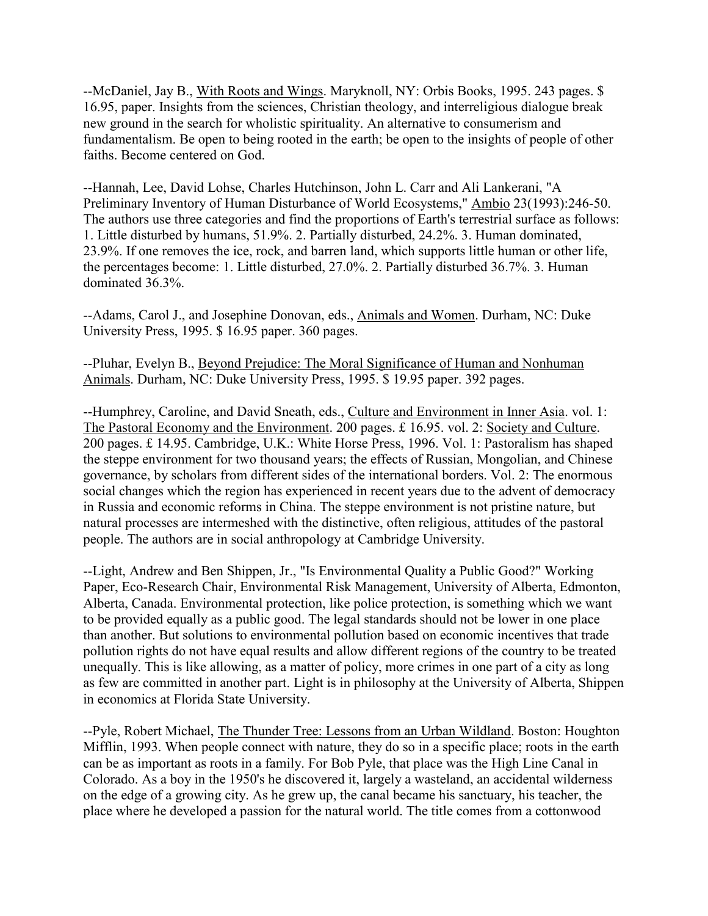--McDaniel, Jay B., With Roots and Wings. Maryknoll, NY: Orbis Books, 1995. 243 pages. \$ 16.95, paper. Insights from the sciences, Christian theology, and interreligious dialogue break new ground in the search for wholistic spirituality. An alternative to consumerism and fundamentalism. Be open to being rooted in the earth; be open to the insights of people of other faiths. Become centered on God.

--Hannah, Lee, David Lohse, Charles Hutchinson, John L. Carr and Ali Lankerani, "A Preliminary Inventory of Human Disturbance of World Ecosystems," Ambio 23(1993):246-50. The authors use three categories and find the proportions of Earth's terrestrial surface as follows: 1. Little disturbed by humans, 51.9%. 2. Partially disturbed, 24.2%. 3. Human dominated, 23.9%. If one removes the ice, rock, and barren land, which supports little human or other life, the percentages become: 1. Little disturbed, 27.0%. 2. Partially disturbed 36.7%. 3. Human dominated 36.3%.

--Adams, Carol J., and Josephine Donovan, eds., Animals and Women. Durham, NC: Duke University Press, 1995. \$ 16.95 paper. 360 pages.

--Pluhar, Evelyn B., Beyond Prejudice: The Moral Significance of Human and Nonhuman Animals. Durham, NC: Duke University Press, 1995. \$ 19.95 paper. 392 pages.

--Humphrey, Caroline, and David Sneath, eds., Culture and Environment in Inner Asia. vol. 1: The Pastoral Economy and the Environment. 200 pages. £ 16.95. vol. 2: Society and Culture. 200 pages. £ 14.95. Cambridge, U.K.: White Horse Press, 1996. Vol. 1: Pastoralism has shaped the steppe environment for two thousand years; the effects of Russian, Mongolian, and Chinese governance, by scholars from different sides of the international borders. Vol. 2: The enormous social changes which the region has experienced in recent years due to the advent of democracy in Russia and economic reforms in China. The steppe environment is not pristine nature, but natural processes are intermeshed with the distinctive, often religious, attitudes of the pastoral people. The authors are in social anthropology at Cambridge University.

--Light, Andrew and Ben Shippen, Jr., "Is Environmental Quality a Public Good?" Working Paper, Eco-Research Chair, Environmental Risk Management, University of Alberta, Edmonton, Alberta, Canada. Environmental protection, like police protection, is something which we want to be provided equally as a public good. The legal standards should not be lower in one place than another. But solutions to environmental pollution based on economic incentives that trade pollution rights do not have equal results and allow different regions of the country to be treated unequally. This is like allowing, as a matter of policy, more crimes in one part of a city as long as few are committed in another part. Light is in philosophy at the University of Alberta, Shippen in economics at Florida State University.

--Pyle, Robert Michael, The Thunder Tree: Lessons from an Urban Wildland. Boston: Houghton Mifflin, 1993. When people connect with nature, they do so in a specific place; roots in the earth can be as important as roots in a family. For Bob Pyle, that place was the High Line Canal in Colorado. As a boy in the 1950's he discovered it, largely a wasteland, an accidental wilderness on the edge of a growing city. As he grew up, the canal became his sanctuary, his teacher, the place where he developed a passion for the natural world. The title comes from a cottonwood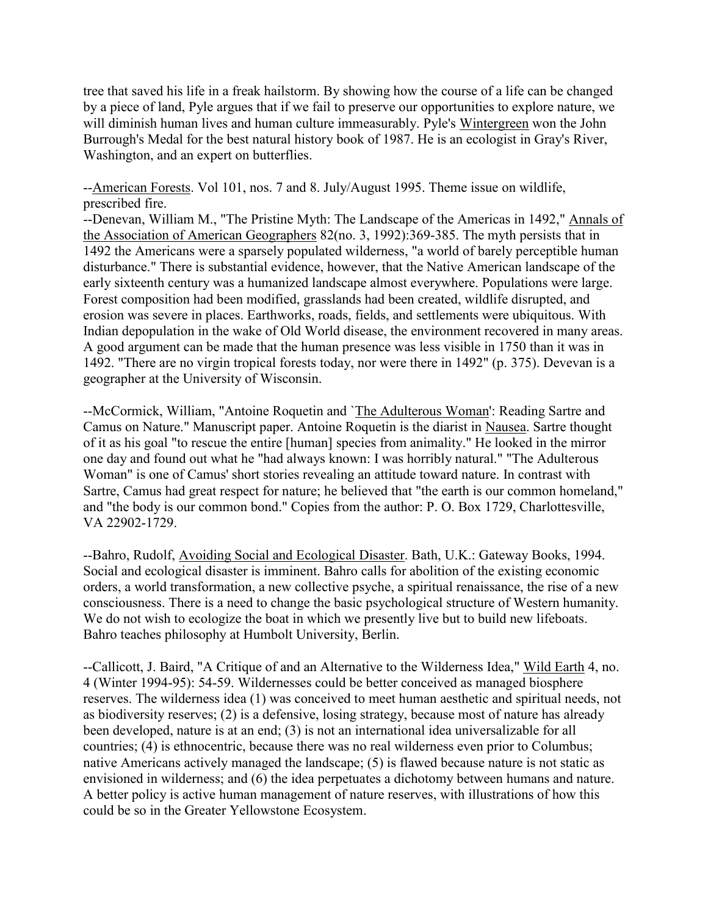tree that saved his life in a freak hailstorm. By showing how the course of a life can be changed by a piece of land, Pyle argues that if we fail to preserve our opportunities to explore nature, we will diminish human lives and human culture immeasurably. Pyle's Wintergreen won the John Burrough's Medal for the best natural history book of 1987. He is an ecologist in Gray's River, Washington, and an expert on butterflies.

--American Forests. Vol 101, nos. 7 and 8. July/August 1995. Theme issue on wildlife, prescribed fire.

--Denevan, William M., "The Pristine Myth: The Landscape of the Americas in 1492," Annals of the Association of American Geographers 82(no. 3, 1992):369-385. The myth persists that in 1492 the Americans were a sparsely populated wilderness, "a world of barely perceptible human disturbance." There is substantial evidence, however, that the Native American landscape of the early sixteenth century was a humanized landscape almost everywhere. Populations were large. Forest composition had been modified, grasslands had been created, wildlife disrupted, and erosion was severe in places. Earthworks, roads, fields, and settlements were ubiquitous. With Indian depopulation in the wake of Old World disease, the environment recovered in many areas. A good argument can be made that the human presence was less visible in 1750 than it was in 1492. "There are no virgin tropical forests today, nor were there in 1492" (p. 375). Devevan is a geographer at the University of Wisconsin.

--McCormick, William, "Antoine Roquetin and `The Adulterous Woman': Reading Sartre and Camus on Nature." Manuscript paper. Antoine Roquetin is the diarist in Nausea. Sartre thought of it as his goal "to rescue the entire [human] species from animality." He looked in the mirror one day and found out what he "had always known: I was horribly natural." "The Adulterous Woman" is one of Camus' short stories revealing an attitude toward nature. In contrast with Sartre, Camus had great respect for nature; he believed that "the earth is our common homeland," and "the body is our common bond." Copies from the author: P. O. Box 1729, Charlottesville, VA 22902-1729.

--Bahro, Rudolf, Avoiding Social and Ecological Disaster. Bath, U.K.: Gateway Books, 1994. Social and ecological disaster is imminent. Bahro calls for abolition of the existing economic orders, a world transformation, a new collective psyche, a spiritual renaissance, the rise of a new consciousness. There is a need to change the basic psychological structure of Western humanity. We do not wish to ecologize the boat in which we presently live but to build new lifeboats. Bahro teaches philosophy at Humbolt University, Berlin.

--Callicott, J. Baird, "A Critique of and an Alternative to the Wilderness Idea," Wild Earth 4, no. 4 (Winter 1994-95): 54-59. Wildernesses could be better conceived as managed biosphere reserves. The wilderness idea (1) was conceived to meet human aesthetic and spiritual needs, not as biodiversity reserves; (2) is a defensive, losing strategy, because most of nature has already been developed, nature is at an end; (3) is not an international idea universalizable for all countries; (4) is ethnocentric, because there was no real wilderness even prior to Columbus; native Americans actively managed the landscape; (5) is flawed because nature is not static as envisioned in wilderness; and (6) the idea perpetuates a dichotomy between humans and nature. A better policy is active human management of nature reserves, with illustrations of how this could be so in the Greater Yellowstone Ecosystem.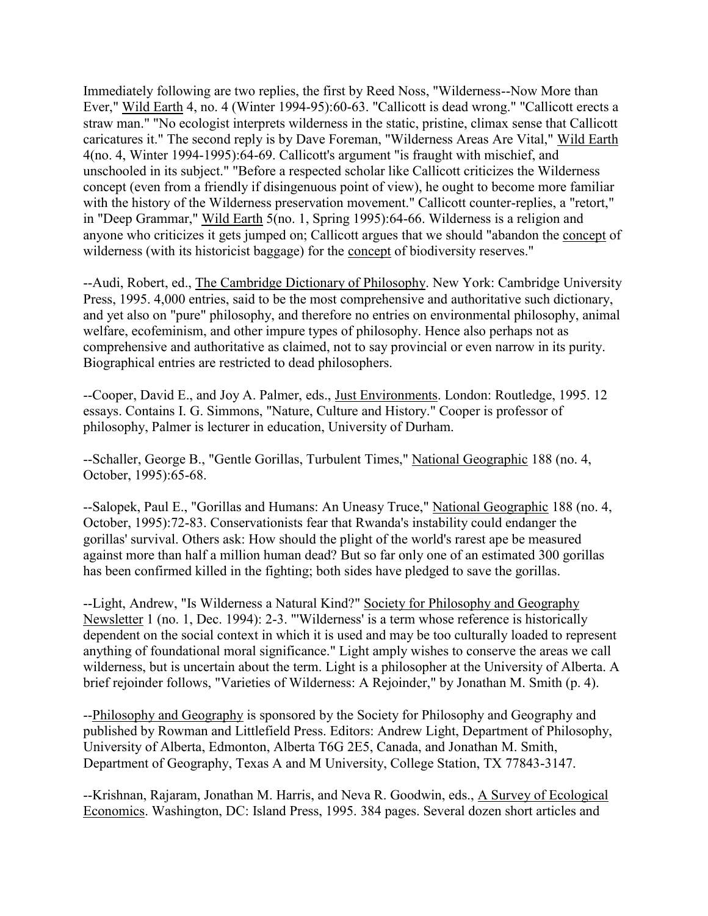Immediately following are two replies, the first by Reed Noss, "Wilderness--Now More than Ever," Wild Earth 4, no. 4 (Winter 1994-95):60-63. "Callicott is dead wrong." "Callicott erects a straw man." "No ecologist interprets wilderness in the static, pristine, climax sense that Callicott caricatures it." The second reply is by Dave Foreman, "Wilderness Areas Are Vital," Wild Earth 4(no. 4, Winter 1994-1995):64-69. Callicott's argument "is fraught with mischief, and unschooled in its subject." "Before a respected scholar like Callicott criticizes the Wilderness concept (even from a friendly if disingenuous point of view), he ought to become more familiar with the history of the Wilderness preservation movement." Callicott counter-replies, a "retort," in "Deep Grammar," Wild Earth 5(no. 1, Spring 1995):64-66. Wilderness is a religion and anyone who criticizes it gets jumped on; Callicott argues that we should "abandon the concept of wilderness (with its historicist baggage) for the concept of biodiversity reserves."

--Audi, Robert, ed., The Cambridge Dictionary of Philosophy. New York: Cambridge University Press, 1995. 4,000 entries, said to be the most comprehensive and authoritative such dictionary, and yet also on "pure" philosophy, and therefore no entries on environmental philosophy, animal welfare, ecofeminism, and other impure types of philosophy. Hence also perhaps not as comprehensive and authoritative as claimed, not to say provincial or even narrow in its purity. Biographical entries are restricted to dead philosophers.

--Cooper, David E., and Joy A. Palmer, eds., Just Environments. London: Routledge, 1995. 12 essays. Contains I. G. Simmons, "Nature, Culture and History." Cooper is professor of philosophy, Palmer is lecturer in education, University of Durham.

--Schaller, George B., "Gentle Gorillas, Turbulent Times," National Geographic 188 (no. 4, October, 1995):65-68.

--Salopek, Paul E., "Gorillas and Humans: An Uneasy Truce," National Geographic 188 (no. 4, October, 1995):72-83. Conservationists fear that Rwanda's instability could endanger the gorillas' survival. Others ask: How should the plight of the world's rarest ape be measured against more than half a million human dead? But so far only one of an estimated 300 gorillas has been confirmed killed in the fighting; both sides have pledged to save the gorillas.

--Light, Andrew, "Is Wilderness a Natural Kind?" Society for Philosophy and Geography Newsletter 1 (no. 1, Dec. 1994): 2-3. "'Wilderness' is a term whose reference is historically dependent on the social context in which it is used and may be too culturally loaded to represent anything of foundational moral significance." Light amply wishes to conserve the areas we call wilderness, but is uncertain about the term. Light is a philosopher at the University of Alberta. A brief rejoinder follows, "Varieties of Wilderness: A Rejoinder," by Jonathan M. Smith (p. 4).

--Philosophy and Geography is sponsored by the Society for Philosophy and Geography and published by Rowman and Littlefield Press. Editors: Andrew Light, Department of Philosophy, University of Alberta, Edmonton, Alberta T6G 2E5, Canada, and Jonathan M. Smith, Department of Geography, Texas A and M University, College Station, TX 77843-3147.

--Krishnan, Rajaram, Jonathan M. Harris, and Neva R. Goodwin, eds., A Survey of Ecological Economics. Washington, DC: Island Press, 1995. 384 pages. Several dozen short articles and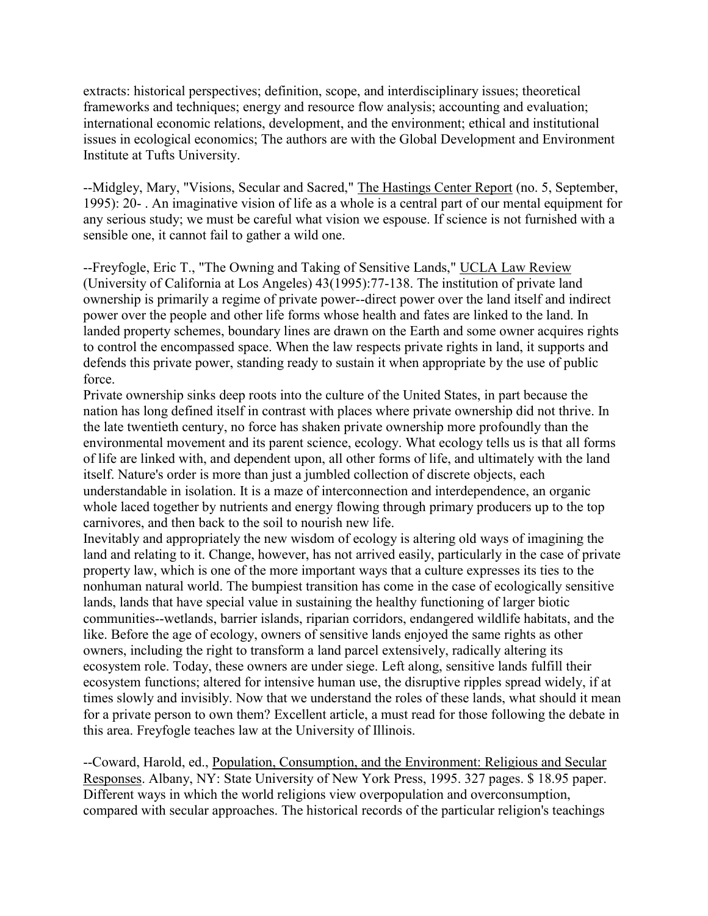extracts: historical perspectives; definition, scope, and interdisciplinary issues; theoretical frameworks and techniques; energy and resource flow analysis; accounting and evaluation; international economic relations, development, and the environment; ethical and institutional issues in ecological economics; The authors are with the Global Development and Environment Institute at Tufts University.

--Midgley, Mary, "Visions, Secular and Sacred," The Hastings Center Report (no. 5, September, 1995): 20- . An imaginative vision of life as a whole is a central part of our mental equipment for any serious study; we must be careful what vision we espouse. If science is not furnished with a sensible one, it cannot fail to gather a wild one.

--Freyfogle, Eric T., "The Owning and Taking of Sensitive Lands," UCLA Law Review (University of California at Los Angeles) 43(1995):77-138. The institution of private land ownership is primarily a regime of private power--direct power over the land itself and indirect power over the people and other life forms whose health and fates are linked to the land. In landed property schemes, boundary lines are drawn on the Earth and some owner acquires rights to control the encompassed space. When the law respects private rights in land, it supports and defends this private power, standing ready to sustain it when appropriate by the use of public force.

Private ownership sinks deep roots into the culture of the United States, in part because the nation has long defined itself in contrast with places where private ownership did not thrive. In the late twentieth century, no force has shaken private ownership more profoundly than the environmental movement and its parent science, ecology. What ecology tells us is that all forms of life are linked with, and dependent upon, all other forms of life, and ultimately with the land itself. Nature's order is more than just a jumbled collection of discrete objects, each understandable in isolation. It is a maze of interconnection and interdependence, an organic whole laced together by nutrients and energy flowing through primary producers up to the top carnivores, and then back to the soil to nourish new life.

Inevitably and appropriately the new wisdom of ecology is altering old ways of imagining the land and relating to it. Change, however, has not arrived easily, particularly in the case of private property law, which is one of the more important ways that a culture expresses its ties to the nonhuman natural world. The bumpiest transition has come in the case of ecologically sensitive lands, lands that have special value in sustaining the healthy functioning of larger biotic communities--wetlands, barrier islands, riparian corridors, endangered wildlife habitats, and the like. Before the age of ecology, owners of sensitive lands enjoyed the same rights as other owners, including the right to transform a land parcel extensively, radically altering its ecosystem role. Today, these owners are under siege. Left along, sensitive lands fulfill their ecosystem functions; altered for intensive human use, the disruptive ripples spread widely, if at times slowly and invisibly. Now that we understand the roles of these lands, what should it mean for a private person to own them? Excellent article, a must read for those following the debate in this area. Freyfogle teaches law at the University of Illinois.

--Coward, Harold, ed., Population, Consumption, and the Environment: Religious and Secular Responses. Albany, NY: State University of New York Press, 1995. 327 pages. \$ 18.95 paper. Different ways in which the world religions view overpopulation and overconsumption, compared with secular approaches. The historical records of the particular religion's teachings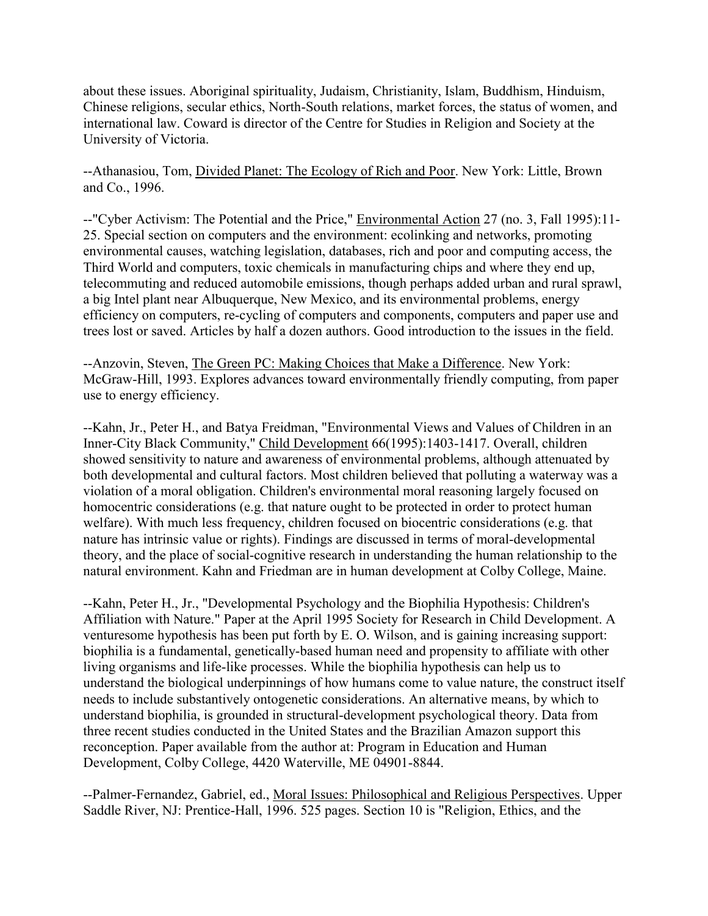about these issues. Aboriginal spirituality, Judaism, Christianity, Islam, Buddhism, Hinduism, Chinese religions, secular ethics, North-South relations, market forces, the status of women, and international law. Coward is director of the Centre for Studies in Religion and Society at the University of Victoria.

--Athanasiou, Tom, Divided Planet: The Ecology of Rich and Poor. New York: Little, Brown and Co., 1996.

--"Cyber Activism: The Potential and the Price," Environmental Action 27 (no. 3, Fall 1995):11-25. Special section on computers and the environment: ecolinking and networks, promoting environmental causes, watching legislation, databases, rich and poor and computing access, the Third World and computers, toxic chemicals in manufacturing chips and where they end up, telecommuting and reduced automobile emissions, though perhaps added urban and rural sprawl, a big Intel plant near Albuquerque, New Mexico, and its environmental problems, energy efficiency on computers, re-cycling of computers and components, computers and paper use and trees lost or saved. Articles by half a dozen authors. Good introduction to the issues in the field.

--Anzovin, Steven, The Green PC: Making Choices that Make a Difference. New York: McGraw-Hill, 1993. Explores advances toward environmentally friendly computing, from paper use to energy efficiency.

--Kahn, Jr., Peter H., and Batya Freidman, "Environmental Views and Values of Children in an Inner-City Black Community," Child Development 66(1995):1403-1417. Overall, children showed sensitivity to nature and awareness of environmental problems, although attenuated by both developmental and cultural factors. Most children believed that polluting a waterway was a violation of a moral obligation. Children's environmental moral reasoning largely focused on homocentric considerations (e.g. that nature ought to be protected in order to protect human welfare). With much less frequency, children focused on biocentric considerations (e.g. that nature has intrinsic value or rights). Findings are discussed in terms of moral-developmental theory, and the place of social-cognitive research in understanding the human relationship to the natural environment. Kahn and Friedman are in human development at Colby College, Maine.

--Kahn, Peter H., Jr., "Developmental Psychology and the Biophilia Hypothesis: Children's Affiliation with Nature." Paper at the April 1995 Society for Research in Child Development. A venturesome hypothesis has been put forth by E. O. Wilson, and is gaining increasing support: biophilia is a fundamental, genetically-based human need and propensity to affiliate with other living organisms and life-like processes. While the biophilia hypothesis can help us to understand the biological underpinnings of how humans come to value nature, the construct itself needs to include substantively ontogenetic considerations. An alternative means, by which to understand biophilia, is grounded in structural-development psychological theory. Data from three recent studies conducted in the United States and the Brazilian Amazon support this reconception. Paper available from the author at: Program in Education and Human Development, Colby College, 4420 Waterville, ME 04901-8844.

--Palmer-Fernandez, Gabriel, ed., Moral Issues: Philosophical and Religious Perspectives. Upper Saddle River, NJ: Prentice-Hall, 1996. 525 pages. Section 10 is "Religion, Ethics, and the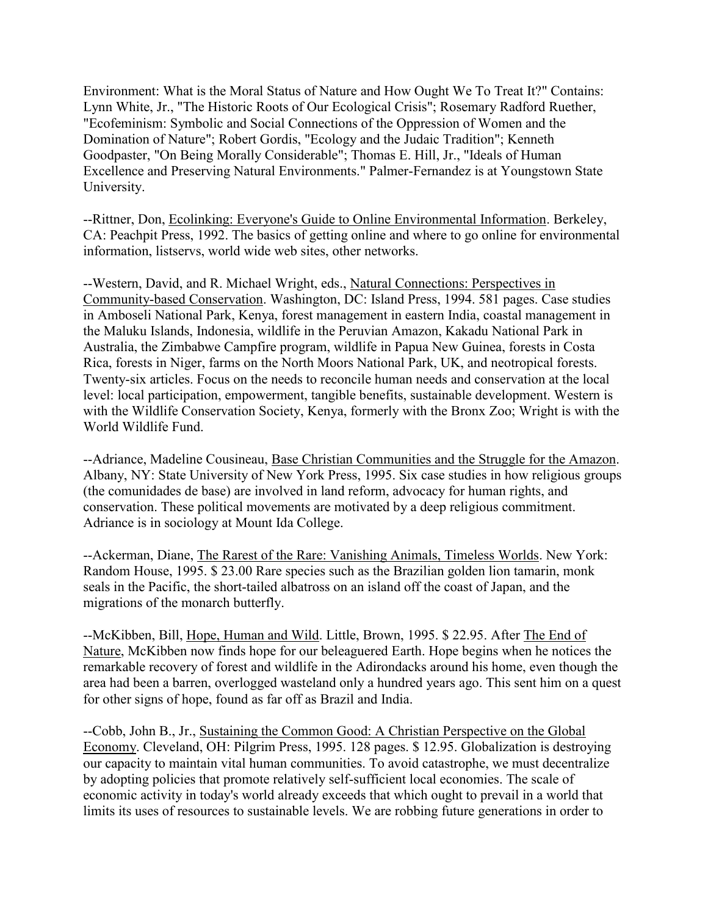Environment: What is the Moral Status of Nature and How Ought We To Treat It?" Contains: Lynn White, Jr., "The Historic Roots of Our Ecological Crisis"; Rosemary Radford Ruether, "Ecofeminism: Symbolic and Social Connections of the Oppression of Women and the Domination of Nature"; Robert Gordis, "Ecology and the Judaic Tradition"; Kenneth Goodpaster, "On Being Morally Considerable"; Thomas E. Hill, Jr., "Ideals of Human Excellence and Preserving Natural Environments." Palmer-Fernandez is at Youngstown State University.

--Rittner, Don, Ecolinking: Everyone's Guide to Online Environmental Information. Berkeley, CA: Peachpit Press, 1992. The basics of getting online and where to go online for environmental information, listservs, world wide web sites, other networks.

--Western, David, and R. Michael Wright, eds., Natural Connections: Perspectives in Community-based Conservation. Washington, DC: Island Press, 1994. 581 pages. Case studies in Amboseli National Park, Kenya, forest management in eastern India, coastal management in the Maluku Islands, Indonesia, wildlife in the Peruvian Amazon, Kakadu National Park in Australia, the Zimbabwe Campfire program, wildlife in Papua New Guinea, forests in Costa Rica, forests in Niger, farms on the North Moors National Park, UK, and neotropical forests. Twenty-six articles. Focus on the needs to reconcile human needs and conservation at the local level: local participation, empowerment, tangible benefits, sustainable development. Western is with the Wildlife Conservation Society, Kenya, formerly with the Bronx Zoo; Wright is with the World Wildlife Fund.

--Adriance, Madeline Cousineau, Base Christian Communities and the Struggle for the Amazon. Albany, NY: State University of New York Press, 1995. Six case studies in how religious groups (the comunidades de base) are involved in land reform, advocacy for human rights, and conservation. These political movements are motivated by a deep religious commitment. Adriance is in sociology at Mount Ida College.

--Ackerman, Diane, The Rarest of the Rare: Vanishing Animals, Timeless Worlds. New York: Random House, 1995. \$ 23.00 Rare species such as the Brazilian golden lion tamarin, monk seals in the Pacific, the short-tailed albatross on an island off the coast of Japan, and the migrations of the monarch butterfly.

--McKibben, Bill, Hope, Human and Wild. Little, Brown, 1995. \$ 22.95. After The End of Nature, McKibben now finds hope for our beleaguered Earth. Hope begins when he notices the remarkable recovery of forest and wildlife in the Adirondacks around his home, even though the area had been a barren, overlogged wasteland only a hundred years ago. This sent him on a quest for other signs of hope, found as far off as Brazil and India.

--Cobb, John B., Jr., Sustaining the Common Good: A Christian Perspective on the Global Economy. Cleveland, OH: Pilgrim Press, 1995. 128 pages. \$ 12.95. Globalization is destroying our capacity to maintain vital human communities. To avoid catastrophe, we must decentralize by adopting policies that promote relatively self-sufficient local economies. The scale of economic activity in today's world already exceeds that which ought to prevail in a world that limits its uses of resources to sustainable levels. We are robbing future generations in order to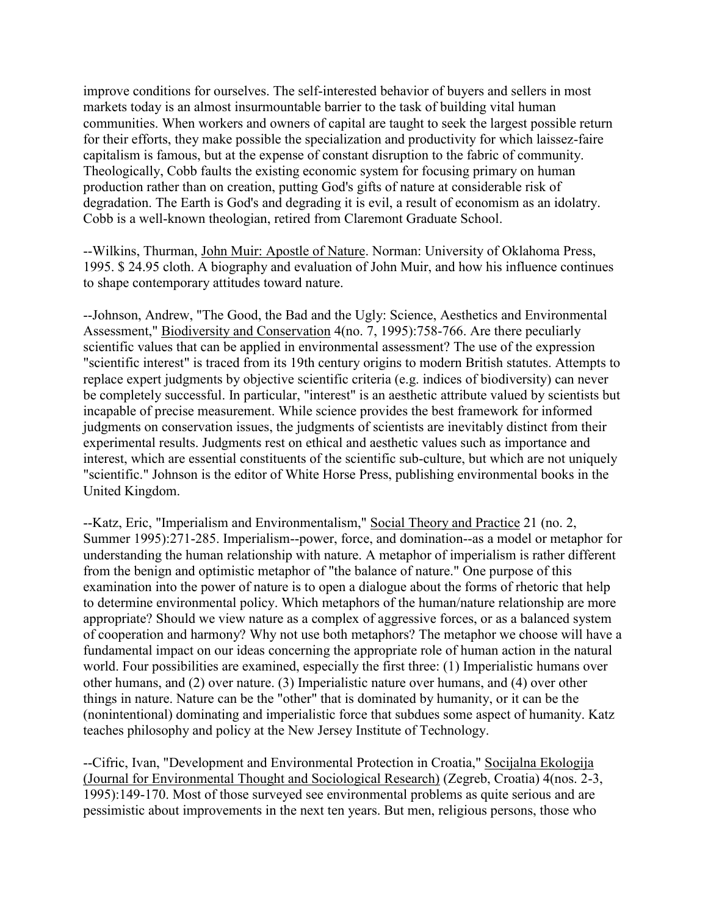improve conditions for ourselves. The self-interested behavior of buyers and sellers in most markets today is an almost insurmountable barrier to the task of building vital human communities. When workers and owners of capital are taught to seek the largest possible return for their efforts, they make possible the specialization and productivity for which laissez-faire capitalism is famous, but at the expense of constant disruption to the fabric of community. Theologically, Cobb faults the existing economic system for focusing primary on human production rather than on creation, putting God's gifts of nature at considerable risk of degradation. The Earth is God's and degrading it is evil, a result of economism as an idolatry. Cobb is a well-known theologian, retired from Claremont Graduate School.

--Wilkins, Thurman, John Muir: Apostle of Nature. Norman: University of Oklahoma Press, 1995. \$ 24.95 cloth. A biography and evaluation of John Muir, and how his influence continues to shape contemporary attitudes toward nature.

--Johnson, Andrew, "The Good, the Bad and the Ugly: Science, Aesthetics and Environmental Assessment," Biodiversity and Conservation 4(no. 7, 1995):758-766. Are there peculiarly scientific values that can be applied in environmental assessment? The use of the expression "scientific interest" is traced from its 19th century origins to modern British statutes. Attempts to replace expert judgments by objective scientific criteria (e.g. indices of biodiversity) can never be completely successful. In particular, "interest" is an aesthetic attribute valued by scientists but incapable of precise measurement. While science provides the best framework for informed judgments on conservation issues, the judgments of scientists are inevitably distinct from their experimental results. Judgments rest on ethical and aesthetic values such as importance and interest, which are essential constituents of the scientific sub-culture, but which are not uniquely "scientific." Johnson is the editor of White Horse Press, publishing environmental books in the United Kingdom.

--Katz, Eric, "Imperialism and Environmentalism," Social Theory and Practice 21 (no. 2, Summer 1995):271-285. Imperialism--power, force, and domination--as a model or metaphor for understanding the human relationship with nature. A metaphor of imperialism is rather different from the benign and optimistic metaphor of "the balance of nature." One purpose of this examination into the power of nature is to open a dialogue about the forms of rhetoric that help to determine environmental policy. Which metaphors of the human/nature relationship are more appropriate? Should we view nature as a complex of aggressive forces, or as a balanced system of cooperation and harmony? Why not use both metaphors? The metaphor we choose will have a fundamental impact on our ideas concerning the appropriate role of human action in the natural world. Four possibilities are examined, especially the first three: (1) Imperialistic humans over other humans, and (2) over nature. (3) Imperialistic nature over humans, and (4) over other things in nature. Nature can be the "other" that is dominated by humanity, or it can be the (nonintentional) dominating and imperialistic force that subdues some aspect of humanity. Katz teaches philosophy and policy at the New Jersey Institute of Technology.

--Cifric, Ivan, "Development and Environmental Protection in Croatia," Socijalna Ekologija (Journal for Environmental Thought and Sociological Research) (Zegreb, Croatia) 4(nos. 2-3, 1995):149-170. Most of those surveyed see environmental problems as quite serious and are pessimistic about improvements in the next ten years. But men, religious persons, those who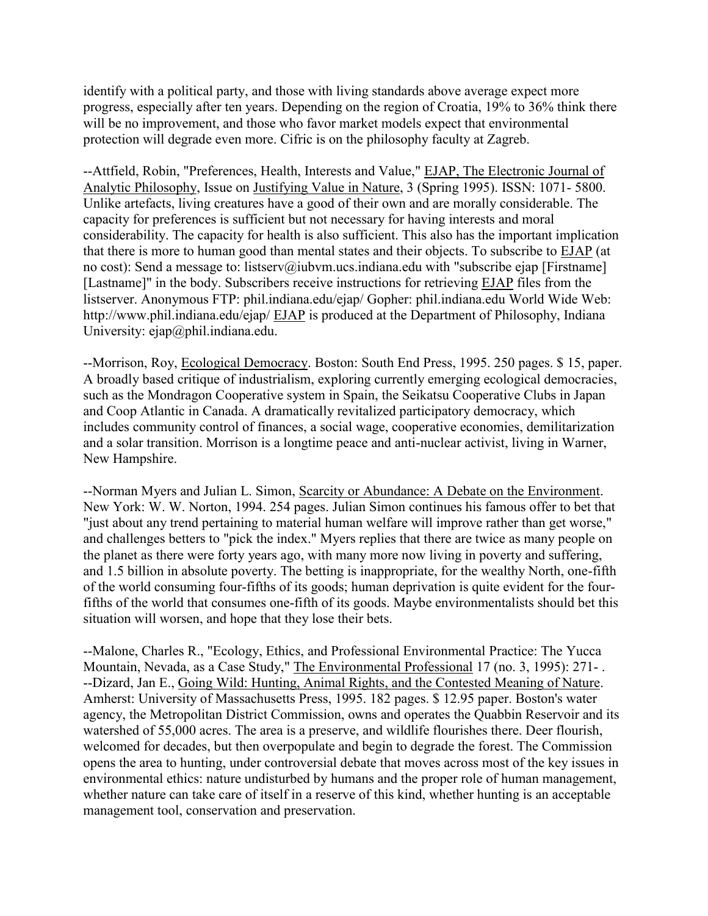identify with a political party, and those with living standards above average expect more progress, especially after ten years. Depending on the region of Croatia, 19% to 36% think there will be no improvement, and those who favor market models expect that environmental protection will degrade even more. Cifric is on the philosophy faculty at Zagreb.

--Attfield, Robin, "Preferences, Health, Interests and Value," EJAP, The Electronic Journal of Analytic Philosophy, Issue on Justifying Value in Nature, 3 (Spring 1995). ISSN: 1071- 5800. Unlike artefacts, living creatures have a good of their own and are morally considerable. The capacity for preferences is sufficient but not necessary for having interests and moral considerability. The capacity for health is also sufficient. This also has the important implication that there is more to human good than mental states and their objects. To subscribe to EJAP (at no cost): Send a message to: listserv@iubvm.ucs.indiana.edu with "subscribe ejap [Firstname] [Lastname]" in the body. Subscribers receive instructions for retrieving EJAP files from the listserver. Anonymous FTP: phil.indiana.edu/ejap/ Gopher: phil.indiana.edu World Wide Web: http://www.phil.indiana.edu/ejap/ EJAP is produced at the Department of Philosophy, Indiana University: ejap@phil.indiana.edu.

--Morrison, Roy, Ecological Democracy. Boston: South End Press, 1995. 250 pages. \$ 15, paper. A broadly based critique of industrialism, exploring currently emerging ecological democracies, such as the Mondragon Cooperative system in Spain, the Seikatsu Cooperative Clubs in Japan and Coop Atlantic in Canada. A dramatically revitalized participatory democracy, which includes community control of finances, a social wage, cooperative economies, demilitarization and a solar transition. Morrison is a longtime peace and anti-nuclear activist, living in Warner, New Hampshire.

--Norman Myers and Julian L. Simon, Scarcity or Abundance: A Debate on the Environment. New York: W. W. Norton, 1994. 254 pages. Julian Simon continues his famous offer to bet that "just about any trend pertaining to material human welfare will improve rather than get worse," and challenges betters to "pick the index." Myers replies that there are twice as many people on the planet as there were forty years ago, with many more now living in poverty and suffering, and 1.5 billion in absolute poverty. The betting is inappropriate, for the wealthy North, one-fifth of the world consuming four-fifths of its goods; human deprivation is quite evident for the fourfifths of the world that consumes one-fifth of its goods. Maybe environmentalists should bet this situation will worsen, and hope that they lose their bets.

--Malone, Charles R., "Ecology, Ethics, and Professional Environmental Practice: The Yucca Mountain, Nevada, as a Case Study," The Environmental Professional 17 (no. 3, 1995): 271- . --Dizard, Jan E., Going Wild: Hunting, Animal Rights, and the Contested Meaning of Nature. Amherst: University of Massachusetts Press, 1995. 182 pages. \$ 12.95 paper. Boston's water agency, the Metropolitan District Commission, owns and operates the Quabbin Reservoir and its watershed of 55,000 acres. The area is a preserve, and wildlife flourishes there. Deer flourish, welcomed for decades, but then overpopulate and begin to degrade the forest. The Commission opens the area to hunting, under controversial debate that moves across most of the key issues in environmental ethics: nature undisturbed by humans and the proper role of human management, whether nature can take care of itself in a reserve of this kind, whether hunting is an acceptable management tool, conservation and preservation.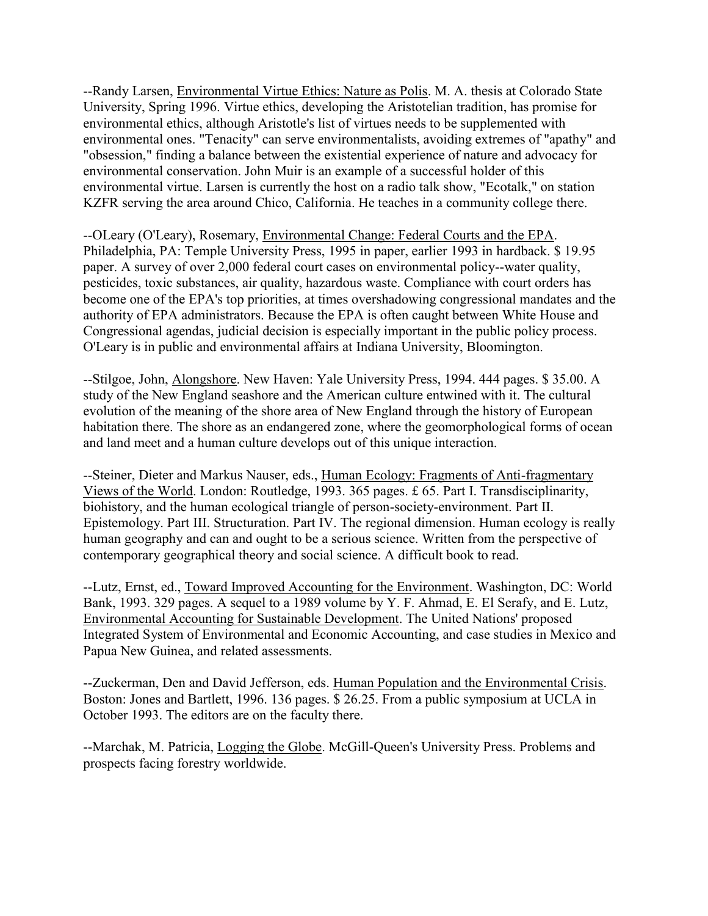--Randy Larsen, Environmental Virtue Ethics: Nature as Polis. M. A. thesis at Colorado State University, Spring 1996. Virtue ethics, developing the Aristotelian tradition, has promise for environmental ethics, although Aristotle's list of virtues needs to be supplemented with environmental ones. "Tenacity" can serve environmentalists, avoiding extremes of "apathy" and "obsession," finding a balance between the existential experience of nature and advocacy for environmental conservation. John Muir is an example of a successful holder of this environmental virtue. Larsen is currently the host on a radio talk show, "Ecotalk," on station KZFR serving the area around Chico, California. He teaches in a community college there.

--OLeary (O'Leary), Rosemary, Environmental Change: Federal Courts and the EPA. Philadelphia, PA: Temple University Press, 1995 in paper, earlier 1993 in hardback. \$ 19.95 paper. A survey of over 2,000 federal court cases on environmental policy--water quality, pesticides, toxic substances, air quality, hazardous waste. Compliance with court orders has become one of the EPA's top priorities, at times overshadowing congressional mandates and the authority of EPA administrators. Because the EPA is often caught between White House and Congressional agendas, judicial decision is especially important in the public policy process. O'Leary is in public and environmental affairs at Indiana University, Bloomington.

--Stilgoe, John, Alongshore. New Haven: Yale University Press, 1994. 444 pages. \$ 35.00. A study of the New England seashore and the American culture entwined with it. The cultural evolution of the meaning of the shore area of New England through the history of European habitation there. The shore as an endangered zone, where the geomorphological forms of ocean and land meet and a human culture develops out of this unique interaction.

--Steiner, Dieter and Markus Nauser, eds., Human Ecology: Fragments of Anti-fragmentary Views of the World. London: Routledge, 1993. 365 pages. £ 65. Part I. Transdisciplinarity, biohistory, and the human ecological triangle of person-society-environment. Part II. Epistemology. Part III. Structuration. Part IV. The regional dimension. Human ecology is really human geography and can and ought to be a serious science. Written from the perspective of contemporary geographical theory and social science. A difficult book to read.

--Lutz, Ernst, ed., Toward Improved Accounting for the Environment. Washington, DC: World Bank, 1993. 329 pages. A sequel to a 1989 volume by Y. F. Ahmad, E. El Serafy, and E. Lutz, Environmental Accounting for Sustainable Development. The United Nations' proposed Integrated System of Environmental and Economic Accounting, and case studies in Mexico and Papua New Guinea, and related assessments.

--Zuckerman, Den and David Jefferson, eds. Human Population and the Environmental Crisis. Boston: Jones and Bartlett, 1996. 136 pages. \$ 26.25. From a public symposium at UCLA in October 1993. The editors are on the faculty there.

--Marchak, M. Patricia, Logging the Globe. McGill-Queen's University Press. Problems and prospects facing forestry worldwide.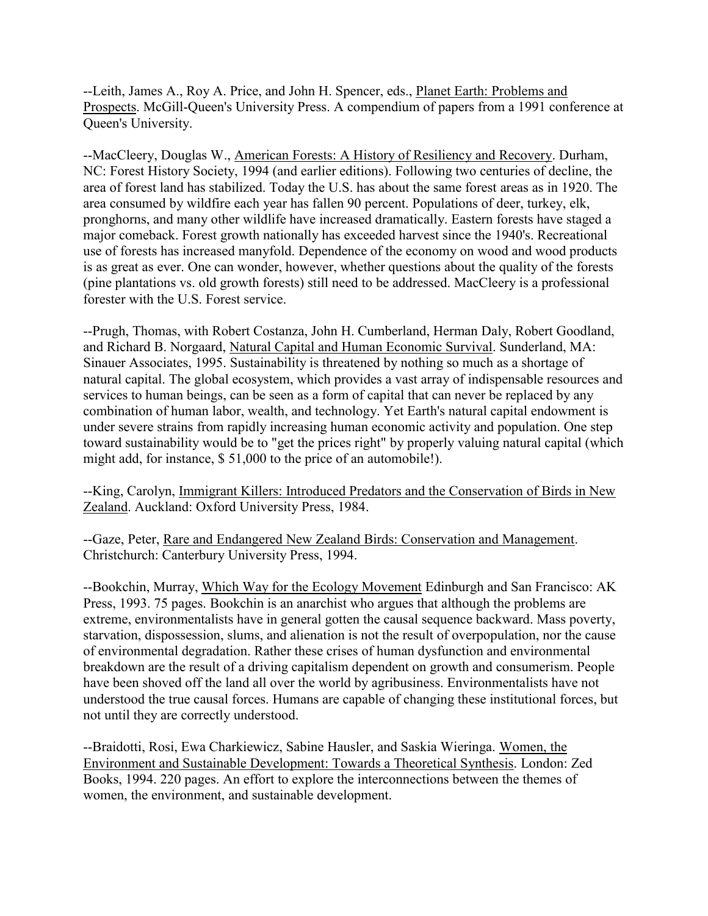--Leith, James A., Roy A. Price, and John H. Spencer, eds., Planet Earth: Problems and Prospects. McGill-Queen's University Press. A compendium of papers from a 1991 conference at Queen's University.

--MacCleery, Douglas W., American Forests: A History of Resiliency and Recovery. Durham, NC: Forest History Society, 1994 (and earlier editions). Following two centuries of decline, the area of forest land has stabilized. Today the U.S. has about the same forest areas as in 1920. The area consumed by wildfire each year has fallen 90 percent. Populations of deer, turkey, elk, pronghorns, and many other wildlife have increased dramatically. Eastern forests have staged a major comeback. Forest growth nationally has exceeded harvest since the 1940's. Recreational use of forests has increased manyfold. Dependence of the economy on wood and wood products is as great as ever. One can wonder, however, whether questions about the quality of the forests (pine plantations vs. old growth forests) still need to be addressed. MacCleery is a professional forester with the U.S. Forest service.

--Prugh, Thomas, with Robert Costanza, John H. Cumberland, Herman Daly, Robert Goodland, and Richard B. Norgaard, Natural Capital and Human Economic Survival. Sunderland, MA: Sinauer Associates, 1995. Sustainability is threatened by nothing so much as a shortage of natural capital. The global ecosystem, which provides a vast array of indispensable resources and services to human beings, can be seen as a form of capital that can never be replaced by any combination of human labor, wealth, and technology. Yet Earth's natural capital endowment is under severe strains from rapidly increasing human economic activity and population. One step toward sustainability would be to "get the prices right" by properly valuing natural capital (which might add, for instance, \$ 51,000 to the price of an automobile!).

--King, Carolyn, Immigrant Killers: Introduced Predators and the Conservation of Birds in New Zealand. Auckland: Oxford University Press, 1984.

--Gaze, Peter, Rare and Endangered New Zealand Birds: Conservation and Management. Christchurch: Canterbury University Press, 1994.

--Bookchin, Murray, Which Way for the Ecology Movement Edinburgh and San Francisco: AK Press, 1993. 75 pages. Bookchin is an anarchist who argues that although the problems are extreme, environmentalists have in general gotten the causal sequence backward. Mass poverty, starvation, dispossession, slums, and alienation is not the result of overpopulation, nor the cause of environmental degradation. Rather these crises of human dysfunction and environmental breakdown are the result of a driving capitalism dependent on growth and consumerism. People have been shoved off the land all over the world by agribusiness. Environmentalists have not understood the true causal forces. Humans are capable of changing these institutional forces, but not until they are correctly understood.

--Braidotti, Rosi, Ewa Charkiewicz, Sabine Hausler, and Saskia Wieringa. Women, the Environment and Sustainable Development: Towards a Theoretical Synthesis. London: Zed Books, 1994. 220 pages. An effort to explore the interconnections between the themes of women, the environment, and sustainable development.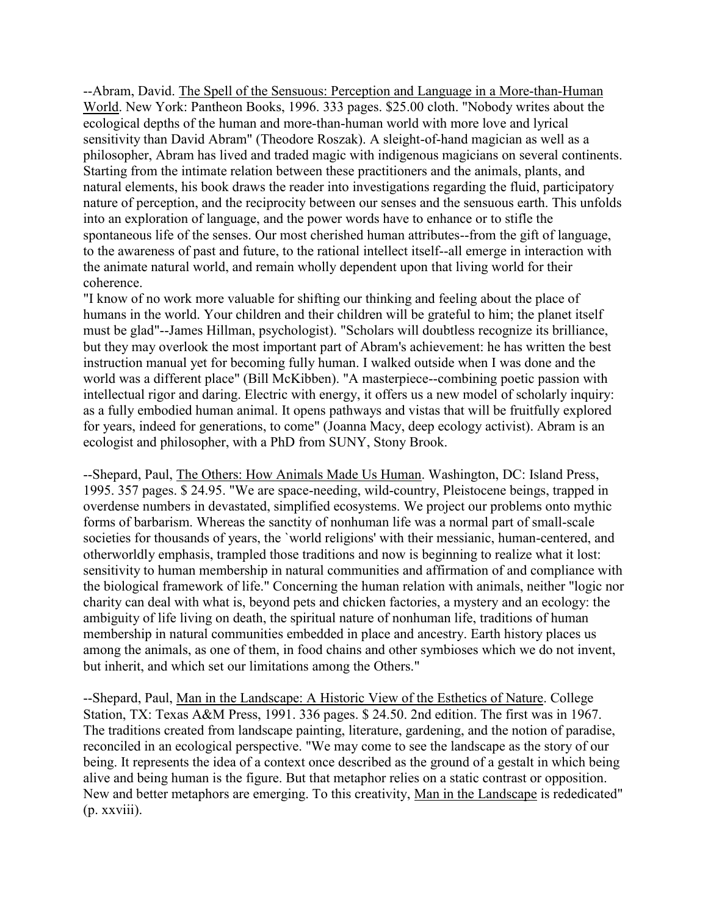--Abram, David. The Spell of the Sensuous: Perception and Language in a More-than-Human World. New York: Pantheon Books, 1996. 333 pages. \$25.00 cloth. "Nobody writes about the ecological depths of the human and more-than-human world with more love and lyrical sensitivity than David Abram" (Theodore Roszak). A sleight-of-hand magician as well as a philosopher, Abram has lived and traded magic with indigenous magicians on several continents. Starting from the intimate relation between these practitioners and the animals, plants, and natural elements, his book draws the reader into investigations regarding the fluid, participatory nature of perception, and the reciprocity between our senses and the sensuous earth. This unfolds into an exploration of language, and the power words have to enhance or to stifle the spontaneous life of the senses. Our most cherished human attributes--from the gift of language, to the awareness of past and future, to the rational intellect itself--all emerge in interaction with the animate natural world, and remain wholly dependent upon that living world for their coherence.

"I know of no work more valuable for shifting our thinking and feeling about the place of humans in the world. Your children and their children will be grateful to him; the planet itself must be glad"--James Hillman, psychologist). "Scholars will doubtless recognize its brilliance, but they may overlook the most important part of Abram's achievement: he has written the best instruction manual yet for becoming fully human. I walked outside when I was done and the world was a different place" (Bill McKibben). "A masterpiece--combining poetic passion with intellectual rigor and daring. Electric with energy, it offers us a new model of scholarly inquiry: as a fully embodied human animal. It opens pathways and vistas that will be fruitfully explored for years, indeed for generations, to come" (Joanna Macy, deep ecology activist). Abram is an ecologist and philosopher, with a PhD from SUNY, Stony Brook.

--Shepard, Paul, The Others: How Animals Made Us Human. Washington, DC: Island Press, 1995. 357 pages. \$ 24.95. "We are space-needing, wild-country, Pleistocene beings, trapped in overdense numbers in devastated, simplified ecosystems. We project our problems onto mythic forms of barbarism. Whereas the sanctity of nonhuman life was a normal part of small-scale societies for thousands of years, the `world religions' with their messianic, human-centered, and otherworldly emphasis, trampled those traditions and now is beginning to realize what it lost: sensitivity to human membership in natural communities and affirmation of and compliance with the biological framework of life." Concerning the human relation with animals, neither "logic nor charity can deal with what is, beyond pets and chicken factories, a mystery and an ecology: the ambiguity of life living on death, the spiritual nature of nonhuman life, traditions of human membership in natural communities embedded in place and ancestry. Earth history places us among the animals, as one of them, in food chains and other symbioses which we do not invent, but inherit, and which set our limitations among the Others."

--Shepard, Paul, Man in the Landscape: A Historic View of the Esthetics of Nature. College Station, TX: Texas A&M Press, 1991. 336 pages. \$ 24.50. 2nd edition. The first was in 1967. The traditions created from landscape painting, literature, gardening, and the notion of paradise, reconciled in an ecological perspective. "We may come to see the landscape as the story of our being. It represents the idea of a context once described as the ground of a gestalt in which being alive and being human is the figure. But that metaphor relies on a static contrast or opposition. New and better metaphors are emerging. To this creativity, Man in the Landscape is rededicated" (p. xxviii).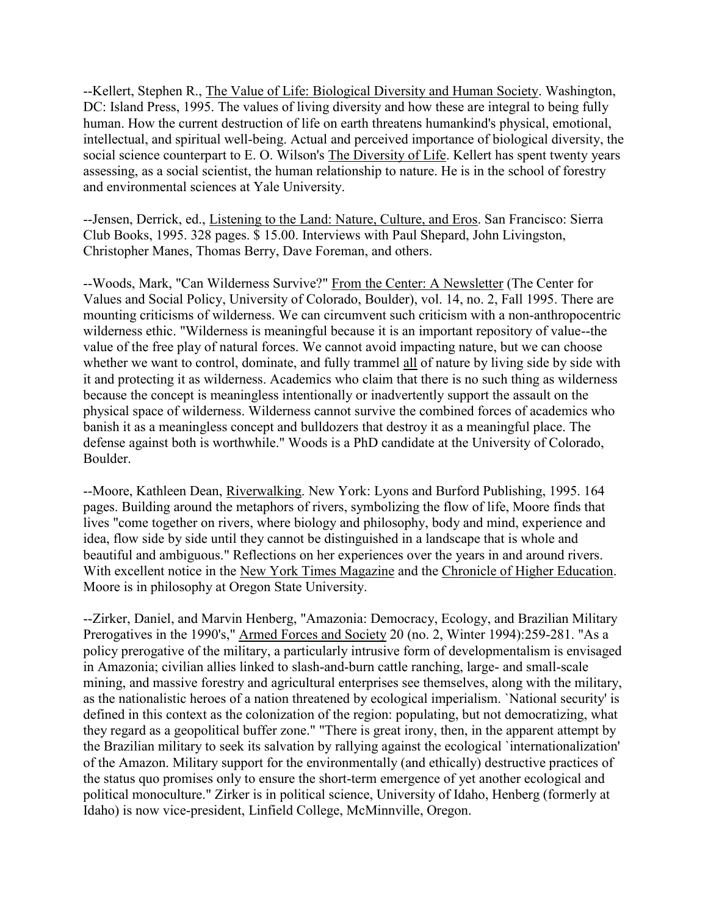--Kellert, Stephen R., The Value of Life: Biological Diversity and Human Society. Washington, DC: Island Press, 1995. The values of living diversity and how these are integral to being fully human. How the current destruction of life on earth threatens humankind's physical, emotional, intellectual, and spiritual well-being. Actual and perceived importance of biological diversity, the social science counterpart to E. O. Wilson's The Diversity of Life. Kellert has spent twenty years assessing, as a social scientist, the human relationship to nature. He is in the school of forestry and environmental sciences at Yale University.

--Jensen, Derrick, ed., Listening to the Land: Nature, Culture, and Eros. San Francisco: Sierra Club Books, 1995. 328 pages. \$ 15.00. Interviews with Paul Shepard, John Livingston, Christopher Manes, Thomas Berry, Dave Foreman, and others.

--Woods, Mark, "Can Wilderness Survive?" From the Center: A Newsletter (The Center for Values and Social Policy, University of Colorado, Boulder), vol. 14, no. 2, Fall 1995. There are mounting criticisms of wilderness. We can circumvent such criticism with a non-anthropocentric wilderness ethic. "Wilderness is meaningful because it is an important repository of value--the value of the free play of natural forces. We cannot avoid impacting nature, but we can choose whether we want to control, dominate, and fully trammel all of nature by living side by side with it and protecting it as wilderness. Academics who claim that there is no such thing as wilderness because the concept is meaningless intentionally or inadvertently support the assault on the physical space of wilderness. Wilderness cannot survive the combined forces of academics who banish it as a meaningless concept and bulldozers that destroy it as a meaningful place. The defense against both is worthwhile." Woods is a PhD candidate at the University of Colorado, Boulder.

--Moore, Kathleen Dean, Riverwalking. New York: Lyons and Burford Publishing, 1995. 164 pages. Building around the metaphors of rivers, symbolizing the flow of life, Moore finds that lives "come together on rivers, where biology and philosophy, body and mind, experience and idea, flow side by side until they cannot be distinguished in a landscape that is whole and beautiful and ambiguous." Reflections on her experiences over the years in and around rivers. With excellent notice in the New York Times Magazine and the Chronicle of Higher Education. Moore is in philosophy at Oregon State University.

--Zirker, Daniel, and Marvin Henberg, "Amazonia: Democracy, Ecology, and Brazilian Military Prerogatives in the 1990's," Armed Forces and Society 20 (no. 2, Winter 1994):259-281. "As a policy prerogative of the military, a particularly intrusive form of developmentalism is envisaged in Amazonia; civilian allies linked to slash-and-burn cattle ranching, large- and small-scale mining, and massive forestry and agricultural enterprises see themselves, along with the military, as the nationalistic heroes of a nation threatened by ecological imperialism. `National security' is defined in this context as the colonization of the region: populating, but not democratizing, what they regard as a geopolitical buffer zone." "There is great irony, then, in the apparent attempt by the Brazilian military to seek its salvation by rallying against the ecological `internationalization' of the Amazon. Military support for the environmentally (and ethically) destructive practices of the status quo promises only to ensure the short-term emergence of yet another ecological and political monoculture." Zirker is in political science, University of Idaho, Henberg (formerly at Idaho) is now vice-president, Linfield College, McMinnville, Oregon.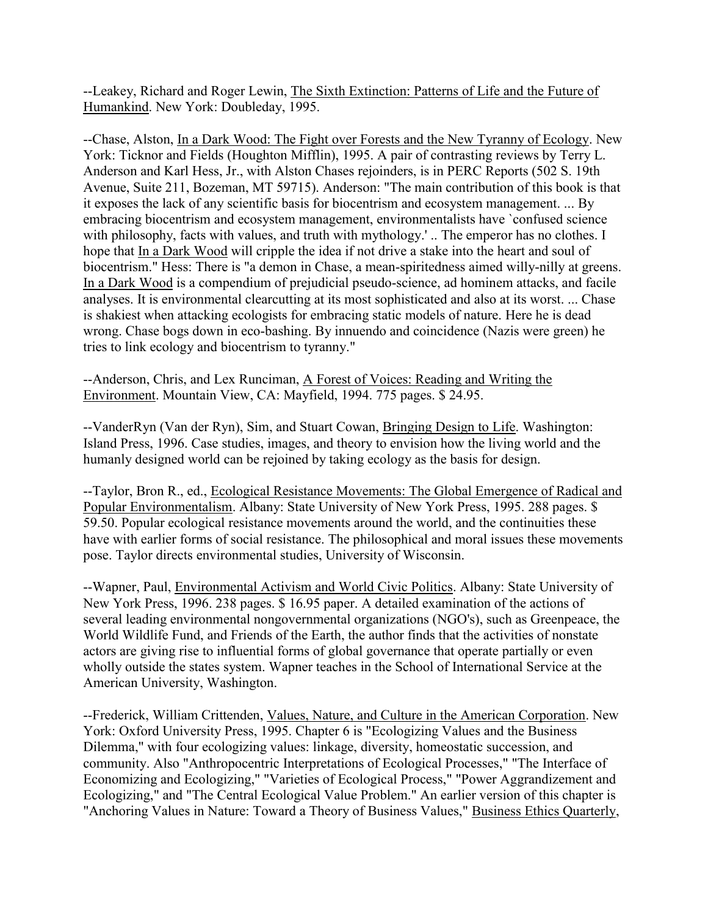--Leakey, Richard and Roger Lewin, The Sixth Extinction: Patterns of Life and the Future of Humankind. New York: Doubleday, 1995.

--Chase, Alston, In a Dark Wood: The Fight over Forests and the New Tyranny of Ecology. New York: Ticknor and Fields (Houghton Mifflin), 1995. A pair of contrasting reviews by Terry L. Anderson and Karl Hess, Jr., with Alston Chases rejoinders, is in PERC Reports (502 S. 19th Avenue, Suite 211, Bozeman, MT 59715). Anderson: "The main contribution of this book is that it exposes the lack of any scientific basis for biocentrism and ecosystem management. ... By embracing biocentrism and ecosystem management, environmentalists have `confused science with philosophy, facts with values, and truth with mythology.' .. The emperor has no clothes. I hope that In a Dark Wood will cripple the idea if not drive a stake into the heart and soul of biocentrism." Hess: There is "a demon in Chase, a mean-spiritedness aimed willy-nilly at greens. In a Dark Wood is a compendium of prejudicial pseudo-science, ad hominem attacks, and facile analyses. It is environmental clearcutting at its most sophisticated and also at its worst. ... Chase is shakiest when attacking ecologists for embracing static models of nature. Here he is dead wrong. Chase bogs down in eco-bashing. By innuendo and coincidence (Nazis were green) he tries to link ecology and biocentrism to tyranny."

--Anderson, Chris, and Lex Runciman, A Forest of Voices: Reading and Writing the Environment. Mountain View, CA: Mayfield, 1994. 775 pages. \$ 24.95.

--VanderRyn (Van der Ryn), Sim, and Stuart Cowan, Bringing Design to Life. Washington: Island Press, 1996. Case studies, images, and theory to envision how the living world and the humanly designed world can be rejoined by taking ecology as the basis for design.

--Taylor, Bron R., ed., Ecological Resistance Movements: The Global Emergence of Radical and Popular Environmentalism. Albany: State University of New York Press, 1995. 288 pages. \$ 59.50. Popular ecological resistance movements around the world, and the continuities these have with earlier forms of social resistance. The philosophical and moral issues these movements pose. Taylor directs environmental studies, University of Wisconsin.

--Wapner, Paul, Environmental Activism and World Civic Politics. Albany: State University of New York Press, 1996. 238 pages. \$ 16.95 paper. A detailed examination of the actions of several leading environmental nongovernmental organizations (NGO's), such as Greenpeace, the World Wildlife Fund, and Friends of the Earth, the author finds that the activities of nonstate actors are giving rise to influential forms of global governance that operate partially or even wholly outside the states system. Wapner teaches in the School of International Service at the American University, Washington.

--Frederick, William Crittenden, Values, Nature, and Culture in the American Corporation. New York: Oxford University Press, 1995. Chapter 6 is "Ecologizing Values and the Business Dilemma," with four ecologizing values: linkage, diversity, homeostatic succession, and community. Also "Anthropocentric Interpretations of Ecological Processes," "The Interface of Economizing and Ecologizing," "Varieties of Ecological Process," "Power Aggrandizement and Ecologizing," and "The Central Ecological Value Problem." An earlier version of this chapter is "Anchoring Values in Nature: Toward a Theory of Business Values," Business Ethics Quarterly,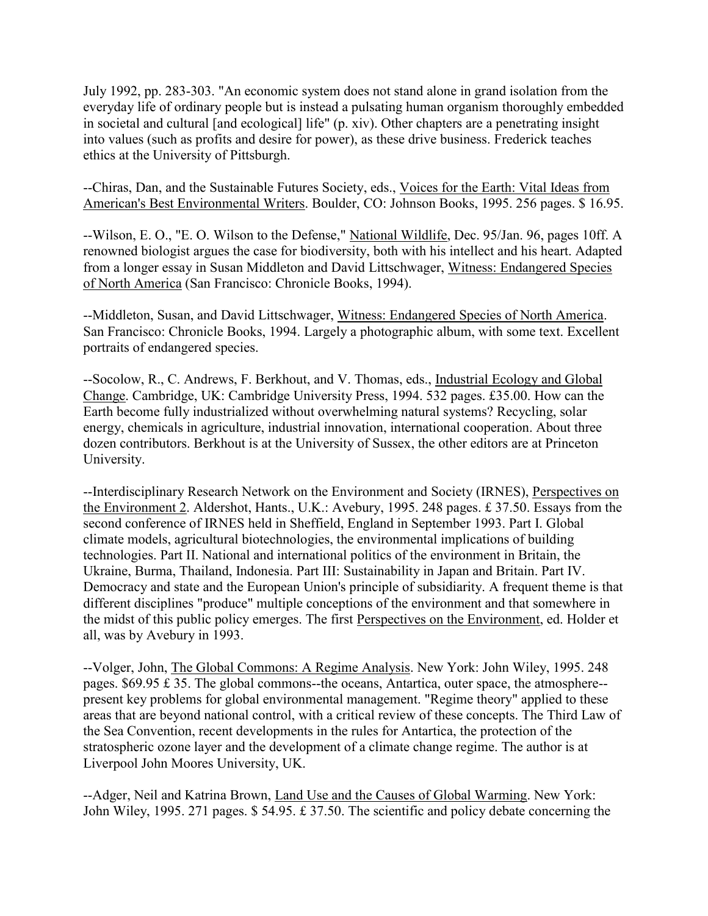July 1992, pp. 283-303. "An economic system does not stand alone in grand isolation from the everyday life of ordinary people but is instead a pulsating human organism thoroughly embedded in societal and cultural [and ecological] life" (p. xiv). Other chapters are a penetrating insight into values (such as profits and desire for power), as these drive business. Frederick teaches ethics at the University of Pittsburgh.

--Chiras, Dan, and the Sustainable Futures Society, eds., Voices for the Earth: Vital Ideas from American's Best Environmental Writers. Boulder, CO: Johnson Books, 1995. 256 pages. \$ 16.95.

--Wilson, E. O., "E. O. Wilson to the Defense," National Wildlife, Dec. 95/Jan. 96, pages 10ff. A renowned biologist argues the case for biodiversity, both with his intellect and his heart. Adapted from a longer essay in Susan Middleton and David Littschwager, Witness: Endangered Species of North America (San Francisco: Chronicle Books, 1994).

--Middleton, Susan, and David Littschwager, Witness: Endangered Species of North America. San Francisco: Chronicle Books, 1994. Largely a photographic album, with some text. Excellent portraits of endangered species.

--Socolow, R., C. Andrews, F. Berkhout, and V. Thomas, eds., Industrial Ecology and Global Change. Cambridge, UK: Cambridge University Press, 1994. 532 pages. £35.00. How can the Earth become fully industrialized without overwhelming natural systems? Recycling, solar energy, chemicals in agriculture, industrial innovation, international cooperation. About three dozen contributors. Berkhout is at the University of Sussex, the other editors are at Princeton University.

--Interdisciplinary Research Network on the Environment and Society (IRNES), Perspectives on the Environment 2. Aldershot, Hants., U.K.: Avebury, 1995. 248 pages. £ 37.50. Essays from the second conference of IRNES held in Sheffield, England in September 1993. Part I. Global climate models, agricultural biotechnologies, the environmental implications of building technologies. Part II. National and international politics of the environment in Britain, the Ukraine, Burma, Thailand, Indonesia. Part III: Sustainability in Japan and Britain. Part IV. Democracy and state and the European Union's principle of subsidiarity. A frequent theme is that different disciplines "produce" multiple conceptions of the environment and that somewhere in the midst of this public policy emerges. The first Perspectives on the Environment, ed. Holder et all, was by Avebury in 1993.

--Volger, John, The Global Commons: A Regime Analysis. New York: John Wiley, 1995. 248 pages. \$69.95 £ 35. The global commons--the oceans, Antartica, outer space, the atmosphere- present key problems for global environmental management. "Regime theory" applied to these areas that are beyond national control, with a critical review of these concepts. The Third Law of the Sea Convention, recent developments in the rules for Antartica, the protection of the stratospheric ozone layer and the development of a climate change regime. The author is at Liverpool John Moores University, UK.

--Adger, Neil and Katrina Brown, Land Use and the Causes of Global Warming. New York: John Wiley, 1995. 271 pages. \$ 54.95. £ 37.50. The scientific and policy debate concerning the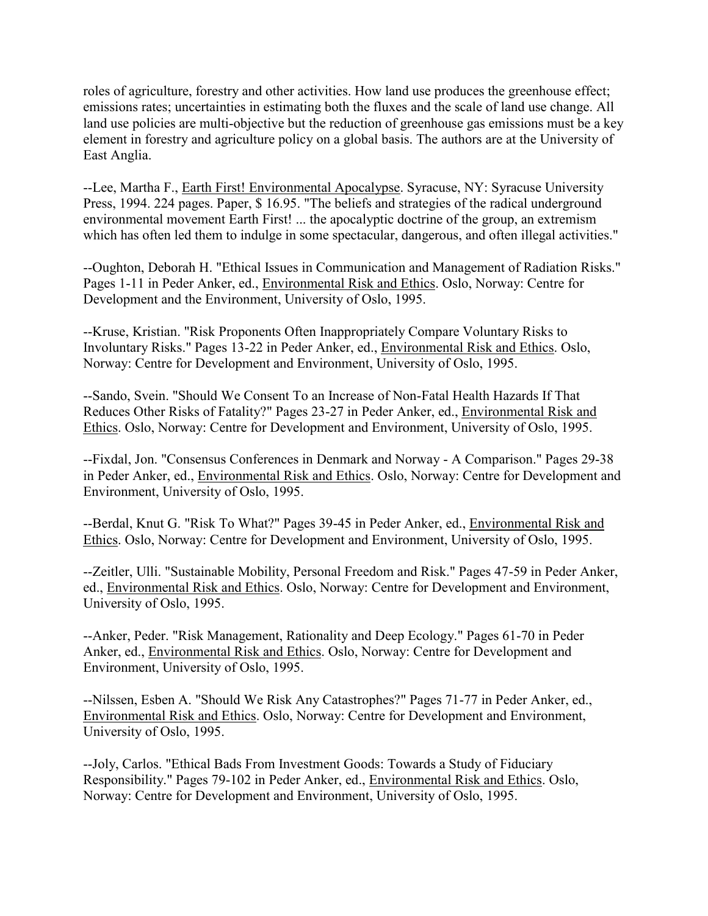roles of agriculture, forestry and other activities. How land use produces the greenhouse effect; emissions rates; uncertainties in estimating both the fluxes and the scale of land use change. All land use policies are multi-objective but the reduction of greenhouse gas emissions must be a key element in forestry and agriculture policy on a global basis. The authors are at the University of East Anglia.

--Lee, Martha F., Earth First! Environmental Apocalypse. Syracuse, NY: Syracuse University Press, 1994. 224 pages. Paper, \$ 16.95. "The beliefs and strategies of the radical underground environmental movement Earth First! ... the apocalyptic doctrine of the group, an extremism which has often led them to indulge in some spectacular, dangerous, and often illegal activities."

--Oughton, Deborah H. "Ethical Issues in Communication and Management of Radiation Risks." Pages 1-11 in Peder Anker, ed., Environmental Risk and Ethics. Oslo, Norway: Centre for Development and the Environment, University of Oslo, 1995.

--Kruse, Kristian. "Risk Proponents Often Inappropriately Compare Voluntary Risks to Involuntary Risks." Pages 13-22 in Peder Anker, ed., Environmental Risk and Ethics. Oslo, Norway: Centre for Development and Environment, University of Oslo, 1995.

--Sando, Svein. "Should We Consent To an Increase of Non-Fatal Health Hazards If That Reduces Other Risks of Fatality?" Pages 23-27 in Peder Anker, ed., Environmental Risk and Ethics. Oslo, Norway: Centre for Development and Environment, University of Oslo, 1995.

--Fixdal, Jon. "Consensus Conferences in Denmark and Norway - A Comparison." Pages 29-38 in Peder Anker, ed., Environmental Risk and Ethics. Oslo, Norway: Centre for Development and Environment, University of Oslo, 1995.

--Berdal, Knut G. "Risk To What?" Pages 39-45 in Peder Anker, ed., Environmental Risk and Ethics. Oslo, Norway: Centre for Development and Environment, University of Oslo, 1995.

--Zeitler, Ulli. "Sustainable Mobility, Personal Freedom and Risk." Pages 47-59 in Peder Anker, ed., Environmental Risk and Ethics. Oslo, Norway: Centre for Development and Environment, University of Oslo, 1995.

--Anker, Peder. "Risk Management, Rationality and Deep Ecology." Pages 61-70 in Peder Anker, ed., Environmental Risk and Ethics. Oslo, Norway: Centre for Development and Environment, University of Oslo, 1995.

--Nilssen, Esben A. "Should We Risk Any Catastrophes?" Pages 71-77 in Peder Anker, ed., Environmental Risk and Ethics. Oslo, Norway: Centre for Development and Environment, University of Oslo, 1995.

--Joly, Carlos. "Ethical Bads From Investment Goods: Towards a Study of Fiduciary Responsibility." Pages 79-102 in Peder Anker, ed., Environmental Risk and Ethics. Oslo, Norway: Centre for Development and Environment, University of Oslo, 1995.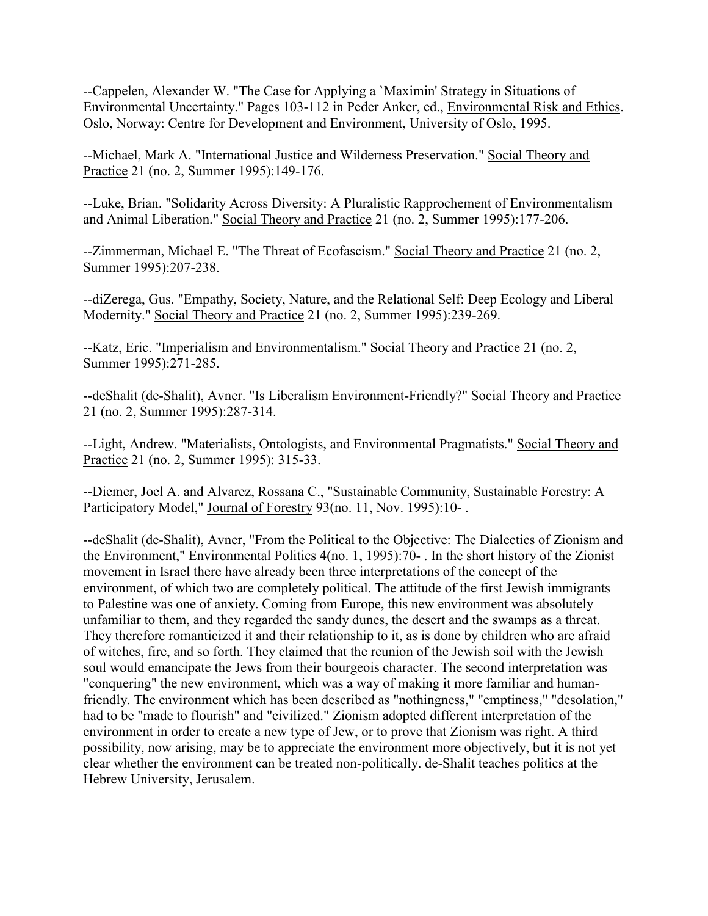--Cappelen, Alexander W. "The Case for Applying a `Maximin' Strategy in Situations of Environmental Uncertainty." Pages 103-112 in Peder Anker, ed., Environmental Risk and Ethics. Oslo, Norway: Centre for Development and Environment, University of Oslo, 1995.

--Michael, Mark A. "International Justice and Wilderness Preservation." Social Theory and Practice 21 (no. 2, Summer 1995):149-176.

--Luke, Brian. "Solidarity Across Diversity: A Pluralistic Rapprochement of Environmentalism and Animal Liberation." Social Theory and Practice 21 (no. 2, Summer 1995):177-206.

--Zimmerman, Michael E. "The Threat of Ecofascism." Social Theory and Practice 21 (no. 2, Summer 1995):207-238.

--diZerega, Gus. "Empathy, Society, Nature, and the Relational Self: Deep Ecology and Liberal Modernity." Social Theory and Practice 21 (no. 2, Summer 1995):239-269.

--Katz, Eric. "Imperialism and Environmentalism." Social Theory and Practice 21 (no. 2, Summer 1995):271-285.

--deShalit (de-Shalit), Avner. "Is Liberalism Environment-Friendly?" Social Theory and Practice 21 (no. 2, Summer 1995):287-314.

--Light, Andrew. "Materialists, Ontologists, and Environmental Pragmatists." Social Theory and Practice 21 (no. 2, Summer 1995): 315-33.

--Diemer, Joel A. and Alvarez, Rossana C., "Sustainable Community, Sustainable Forestry: A Participatory Model," Journal of Forestry 93(no. 11, Nov. 1995):10-.

--deShalit (de-Shalit), Avner, "From the Political to the Objective: The Dialectics of Zionism and the Environment," Environmental Politics 4(no. 1, 1995):70- . In the short history of the Zionist movement in Israel there have already been three interpretations of the concept of the environment, of which two are completely political. The attitude of the first Jewish immigrants to Palestine was one of anxiety. Coming from Europe, this new environment was absolutely unfamiliar to them, and they regarded the sandy dunes, the desert and the swamps as a threat. They therefore romanticized it and their relationship to it, as is done by children who are afraid of witches, fire, and so forth. They claimed that the reunion of the Jewish soil with the Jewish soul would emancipate the Jews from their bourgeois character. The second interpretation was "conquering" the new environment, which was a way of making it more familiar and humanfriendly. The environment which has been described as "nothingness," "emptiness," "desolation," had to be "made to flourish" and "civilized." Zionism adopted different interpretation of the environment in order to create a new type of Jew, or to prove that Zionism was right. A third possibility, now arising, may be to appreciate the environment more objectively, but it is not yet clear whether the environment can be treated non-politically. de-Shalit teaches politics at the Hebrew University, Jerusalem.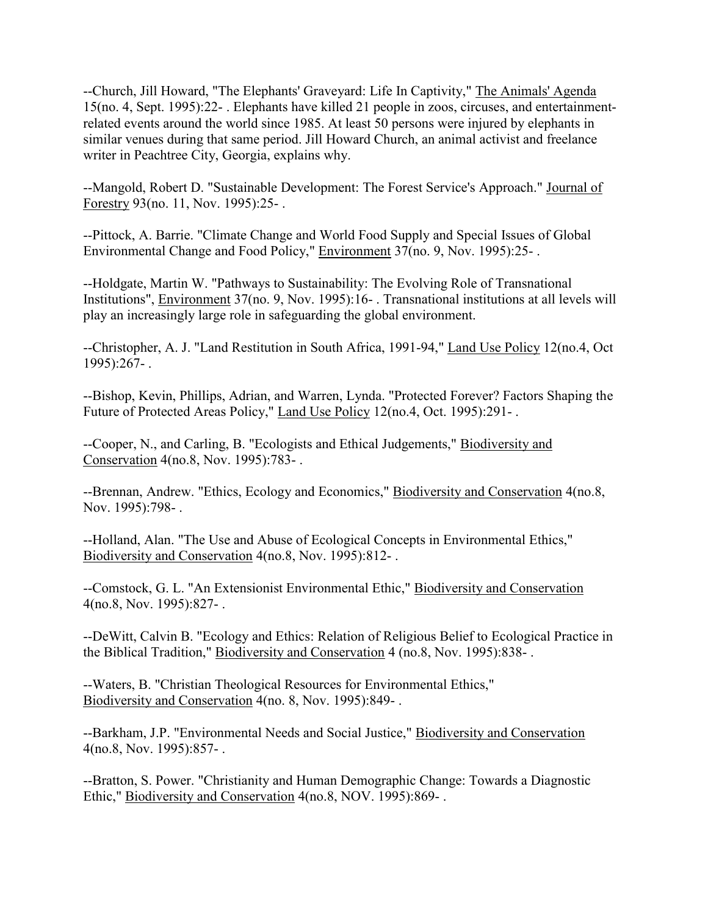--Church, Jill Howard, "The Elephants' Graveyard: Life In Captivity," The Animals' Agenda 15(no. 4, Sept. 1995):22- . Elephants have killed 21 people in zoos, circuses, and entertainmentrelated events around the world since 1985. At least 50 persons were injured by elephants in similar venues during that same period. Jill Howard Church, an animal activist and freelance writer in Peachtree City, Georgia, explains why.

--Mangold, Robert D. "Sustainable Development: The Forest Service's Approach." Journal of Forestry 93(no. 11, Nov. 1995):25- .

--Pittock, A. Barrie. "Climate Change and World Food Supply and Special Issues of Global Environmental Change and Food Policy," Environment 37(no. 9, Nov. 1995):25- .

--Holdgate, Martin W. "Pathways to Sustainability: The Evolving Role of Transnational Institutions", Environment 37(no. 9, Nov. 1995):16- . Transnational institutions at all levels will play an increasingly large role in safeguarding the global environment.

--Christopher, A. J. "Land Restitution in South Africa, 1991-94," Land Use Policy 12(no.4, Oct 1995):267- .

--Bishop, Kevin, Phillips, Adrian, and Warren, Lynda. "Protected Forever? Factors Shaping the Future of Protected Areas Policy," Land Use Policy 12(no.4, Oct. 1995):291-.

--Cooper, N., and Carling, B. "Ecologists and Ethical Judgements," Biodiversity and Conservation 4(no.8, Nov. 1995):783- .

--Brennan, Andrew. "Ethics, Ecology and Economics," Biodiversity and Conservation 4(no.8, Nov. 1995):798- .

--Holland, Alan. "The Use and Abuse of Ecological Concepts in Environmental Ethics," Biodiversity and Conservation 4(no.8, Nov. 1995):812- .

--Comstock, G. L. "An Extensionist Environmental Ethic," Biodiversity and Conservation 4(no.8, Nov. 1995):827- .

--DeWitt, Calvin B. "Ecology and Ethics: Relation of Religious Belief to Ecological Practice in the Biblical Tradition," Biodiversity and Conservation 4 (no.8, Nov. 1995):838- .

--Waters, B. "Christian Theological Resources for Environmental Ethics," Biodiversity and Conservation 4(no. 8, Nov. 1995):849- .

--Barkham, J.P. "Environmental Needs and Social Justice," Biodiversity and Conservation 4(no.8, Nov. 1995):857- .

--Bratton, S. Power. "Christianity and Human Demographic Change: Towards a Diagnostic Ethic," Biodiversity and Conservation 4(no.8, NOV. 1995):869- .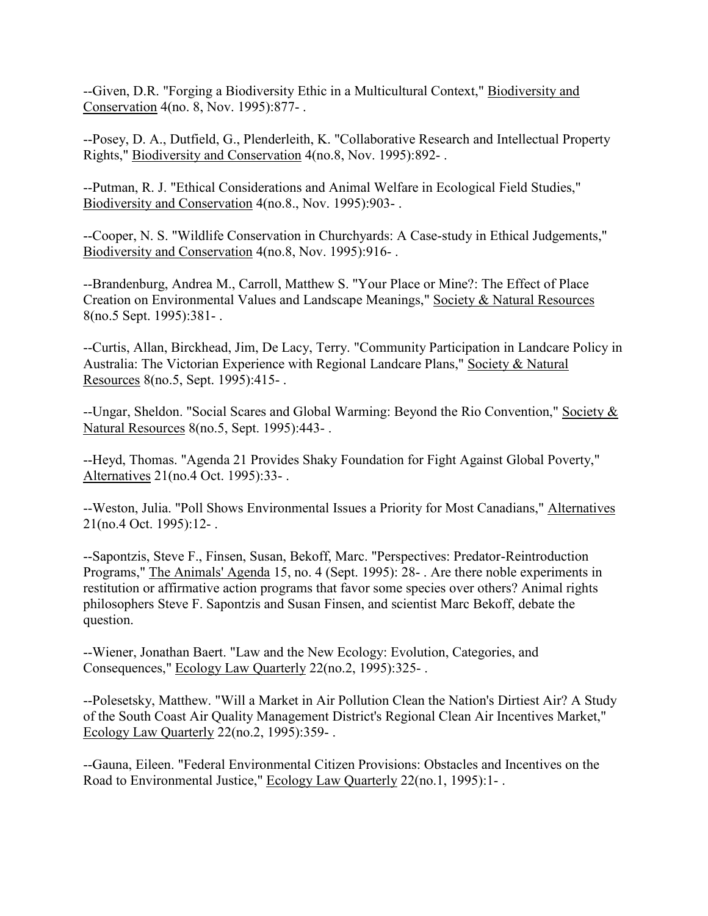--Given, D.R. "Forging a Biodiversity Ethic in a Multicultural Context," Biodiversity and Conservation 4(no. 8, Nov. 1995):877- .

--Posey, D. A., Dutfield, G., Plenderleith, K. "Collaborative Research and Intellectual Property Rights," Biodiversity and Conservation 4(no.8, Nov. 1995):892- .

--Putman, R. J. "Ethical Considerations and Animal Welfare in Ecological Field Studies," Biodiversity and Conservation 4(no.8., Nov. 1995):903- .

--Cooper, N. S. "Wildlife Conservation in Churchyards: A Case-study in Ethical Judgements," Biodiversity and Conservation 4(no.8, Nov. 1995):916- .

--Brandenburg, Andrea M., Carroll, Matthew S. "Your Place or Mine?: The Effect of Place Creation on Environmental Values and Landscape Meanings," Society & Natural Resources 8(no.5 Sept. 1995):381- .

--Curtis, Allan, Birckhead, Jim, De Lacy, Terry. "Community Participation in Landcare Policy in Australia: The Victorian Experience with Regional Landcare Plans," Society & Natural Resources 8(no.5, Sept. 1995):415- .

--Ungar, Sheldon. "Social Scares and Global Warming: Beyond the Rio Convention," Society & Natural Resources 8(no.5, Sept. 1995):443- .

--Heyd, Thomas. "Agenda 21 Provides Shaky Foundation for Fight Against Global Poverty," Alternatives 21(no.4 Oct. 1995):33- .

--Weston, Julia. "Poll Shows Environmental Issues a Priority for Most Canadians," Alternatives 21(no.4 Oct. 1995):12- .

--Sapontzis, Steve F., Finsen, Susan, Bekoff, Marc. "Perspectives: Predator-Reintroduction Programs," The Animals' Agenda 15, no. 4 (Sept. 1995): 28- . Are there noble experiments in restitution or affirmative action programs that favor some species over others? Animal rights philosophers Steve F. Sapontzis and Susan Finsen, and scientist Marc Bekoff, debate the question.

--Wiener, Jonathan Baert. "Law and the New Ecology: Evolution, Categories, and Consequences," Ecology Law Quarterly 22(no.2, 1995):325- .

--Polesetsky, Matthew. "Will a Market in Air Pollution Clean the Nation's Dirtiest Air? A Study of the South Coast Air Quality Management District's Regional Clean Air Incentives Market," Ecology Law Quarterly 22(no.2, 1995):359- .

--Gauna, Eileen. "Federal Environmental Citizen Provisions: Obstacles and Incentives on the Road to Environmental Justice," Ecology Law Quarterly 22(no.1, 1995):1- .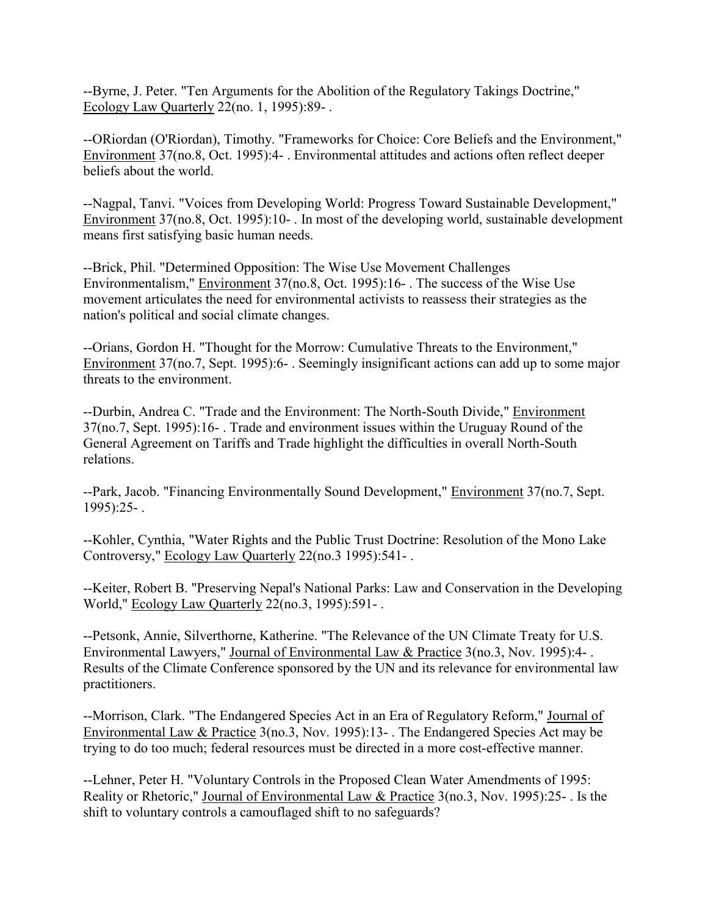--Byrne, J. Peter. "Ten Arguments for the Abolition of the Regulatory Takings Doctrine," Ecology Law Quarterly 22(no. 1, 1995):89- .

--ORiordan (O'Riordan), Timothy. "Frameworks for Choice: Core Beliefs and the Environment," Environment 37(no.8, Oct. 1995):4- . Environmental attitudes and actions often reflect deeper beliefs about the world.

--Nagpal, Tanvi. "Voices from Developing World: Progress Toward Sustainable Development," Environment 37(no.8, Oct. 1995):10- . In most of the developing world, sustainable development means first satisfying basic human needs.

--Brick, Phil. "Determined Opposition: The Wise Use Movement Challenges Environmentalism," Environment 37(no.8, Oct. 1995):16- . The success of the Wise Use movement articulates the need for environmental activists to reassess their strategies as the nation's political and social climate changes.

--Orians, Gordon H. "Thought for the Morrow: Cumulative Threats to the Environment," Environment 37(no.7, Sept. 1995):6- . Seemingly insignificant actions can add up to some major threats to the environment.

--Durbin, Andrea C. "Trade and the Environment: The North-South Divide," Environment 37(no.7, Sept. 1995):16- . Trade and environment issues within the Uruguay Round of the General Agreement on Tariffs and Trade highlight the difficulties in overall North-South relations.

--Park, Jacob. "Financing Environmentally Sound Development," Environment 37(no.7, Sept. 1995):25- .

--Kohler, Cynthia, "Water Rights and the Public Trust Doctrine: Resolution of the Mono Lake Controversy," Ecology Law Quarterly 22(no.3 1995):541- .

--Keiter, Robert B. "Preserving Nepal's National Parks: Law and Conservation in the Developing World," Ecology Law Quarterly 22(no.3, 1995):591- .

--Petsonk, Annie, Silverthorne, Katherine. "The Relevance of the UN Climate Treaty for U.S. Environmental Lawyers," Journal of Environmental Law & Practice 3(no.3, Nov. 1995):4- . Results of the Climate Conference sponsored by the UN and its relevance for environmental law practitioners.

--Morrison, Clark. "The Endangered Species Act in an Era of Regulatory Reform," Journal of Environmental Law & Practice 3(no.3, Nov. 1995):13- . The Endangered Species Act may be trying to do too much; federal resources must be directed in a more cost-effective manner.

--Lehner, Peter H. "Voluntary Controls in the Proposed Clean Water Amendments of 1995: Reality or Rhetoric," Journal of Environmental Law & Practice 3(no.3, Nov. 1995):25- . Is the shift to voluntary controls a camouflaged shift to no safeguards?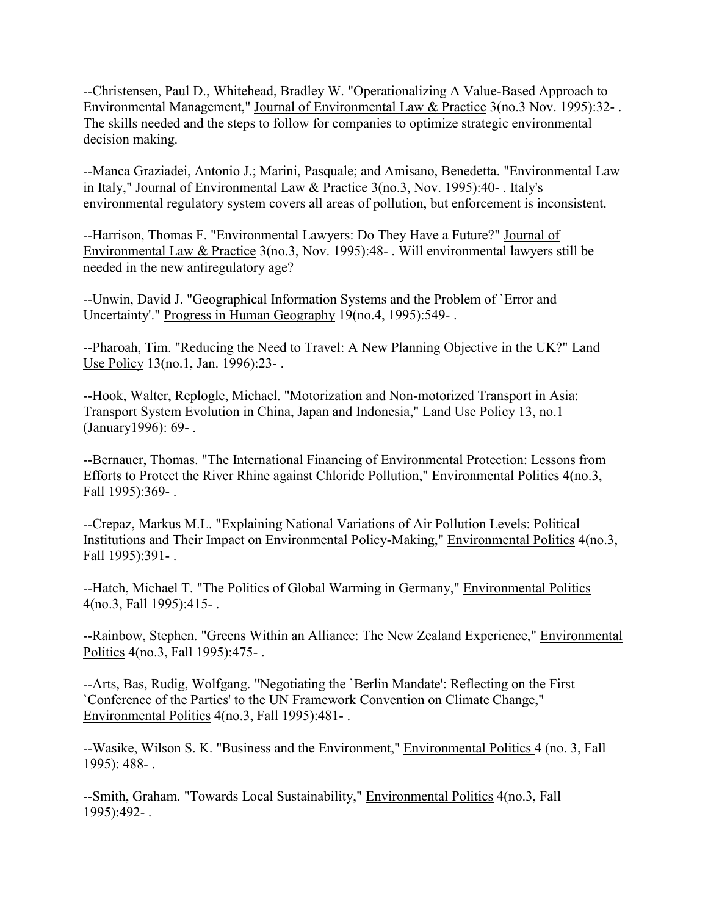--Christensen, Paul D., Whitehead, Bradley W. "Operationalizing A Value-Based Approach to Environmental Management," Journal of Environmental Law & Practice 3(no.3 Nov. 1995):32- . The skills needed and the steps to follow for companies to optimize strategic environmental decision making.

--Manca Graziadei, Antonio J.; Marini, Pasquale; and Amisano, Benedetta. "Environmental Law in Italy," Journal of Environmental Law & Practice 3(no.3, Nov. 1995):40- . Italy's environmental regulatory system covers all areas of pollution, but enforcement is inconsistent.

--Harrison, Thomas F. "Environmental Lawyers: Do They Have a Future?" Journal of Environmental Law & Practice 3(no.3, Nov. 1995):48- . Will environmental lawyers still be needed in the new antiregulatory age?

--Unwin, David J. "Geographical Information Systems and the Problem of `Error and Uncertainty'." Progress in Human Geography 19(no.4, 1995):549- .

--Pharoah, Tim. "Reducing the Need to Travel: A New Planning Objective in the UK?" Land Use Policy 13(no.1, Jan. 1996):23- .

--Hook, Walter, Replogle, Michael. "Motorization and Non-motorized Transport in Asia: Transport System Evolution in China, Japan and Indonesia," Land Use Policy 13, no.1 (January1996): 69- .

--Bernauer, Thomas. "The International Financing of Environmental Protection: Lessons from Efforts to Protect the River Rhine against Chloride Pollution," Environmental Politics 4(no.3, Fall 1995):369- .

--Crepaz, Markus M.L. "Explaining National Variations of Air Pollution Levels: Political Institutions and Their Impact on Environmental Policy-Making," Environmental Politics 4(no.3, Fall 1995):391- .

--Hatch, Michael T. "The Politics of Global Warming in Germany," Environmental Politics 4(no.3, Fall 1995):415- .

--Rainbow, Stephen. "Greens Within an Alliance: The New Zealand Experience," Environmental Politics 4(no.3, Fall 1995):475- .

--Arts, Bas, Rudig, Wolfgang. "Negotiating the `Berlin Mandate': Reflecting on the First `Conference of the Parties' to the UN Framework Convention on Climate Change," Environmental Politics 4(no.3, Fall 1995):481- .

--Wasike, Wilson S. K. "Business and the Environment," Environmental Politics 4 (no. 3, Fall 1995): 488- .

--Smith, Graham. "Towards Local Sustainability," Environmental Politics 4(no.3, Fall 1995):492- .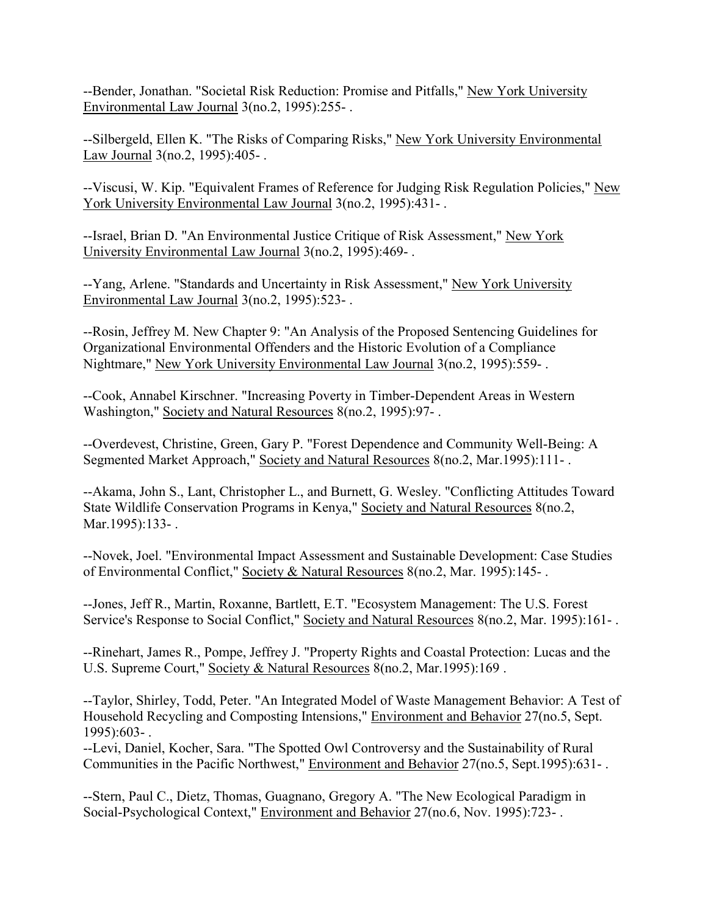--Bender, Jonathan. "Societal Risk Reduction: Promise and Pitfalls," New York University Environmental Law Journal 3(no.2, 1995):255- .

--Silbergeld, Ellen K. "The Risks of Comparing Risks," New York University Environmental Law Journal 3(no.2, 1995):405- .

--Viscusi, W. Kip. "Equivalent Frames of Reference for Judging Risk Regulation Policies," New York University Environmental Law Journal 3(no.2, 1995):431-.

--Israel, Brian D. "An Environmental Justice Critique of Risk Assessment," New York University Environmental Law Journal 3(no.2, 1995):469- .

--Yang, Arlene. "Standards and Uncertainty in Risk Assessment," New York University Environmental Law Journal 3(no.2, 1995):523- .

--Rosin, Jeffrey M. New Chapter 9: "An Analysis of the Proposed Sentencing Guidelines for Organizational Environmental Offenders and the Historic Evolution of a Compliance Nightmare," New York University Environmental Law Journal 3(no.2, 1995):559- .

--Cook, Annabel Kirschner. "Increasing Poverty in Timber-Dependent Areas in Western Washington," Society and Natural Resources 8(no.2, 1995):97- .

--Overdevest, Christine, Green, Gary P. "Forest Dependence and Community Well-Being: A Segmented Market Approach," Society and Natural Resources 8(no.2, Mar.1995):111- .

--Akama, John S., Lant, Christopher L., and Burnett, G. Wesley. "Conflicting Attitudes Toward State Wildlife Conservation Programs in Kenya," Society and Natural Resources 8(no.2, Mar.1995):133-.

--Novek, Joel. "Environmental Impact Assessment and Sustainable Development: Case Studies of Environmental Conflict," Society & Natural Resources 8(no.2, Mar. 1995):145- .

--Jones, Jeff R., Martin, Roxanne, Bartlett, E.T. "Ecosystem Management: The U.S. Forest Service's Response to Social Conflict," Society and Natural Resources 8(no.2, Mar. 1995):161- .

--Rinehart, James R., Pompe, Jeffrey J. "Property Rights and Coastal Protection: Lucas and the U.S. Supreme Court," Society & Natural Resources 8(no.2, Mar.1995):169 .

--Taylor, Shirley, Todd, Peter. "An Integrated Model of Waste Management Behavior: A Test of Household Recycling and Composting Intensions," Environment and Behavior 27(no.5, Sept. 1995):603- .

--Levi, Daniel, Kocher, Sara. "The Spotted Owl Controversy and the Sustainability of Rural Communities in the Pacific Northwest," Environment and Behavior 27(no.5, Sept.1995):631- .

--Stern, Paul C., Dietz, Thomas, Guagnano, Gregory A. "The New Ecological Paradigm in Social-Psychological Context," Environment and Behavior 27(no.6, Nov. 1995):723- .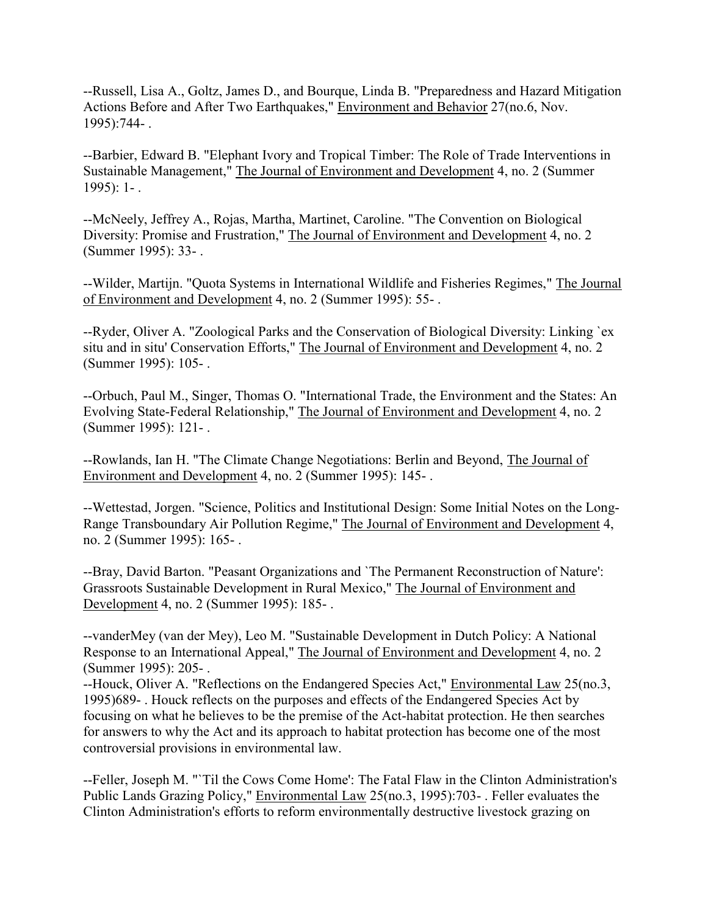--Russell, Lisa A., Goltz, James D., and Bourque, Linda B. "Preparedness and Hazard Mitigation Actions Before and After Two Earthquakes," Environment and Behavior 27(no.6, Nov. 1995):744- .

--Barbier, Edward B. "Elephant Ivory and Tropical Timber: The Role of Trade Interventions in Sustainable Management," The Journal of Environment and Development 4, no. 2 (Summer 1995): 1- .

--McNeely, Jeffrey A., Rojas, Martha, Martinet, Caroline. "The Convention on Biological Diversity: Promise and Frustration," The Journal of Environment and Development 4, no. 2 (Summer 1995): 33- .

--Wilder, Martijn. "Quota Systems in International Wildlife and Fisheries Regimes," The Journal of Environment and Development 4, no. 2 (Summer 1995): 55- .

--Ryder, Oliver A. "Zoological Parks and the Conservation of Biological Diversity: Linking `ex situ and in situ' Conservation Efforts," The Journal of Environment and Development 4, no. 2 (Summer 1995): 105- .

--Orbuch, Paul M., Singer, Thomas O. "International Trade, the Environment and the States: An Evolving State-Federal Relationship," The Journal of Environment and Development 4, no. 2 (Summer 1995): 121- .

--Rowlands, Ian H. "The Climate Change Negotiations: Berlin and Beyond, The Journal of Environment and Development 4, no. 2 (Summer 1995): 145- .

--Wettestad, Jorgen. "Science, Politics and Institutional Design: Some Initial Notes on the Long-Range Transboundary Air Pollution Regime," The Journal of Environment and Development 4, no. 2 (Summer 1995): 165- .

--Bray, David Barton. "Peasant Organizations and `The Permanent Reconstruction of Nature': Grassroots Sustainable Development in Rural Mexico," The Journal of Environment and Development 4, no. 2 (Summer 1995): 185- .

--vanderMey (van der Mey), Leo M. "Sustainable Development in Dutch Policy: A National Response to an International Appeal," The Journal of Environment and Development 4, no. 2 (Summer 1995): 205- .

--Houck, Oliver A. "Reflections on the Endangered Species Act," Environmental Law 25(no.3, 1995)689- . Houck reflects on the purposes and effects of the Endangered Species Act by focusing on what he believes to be the premise of the Act-habitat protection. He then searches for answers to why the Act and its approach to habitat protection has become one of the most controversial provisions in environmental law.

--Feller, Joseph M. "`Til the Cows Come Home': The Fatal Flaw in the Clinton Administration's Public Lands Grazing Policy," Environmental Law 25(no.3, 1995):703- . Feller evaluates the Clinton Administration's efforts to reform environmentally destructive livestock grazing on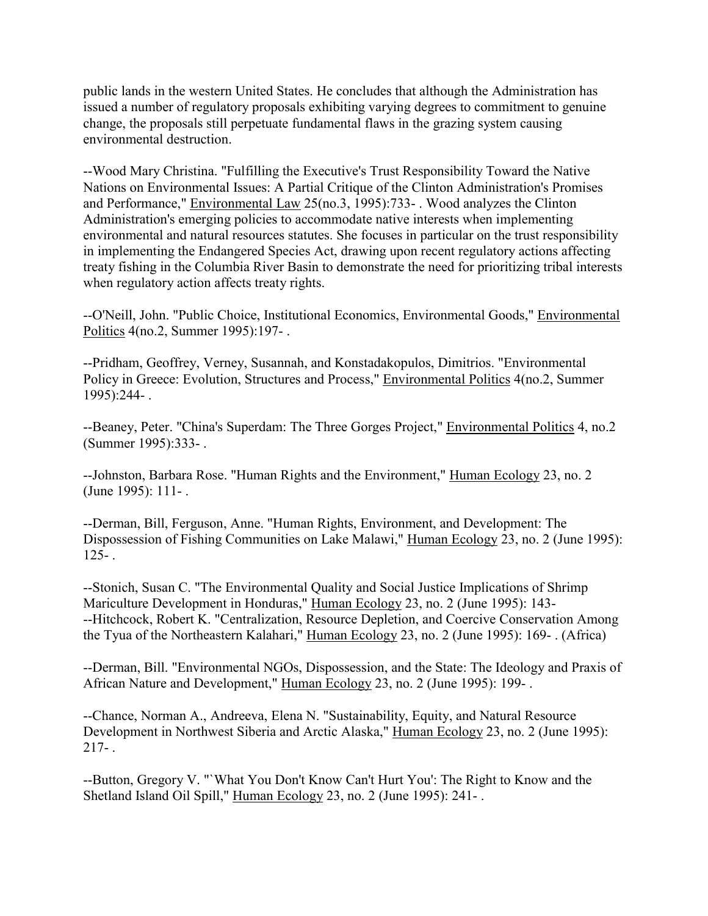public lands in the western United States. He concludes that although the Administration has issued a number of regulatory proposals exhibiting varying degrees to commitment to genuine change, the proposals still perpetuate fundamental flaws in the grazing system causing environmental destruction.

--Wood Mary Christina. "Fulfilling the Executive's Trust Responsibility Toward the Native Nations on Environmental Issues: A Partial Critique of the Clinton Administration's Promises and Performance," Environmental Law 25(no.3, 1995):733- . Wood analyzes the Clinton Administration's emerging policies to accommodate native interests when implementing environmental and natural resources statutes. She focuses in particular on the trust responsibility in implementing the Endangered Species Act, drawing upon recent regulatory actions affecting treaty fishing in the Columbia River Basin to demonstrate the need for prioritizing tribal interests when regulatory action affects treaty rights.

--O'Neill, John. "Public Choice, Institutional Economics, Environmental Goods," Environmental Politics 4(no.2, Summer 1995):197- .

--Pridham, Geoffrey, Verney, Susannah, and Konstadakopulos, Dimitrios. "Environmental Policy in Greece: Evolution, Structures and Process," Environmental Politics 4(no.2, Summer 1995):244- .

--Beaney, Peter. "China's Superdam: The Three Gorges Project," Environmental Politics 4, no.2 (Summer 1995):333- .

--Johnston, Barbara Rose. "Human Rights and the Environment," Human Ecology 23, no. 2 (June 1995): 111- .

--Derman, Bill, Ferguson, Anne. "Human Rights, Environment, and Development: The Dispossession of Fishing Communities on Lake Malawi," Human Ecology 23, no. 2 (June 1995):  $125 - 1$ 

--Stonich, Susan C. "The Environmental Quality and Social Justice Implications of Shrimp Mariculture Development in Honduras," Human Ecology 23, no. 2 (June 1995): 143- --Hitchcock, Robert K. "Centralization, Resource Depletion, and Coercive Conservation Among the Tyua of the Northeastern Kalahari," Human Ecology 23, no. 2 (June 1995): 169- . (Africa)

--Derman, Bill. "Environmental NGOs, Dispossession, and the State: The Ideology and Praxis of African Nature and Development," Human Ecology 23, no. 2 (June 1995): 199- .

--Chance, Norman A., Andreeva, Elena N. "Sustainability, Equity, and Natural Resource Development in Northwest Siberia and Arctic Alaska," Human Ecology 23, no. 2 (June 1995):  $217 - .$ 

--Button, Gregory V. "`What You Don't Know Can't Hurt You': The Right to Know and the Shetland Island Oil Spill," Human Ecology 23, no. 2 (June 1995): 241- .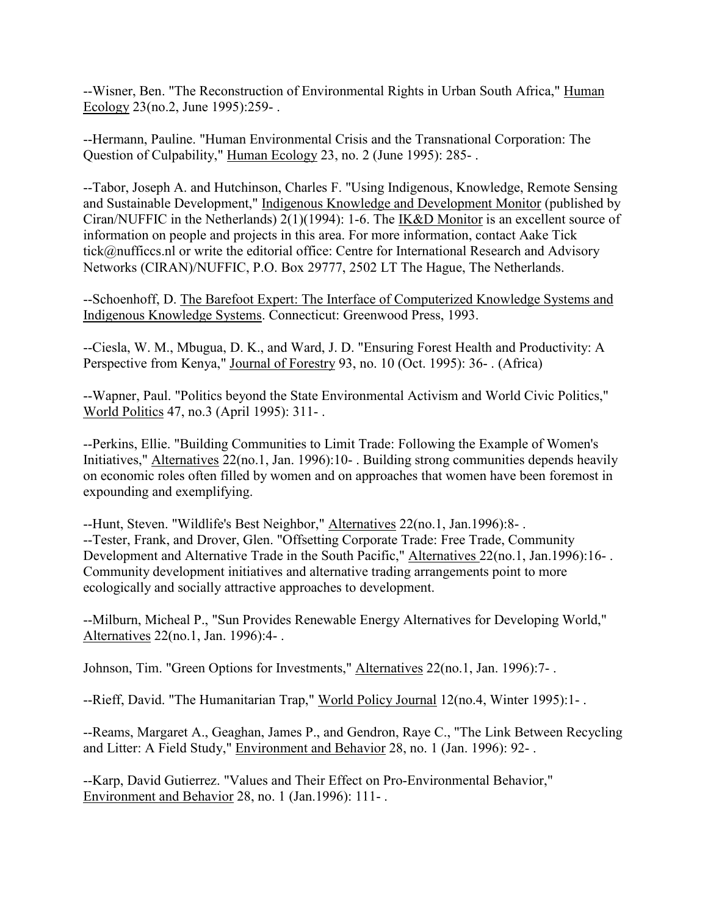--Wisner, Ben. "The Reconstruction of Environmental Rights in Urban South Africa," Human Ecology 23(no.2, June 1995):259- .

--Hermann, Pauline. "Human Environmental Crisis and the Transnational Corporation: The Question of Culpability," Human Ecology 23, no. 2 (June 1995): 285- .

--Tabor, Joseph A. and Hutchinson, Charles F. "Using Indigenous, Knowledge, Remote Sensing and Sustainable Development," Indigenous Knowledge and Development Monitor (published by Ciran/NUFFIC in the Netherlands) 2(1)(1994): 1-6. The IK&D Monitor is an excellent source of information on people and projects in this area. For more information, contact Aake Tick tick@nufficcs.nl or write the editorial office: Centre for International Research and Advisory Networks (CIRAN)/NUFFIC, P.O. Box 29777, 2502 LT The Hague, The Netherlands.

--Schoenhoff, D. The Barefoot Expert: The Interface of Computerized Knowledge Systems and Indigenous Knowledge Systems. Connecticut: Greenwood Press, 1993.

--Ciesla, W. M., Mbugua, D. K., and Ward, J. D. "Ensuring Forest Health and Productivity: A Perspective from Kenya," Journal of Forestry 93, no. 10 (Oct. 1995): 36- . (Africa)

--Wapner, Paul. "Politics beyond the State Environmental Activism and World Civic Politics," World Politics 47, no.3 (April 1995): 311- .

--Perkins, Ellie. "Building Communities to Limit Trade: Following the Example of Women's Initiatives," Alternatives 22(no.1, Jan. 1996):10- . Building strong communities depends heavily on economic roles often filled by women and on approaches that women have been foremost in expounding and exemplifying.

--Hunt, Steven. "Wildlife's Best Neighbor," Alternatives 22(no.1, Jan.1996):8- . --Tester, Frank, and Drover, Glen. "Offsetting Corporate Trade: Free Trade, Community Development and Alternative Trade in the South Pacific," Alternatives 22(no.1, Jan.1996):16-. Community development initiatives and alternative trading arrangements point to more ecologically and socially attractive approaches to development.

--Milburn, Micheal P., "Sun Provides Renewable Energy Alternatives for Developing World," Alternatives 22(no.1, Jan. 1996):4- .

Johnson, Tim. "Green Options for Investments," Alternatives 22(no.1, Jan. 1996):7- .

--Rieff, David. "The Humanitarian Trap," World Policy Journal 12(no.4, Winter 1995):1- .

--Reams, Margaret A., Geaghan, James P., and Gendron, Raye C., "The Link Between Recycling and Litter: A Field Study," Environment and Behavior 28, no. 1 (Jan. 1996): 92- .

--Karp, David Gutierrez. "Values and Their Effect on Pro-Environmental Behavior," Environment and Behavior 28, no. 1 (Jan.1996): 111- .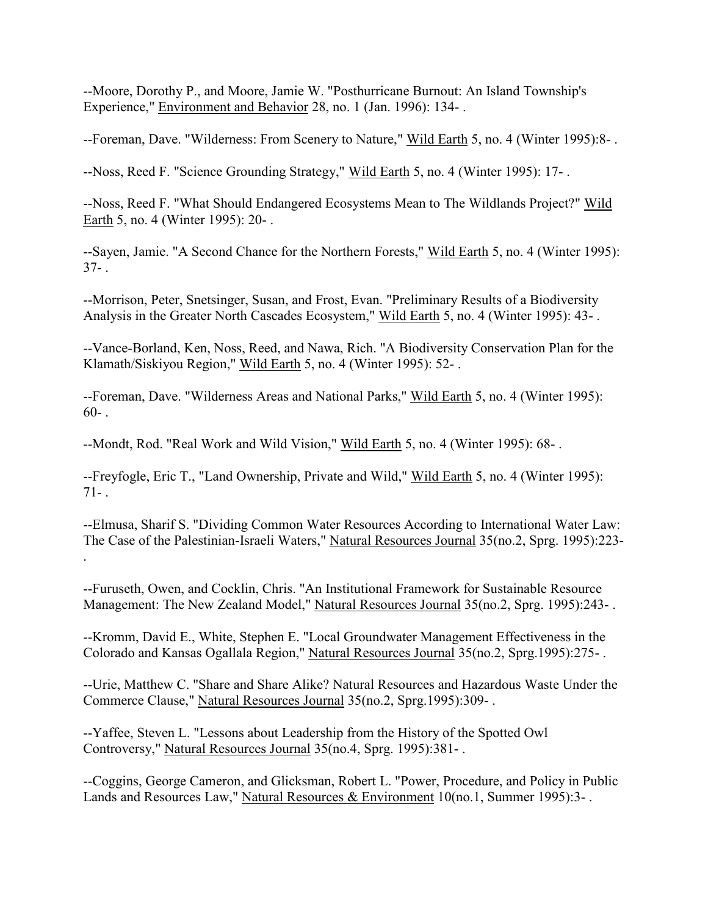--Moore, Dorothy P., and Moore, Jamie W. "Posthurricane Burnout: An Island Township's Experience," Environment and Behavior 28, no. 1 (Jan. 1996): 134- .

--Foreman, Dave. "Wilderness: From Scenery to Nature," Wild Earth 5, no. 4 (Winter 1995):8-.

--Noss, Reed F. "Science Grounding Strategy," Wild Earth 5, no. 4 (Winter 1995): 17- .

--Noss, Reed F. "What Should Endangered Ecosystems Mean to The Wildlands Project?" Wild Earth 5, no. 4 (Winter 1995): 20- .

--Sayen, Jamie. "A Second Chance for the Northern Forests," Wild Earth 5, no. 4 (Winter 1995):  $37 - .$ 

--Morrison, Peter, Snetsinger, Susan, and Frost, Evan. "Preliminary Results of a Biodiversity Analysis in the Greater North Cascades Ecosystem," Wild Earth 5, no. 4 (Winter 1995): 43- .

--Vance-Borland, Ken, Noss, Reed, and Nawa, Rich. "A Biodiversity Conservation Plan for the Klamath/Siskiyou Region," Wild Earth 5, no. 4 (Winter 1995): 52- .

--Foreman, Dave. "Wilderness Areas and National Parks," Wild Earth 5, no. 4 (Winter 1995):  $60-$ 

--Mondt, Rod. "Real Work and Wild Vision," Wild Earth 5, no. 4 (Winter 1995): 68- .

--Freyfogle, Eric T., "Land Ownership, Private and Wild," Wild Earth 5, no. 4 (Winter 1995):  $71 -$ 

--Elmusa, Sharif S. "Dividing Common Water Resources According to International Water Law: The Case of the Palestinian-Israeli Waters," Natural Resources Journal 35(no.2, Sprg. 1995):223- .

--Furuseth, Owen, and Cocklin, Chris. "An Institutional Framework for Sustainable Resource Management: The New Zealand Model," Natural Resources Journal 35(no.2, Sprg. 1995):243- .

--Kromm, David E., White, Stephen E. "Local Groundwater Management Effectiveness in the Colorado and Kansas Ogallala Region," Natural Resources Journal 35(no.2, Sprg.1995):275- .

--Urie, Matthew C. "Share and Share Alike? Natural Resources and Hazardous Waste Under the Commerce Clause," Natural Resources Journal 35(no.2, Sprg.1995):309- .

--Yaffee, Steven L. "Lessons about Leadership from the History of the Spotted Owl Controversy," Natural Resources Journal 35(no.4, Sprg. 1995):381- .

--Coggins, George Cameron, and Glicksman, Robert L. "Power, Procedure, and Policy in Public Lands and Resources Law," Natural Resources & Environment 10(no.1, Summer 1995):3-.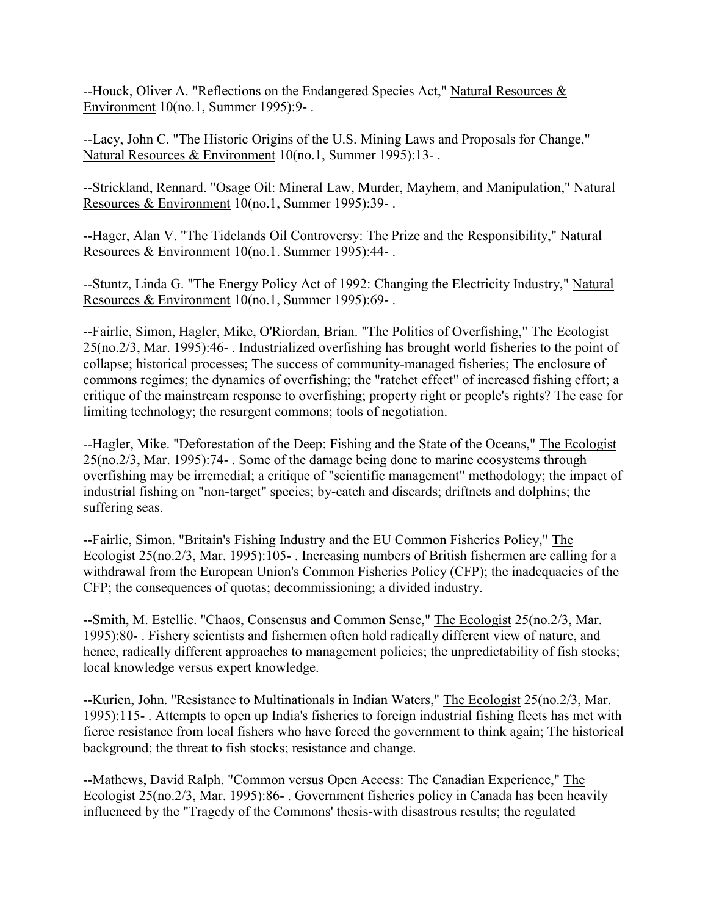--Houck, Oliver A. "Reflections on the Endangered Species Act," Natural Resources & Environment 10(no.1, Summer 1995):9- .

--Lacy, John C. "The Historic Origins of the U.S. Mining Laws and Proposals for Change," Natural Resources & Environment 10(no.1, Summer 1995):13- .

--Strickland, Rennard. "Osage Oil: Mineral Law, Murder, Mayhem, and Manipulation," Natural Resources & Environment 10(no.1, Summer 1995):39- .

--Hager, Alan V. "The Tidelands Oil Controversy: The Prize and the Responsibility," Natural Resources & Environment 10(no.1. Summer 1995):44- .

--Stuntz, Linda G. "The Energy Policy Act of 1992: Changing the Electricity Industry," Natural Resources & Environment 10(no.1, Summer 1995):69-.

--Fairlie, Simon, Hagler, Mike, O'Riordan, Brian. "The Politics of Overfishing," The Ecologist 25(no.2/3, Mar. 1995):46- . Industrialized overfishing has brought world fisheries to the point of collapse; historical processes; The success of community-managed fisheries; The enclosure of commons regimes; the dynamics of overfishing; the "ratchet effect" of increased fishing effort; a critique of the mainstream response to overfishing; property right or people's rights? The case for limiting technology; the resurgent commons; tools of negotiation.

--Hagler, Mike. "Deforestation of the Deep: Fishing and the State of the Oceans," The Ecologist 25(no.2/3, Mar. 1995):74- . Some of the damage being done to marine ecosystems through overfishing may be irremedial; a critique of "scientific management" methodology; the impact of industrial fishing on "non-target" species; by-catch and discards; driftnets and dolphins; the suffering seas.

--Fairlie, Simon. "Britain's Fishing Industry and the EU Common Fisheries Policy," The Ecologist 25(no.2/3, Mar. 1995):105- . Increasing numbers of British fishermen are calling for a withdrawal from the European Union's Common Fisheries Policy (CFP); the inadequacies of the CFP; the consequences of quotas; decommissioning; a divided industry.

--Smith, M. Estellie. "Chaos, Consensus and Common Sense," The Ecologist 25(no.2/3, Mar. 1995):80- . Fishery scientists and fishermen often hold radically different view of nature, and hence, radically different approaches to management policies; the unpredictability of fish stocks; local knowledge versus expert knowledge.

--Kurien, John. "Resistance to Multinationals in Indian Waters," The Ecologist 25(no.2/3, Mar. 1995):115- . Attempts to open up India's fisheries to foreign industrial fishing fleets has met with fierce resistance from local fishers who have forced the government to think again; The historical background; the threat to fish stocks; resistance and change.

--Mathews, David Ralph. "Common versus Open Access: The Canadian Experience," The Ecologist 25(no.2/3, Mar. 1995):86- . Government fisheries policy in Canada has been heavily influenced by the "Tragedy of the Commons' thesis-with disastrous results; the regulated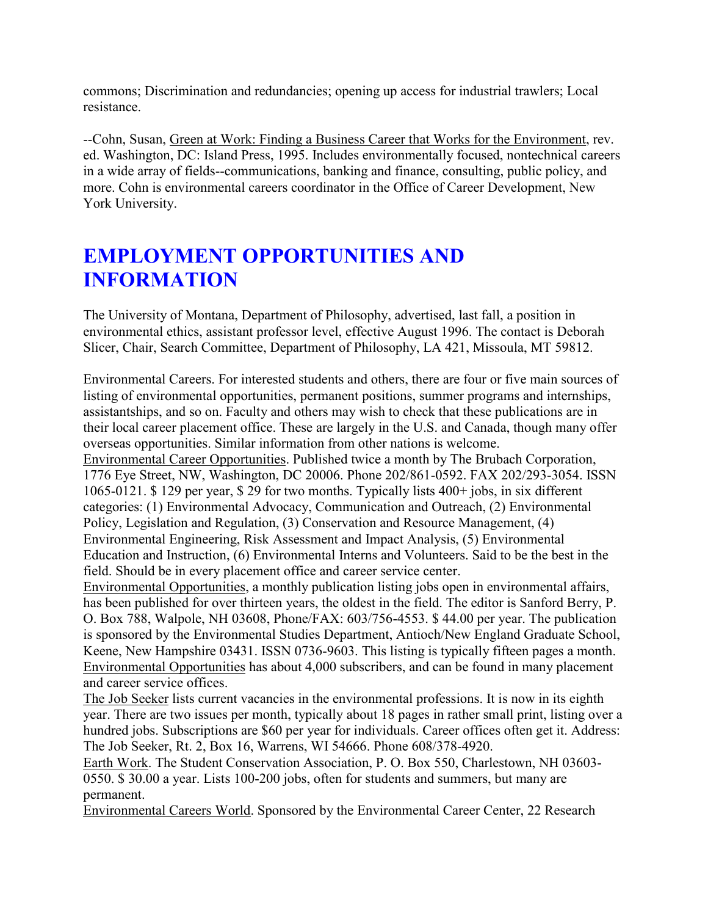commons; Discrimination and redundancies; opening up access for industrial trawlers; Local resistance.

--Cohn, Susan, Green at Work: Finding a Business Career that Works for the Environment, rev. ed. Washington, DC: Island Press, 1995. Includes environmentally focused, nontechnical careers in a wide array of fields--communications, banking and finance, consulting, public policy, and more. Cohn is environmental careers coordinator in the Office of Career Development, New York University.

# **EMPLOYMENT OPPORTUNITIES AND INFORMATION**

The University of Montana, Department of Philosophy, advertised, last fall, a position in environmental ethics, assistant professor level, effective August 1996. The contact is Deborah Slicer, Chair, Search Committee, Department of Philosophy, LA 421, Missoula, MT 59812.

Environmental Careers. For interested students and others, there are four or five main sources of listing of environmental opportunities, permanent positions, summer programs and internships, assistantships, and so on. Faculty and others may wish to check that these publications are in their local career placement office. These are largely in the U.S. and Canada, though many offer overseas opportunities. Similar information from other nations is welcome.

Environmental Career Opportunities. Published twice a month by The Brubach Corporation, 1776 Eye Street, NW, Washington, DC 20006. Phone 202/861-0592. FAX 202/293-3054. ISSN 1065-0121. \$ 129 per year, \$ 29 for two months. Typically lists 400+ jobs, in six different categories: (1) Environmental Advocacy, Communication and Outreach, (2) Environmental Policy, Legislation and Regulation, (3) Conservation and Resource Management, (4) Environmental Engineering, Risk Assessment and Impact Analysis, (5) Environmental Education and Instruction, (6) Environmental Interns and Volunteers. Said to be the best in the field. Should be in every placement office and career service center.

Environmental Opportunities, a monthly publication listing jobs open in environmental affairs, has been published for over thirteen years, the oldest in the field. The editor is Sanford Berry, P. O. Box 788, Walpole, NH 03608, Phone/FAX: 603/756-4553. \$ 44.00 per year. The publication is sponsored by the Environmental Studies Department, Antioch/New England Graduate School, Keene, New Hampshire 03431. ISSN 0736-9603. This listing is typically fifteen pages a month. Environmental Opportunities has about 4,000 subscribers, and can be found in many placement and career service offices.

The Job Seeker lists current vacancies in the environmental professions. It is now in its eighth year. There are two issues per month, typically about 18 pages in rather small print, listing over a hundred jobs. Subscriptions are \$60 per year for individuals. Career offices often get it. Address: The Job Seeker, Rt. 2, Box 16, Warrens, WI 54666. Phone 608/378-4920.

Earth Work. The Student Conservation Association, P. O. Box 550, Charlestown, NH 03603- 0550. \$ 30.00 a year. Lists 100-200 jobs, often for students and summers, but many are permanent.

Environmental Careers World. Sponsored by the Environmental Career Center, 22 Research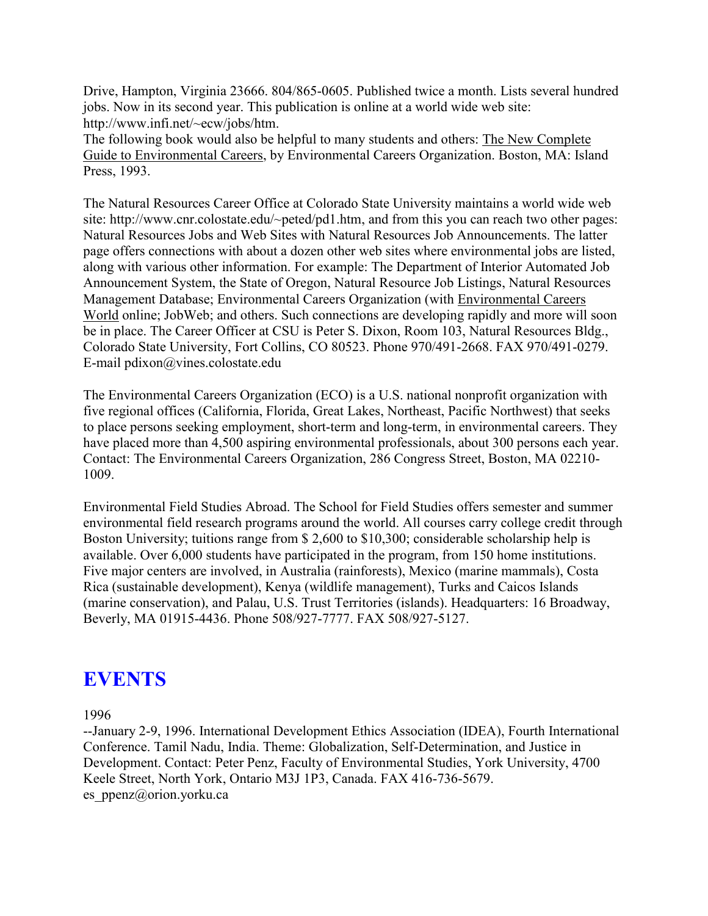Drive, Hampton, Virginia 23666. 804/865-0605. Published twice a month. Lists several hundred jobs. Now in its second year. This publication is online at a world wide web site: http://www.infi.net/~ecw/jobs/htm.

The following book would also be helpful to many students and others: The New Complete Guide to Environmental Careers, by Environmental Careers Organization. Boston, MA: Island Press, 1993.

The Natural Resources Career Office at Colorado State University maintains a world wide web site: http://www.cnr.colostate.edu/~peted/pd1.htm, and from this you can reach two other pages: Natural Resources Jobs and Web Sites with Natural Resources Job Announcements. The latter page offers connections with about a dozen other web sites where environmental jobs are listed, along with various other information. For example: The Department of Interior Automated Job Announcement System, the State of Oregon, Natural Resource Job Listings, Natural Resources Management Database; Environmental Careers Organization (with Environmental Careers World online; JobWeb; and others. Such connections are developing rapidly and more will soon be in place. The Career Officer at CSU is Peter S. Dixon, Room 103, Natural Resources Bldg., Colorado State University, Fort Collins, CO 80523. Phone 970/491-2668. FAX 970/491-0279. E-mail pdixon@vines.colostate.edu

The Environmental Careers Organization (ECO) is a U.S. national nonprofit organization with five regional offices (California, Florida, Great Lakes, Northeast, Pacific Northwest) that seeks to place persons seeking employment, short-term and long-term, in environmental careers. They have placed more than 4,500 aspiring environmental professionals, about 300 persons each year. Contact: The Environmental Careers Organization, 286 Congress Street, Boston, MA 02210- 1009.

Environmental Field Studies Abroad. The School for Field Studies offers semester and summer environmental field research programs around the world. All courses carry college credit through Boston University; tuitions range from \$ 2,600 to \$10,300; considerable scholarship help is available. Over 6,000 students have participated in the program, from 150 home institutions. Five major centers are involved, in Australia (rainforests), Mexico (marine mammals), Costa Rica (sustainable development), Kenya (wildlife management), Turks and Caicos Islands (marine conservation), and Palau, U.S. Trust Territories (islands). Headquarters: 16 Broadway, Beverly, MA 01915-4436. Phone 508/927-7777. FAX 508/927-5127.

## **EVENTS**

1996

--January 2-9, 1996. International Development Ethics Association (IDEA), Fourth International Conference. Tamil Nadu, India. Theme: Globalization, Self-Determination, and Justice in Development. Contact: Peter Penz, Faculty of Environmental Studies, York University, 4700 Keele Street, North York, Ontario M3J 1P3, Canada. FAX 416-736-5679. es ppenz@orion.yorku.ca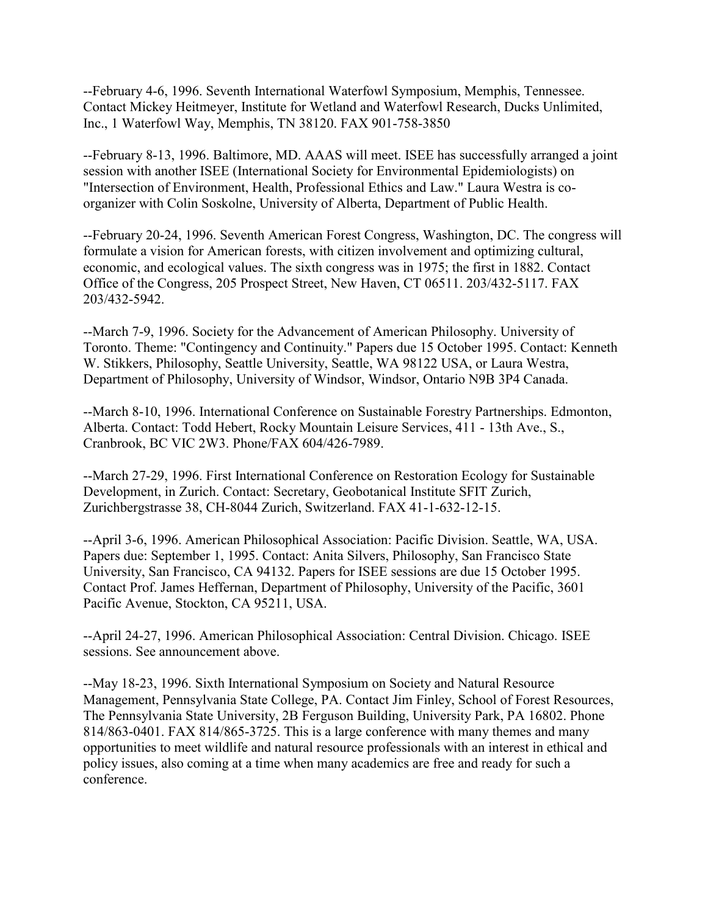--February 4-6, 1996. Seventh International Waterfowl Symposium, Memphis, Tennessee. Contact Mickey Heitmeyer, Institute for Wetland and Waterfowl Research, Ducks Unlimited, Inc., 1 Waterfowl Way, Memphis, TN 38120. FAX 901-758-3850

--February 8-13, 1996. Baltimore, MD. AAAS will meet. ISEE has successfully arranged a joint session with another ISEE (International Society for Environmental Epidemiologists) on "Intersection of Environment, Health, Professional Ethics and Law." Laura Westra is coorganizer with Colin Soskolne, University of Alberta, Department of Public Health.

--February 20-24, 1996. Seventh American Forest Congress, Washington, DC. The congress will formulate a vision for American forests, with citizen involvement and optimizing cultural, economic, and ecological values. The sixth congress was in 1975; the first in 1882. Contact Office of the Congress, 205 Prospect Street, New Haven, CT 06511. 203/432-5117. FAX 203/432-5942.

--March 7-9, 1996. Society for the Advancement of American Philosophy. University of Toronto. Theme: "Contingency and Continuity." Papers due 15 October 1995. Contact: Kenneth W. Stikkers, Philosophy, Seattle University, Seattle, WA 98122 USA, or Laura Westra, Department of Philosophy, University of Windsor, Windsor, Ontario N9B 3P4 Canada.

--March 8-10, 1996. International Conference on Sustainable Forestry Partnerships. Edmonton, Alberta. Contact: Todd Hebert, Rocky Mountain Leisure Services, 411 - 13th Ave., S., Cranbrook, BC VIC 2W3. Phone/FAX 604/426-7989.

--March 27-29, 1996. First International Conference on Restoration Ecology for Sustainable Development, in Zurich. Contact: Secretary, Geobotanical Institute SFIT Zurich, Zurichbergstrasse 38, CH-8044 Zurich, Switzerland. FAX 41-1-632-12-15.

--April 3-6, 1996. American Philosophical Association: Pacific Division. Seattle, WA, USA. Papers due: September 1, 1995. Contact: Anita Silvers, Philosophy, San Francisco State University, San Francisco, CA 94132. Papers for ISEE sessions are due 15 October 1995. Contact Prof. James Heffernan, Department of Philosophy, University of the Pacific, 3601 Pacific Avenue, Stockton, CA 95211, USA.

--April 24-27, 1996. American Philosophical Association: Central Division. Chicago. ISEE sessions. See announcement above.

--May 18-23, 1996. Sixth International Symposium on Society and Natural Resource Management, Pennsylvania State College, PA. Contact Jim Finley, School of Forest Resources, The Pennsylvania State University, 2B Ferguson Building, University Park, PA 16802. Phone 814/863-0401. FAX 814/865-3725. This is a large conference with many themes and many opportunities to meet wildlife and natural resource professionals with an interest in ethical and policy issues, also coming at a time when many academics are free and ready for such a conference.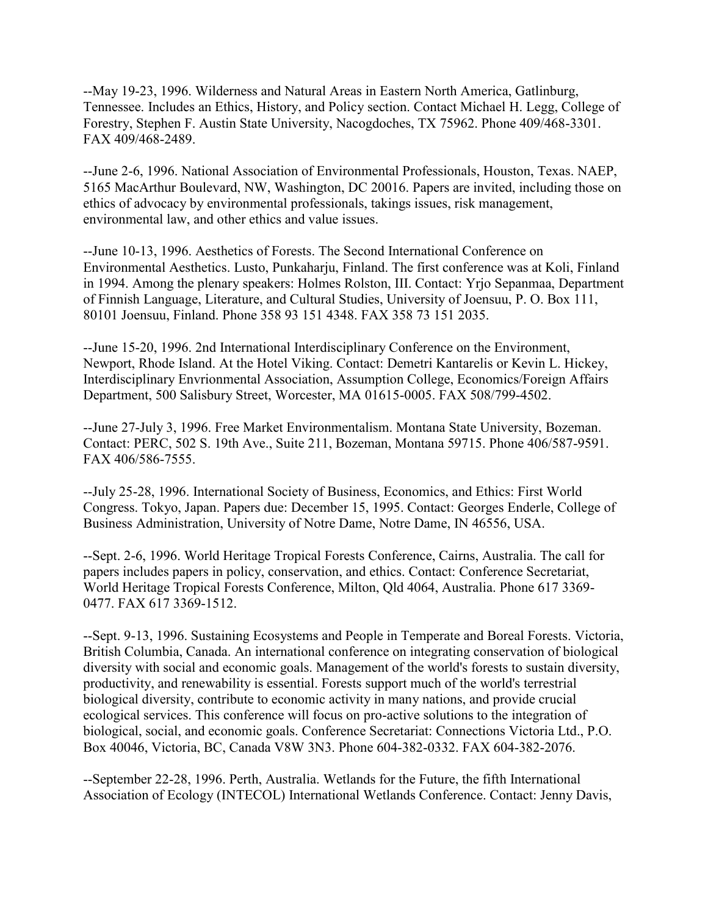--May 19-23, 1996. Wilderness and Natural Areas in Eastern North America, Gatlinburg, Tennessee. Includes an Ethics, History, and Policy section. Contact Michael H. Legg, College of Forestry, Stephen F. Austin State University, Nacogdoches, TX 75962. Phone 409/468-3301. FAX 409/468-2489.

--June 2-6, 1996. National Association of Environmental Professionals, Houston, Texas. NAEP, 5165 MacArthur Boulevard, NW, Washington, DC 20016. Papers are invited, including those on ethics of advocacy by environmental professionals, takings issues, risk management, environmental law, and other ethics and value issues.

--June 10-13, 1996. Aesthetics of Forests. The Second International Conference on Environmental Aesthetics. Lusto, Punkaharju, Finland. The first conference was at Koli, Finland in 1994. Among the plenary speakers: Holmes Rolston, III. Contact: Yrjo Sepanmaa, Department of Finnish Language, Literature, and Cultural Studies, University of Joensuu, P. O. Box 111, 80101 Joensuu, Finland. Phone 358 93 151 4348. FAX 358 73 151 2035.

--June 15-20, 1996. 2nd International Interdisciplinary Conference on the Environment, Newport, Rhode Island. At the Hotel Viking. Contact: Demetri Kantarelis or Kevin L. Hickey, Interdisciplinary Envrionmental Association, Assumption College, Economics/Foreign Affairs Department, 500 Salisbury Street, Worcester, MA 01615-0005. FAX 508/799-4502.

--June 27-July 3, 1996. Free Market Environmentalism. Montana State University, Bozeman. Contact: PERC, 502 S. 19th Ave., Suite 211, Bozeman, Montana 59715. Phone 406/587-9591. FAX 406/586-7555.

--July 25-28, 1996. International Society of Business, Economics, and Ethics: First World Congress. Tokyo, Japan. Papers due: December 15, 1995. Contact: Georges Enderle, College of Business Administration, University of Notre Dame, Notre Dame, IN 46556, USA.

--Sept. 2-6, 1996. World Heritage Tropical Forests Conference, Cairns, Australia. The call for papers includes papers in policy, conservation, and ethics. Contact: Conference Secretariat, World Heritage Tropical Forests Conference, Milton, Qld 4064, Australia. Phone 617 3369- 0477. FAX 617 3369-1512.

--Sept. 9-13, 1996. Sustaining Ecosystems and People in Temperate and Boreal Forests. Victoria, British Columbia, Canada. An international conference on integrating conservation of biological diversity with social and economic goals. Management of the world's forests to sustain diversity, productivity, and renewability is essential. Forests support much of the world's terrestrial biological diversity, contribute to economic activity in many nations, and provide crucial ecological services. This conference will focus on pro-active solutions to the integration of biological, social, and economic goals. Conference Secretariat: Connections Victoria Ltd., P.O. Box 40046, Victoria, BC, Canada V8W 3N3. Phone 604-382-0332. FAX 604-382-2076.

--September 22-28, 1996. Perth, Australia. Wetlands for the Future, the fifth International Association of Ecology (INTECOL) International Wetlands Conference. Contact: Jenny Davis,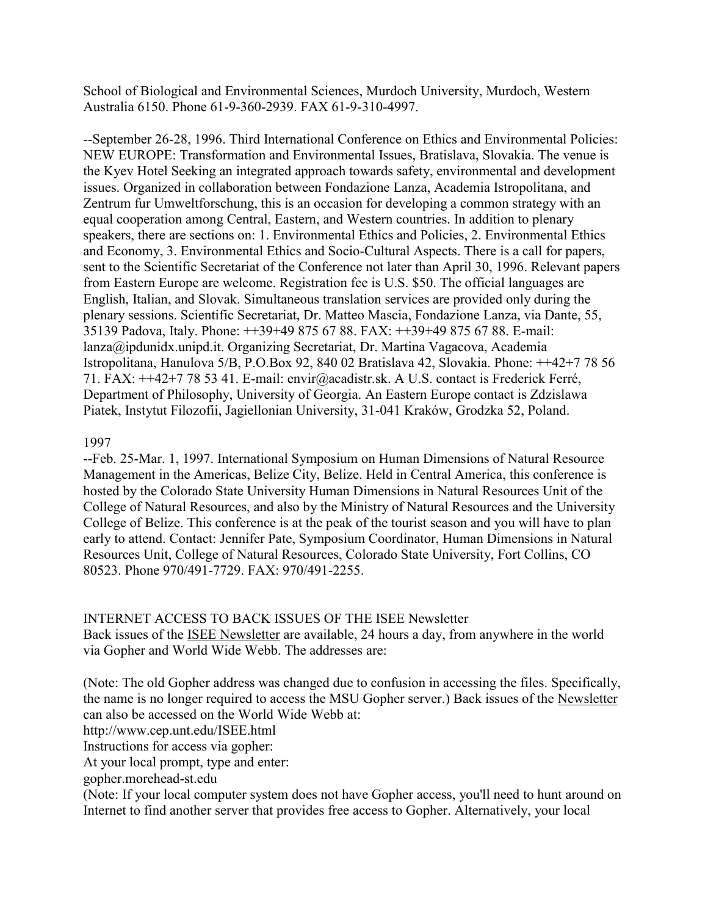School of Biological and Environmental Sciences, Murdoch University, Murdoch, Western Australia 6150. Phone 61-9-360-2939. FAX 61-9-310-4997.

--September 26-28, 1996. Third International Conference on Ethics and Environmental Policies: NEW EUROPE: Transformation and Environmental Issues, Bratislava, Slovakia. The venue is the Kyev Hotel Seeking an integrated approach towards safety, environmental and development issues. Organized in collaboration between Fondazione Lanza, Academia Istropolitana, and Zentrum fur Umweltforschung, this is an occasion for developing a common strategy with an equal cooperation among Central, Eastern, and Western countries. In addition to plenary speakers, there are sections on: 1. Environmental Ethics and Policies, 2. Environmental Ethics and Economy, 3. Environmental Ethics and Socio-Cultural Aspects. There is a call for papers, sent to the Scientific Secretariat of the Conference not later than April 30, 1996. Relevant papers from Eastern Europe are welcome. Registration fee is U.S. \$50. The official languages are English, Italian, and Slovak. Simultaneous translation services are provided only during the plenary sessions. Scientific Secretariat, Dr. Matteo Mascia, Fondazione Lanza, via Dante, 55, 35139 Padova, Italy. Phone: ++39+49 875 67 88. FAX: ++39+49 875 67 88. E-mail: lanza@ipdunidx.unipd.it. Organizing Secretariat, Dr. Martina Vagacova, Academia Istropolitana, Hanulova 5/B, P.O.Box 92, 840 02 Bratislava 42, Slovakia. Phone: ++42+7 78 56 71. FAX: ++42+7 78 53 41. E-mail: envir@acadistr.sk. A U.S. contact is Frederick Ferré, Department of Philosophy, University of Georgia. An Eastern Europe contact is Zdzislawa Piatek, Instytut Filozofii, Jagiellonian University, 31-041 Kraków, Grodzka 52, Poland.

#### 1997

--Feb. 25-Mar. 1, 1997. International Symposium on Human Dimensions of Natural Resource Management in the Americas, Belize City, Belize. Held in Central America, this conference is hosted by the Colorado State University Human Dimensions in Natural Resources Unit of the College of Natural Resources, and also by the Ministry of Natural Resources and the University College of Belize. This conference is at the peak of the tourist season and you will have to plan early to attend. Contact: Jennifer Pate, Symposium Coordinator, Human Dimensions in Natural Resources Unit, College of Natural Resources, Colorado State University, Fort Collins, CO 80523. Phone 970/491-7729. FAX: 970/491-2255.

### INTERNET ACCESS TO BACK ISSUES OF THE ISEE Newsletter

Back issues of the ISEE Newsletter are available, 24 hours a day, from anywhere in the world via Gopher and World Wide Webb. The addresses are:

(Note: The old Gopher address was changed due to confusion in accessing the files. Specifically, the name is no longer required to access the MSU Gopher server.) Back issues of the Newsletter can also be accessed on the World Wide Webb at:

http://www.cep.unt.edu/ISEE.html

Instructions for access via gopher:

At your local prompt, type and enter:

gopher.morehead-st.edu

(Note: If your local computer system does not have Gopher access, you'll need to hunt around on Internet to find another server that provides free access to Gopher. Alternatively, your local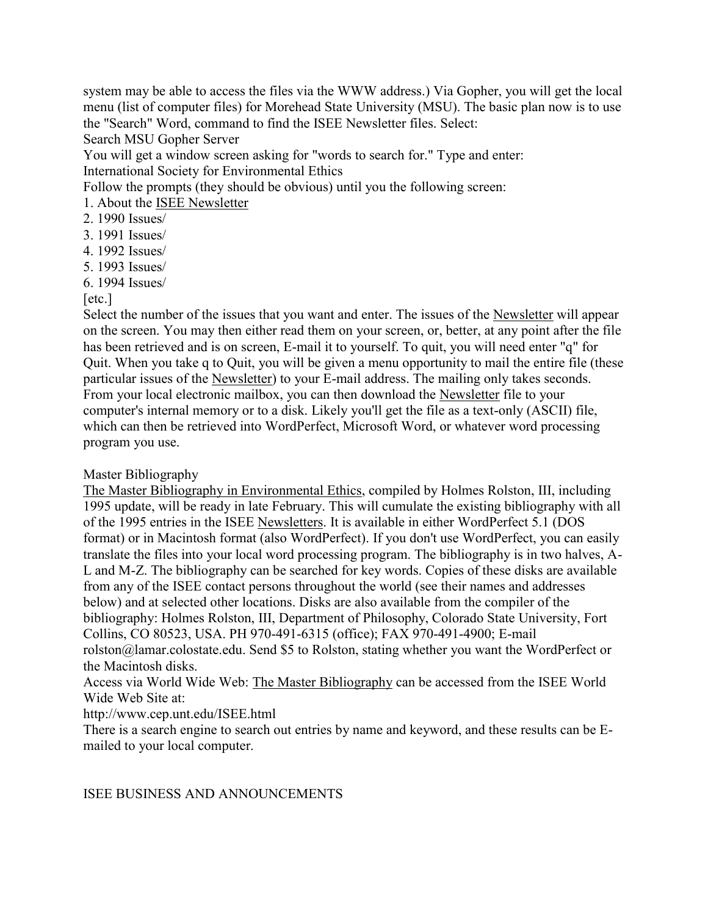system may be able to access the files via the WWW address.) Via Gopher, you will get the local menu (list of computer files) for Morehead State University (MSU). The basic plan now is to use the "Search" Word, command to find the ISEE Newsletter files. Select:

Search MSU Gopher Server

You will get a window screen asking for "words to search for." Type and enter: International Society for Environmental Ethics

Follow the prompts (they should be obvious) until you the following screen:

- 1. About the ISEE Newsletter
- 2. 1990 Issues/
- 3. 1991 Issues/
- 4. 1992 Issues/
- 5. 1993 Issues/
- 6. 1994 Issues/

### [etc.]

Select the number of the issues that you want and enter. The issues of the Newsletter will appear on the screen. You may then either read them on your screen, or, better, at any point after the file has been retrieved and is on screen, E-mail it to yourself. To quit, you will need enter "q" for Quit. When you take q to Quit, you will be given a menu opportunity to mail the entire file (these particular issues of the Newsletter) to your E-mail address. The mailing only takes seconds. From your local electronic mailbox, you can then download the Newsletter file to your computer's internal memory or to a disk. Likely you'll get the file as a text-only (ASCII) file, which can then be retrieved into WordPerfect, Microsoft Word, or whatever word processing program you use.

### Master Bibliography

The Master Bibliography in Environmental Ethics, compiled by Holmes Rolston, III, including 1995 update, will be ready in late February. This will cumulate the existing bibliography with all of the 1995 entries in the ISEE Newsletters. It is available in either WordPerfect 5.1 (DOS format) or in Macintosh format (also WordPerfect). If you don't use WordPerfect, you can easily translate the files into your local word processing program. The bibliography is in two halves, A-L and M-Z. The bibliography can be searched for key words. Copies of these disks are available from any of the ISEE contact persons throughout the world (see their names and addresses below) and at selected other locations. Disks are also available from the compiler of the bibliography: Holmes Rolston, III, Department of Philosophy, Colorado State University, Fort Collins, CO 80523, USA. PH 970-491-6315 (office); FAX 970-491-4900; E-mail rolston@lamar.colostate.edu. Send \$5 to Rolston, stating whether you want the WordPerfect or the Macintosh disks.

Access via World Wide Web: The Master Bibliography can be accessed from the ISEE World Wide Web Site at:

### http://www.cep.unt.edu/ISEE.html

There is a search engine to search out entries by name and keyword, and these results can be Emailed to your local computer.

### ISEE BUSINESS AND ANNOUNCEMENTS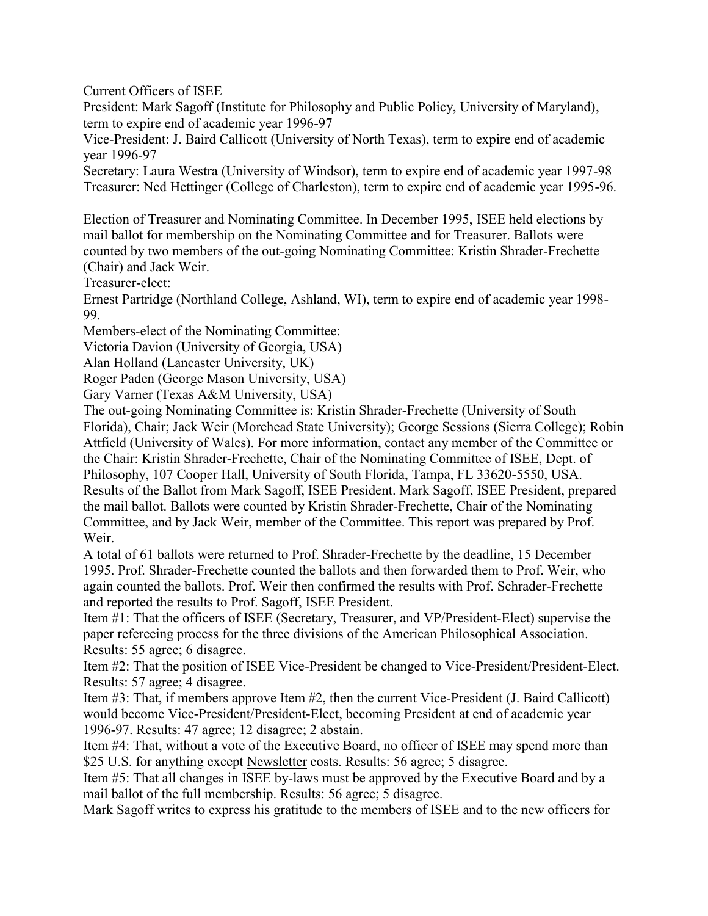Current Officers of ISEE

President: Mark Sagoff (Institute for Philosophy and Public Policy, University of Maryland), term to expire end of academic year 1996-97

Vice-President: J. Baird Callicott (University of North Texas), term to expire end of academic year 1996-97

Secretary: Laura Westra (University of Windsor), term to expire end of academic year 1997-98 Treasurer: Ned Hettinger (College of Charleston), term to expire end of academic year 1995-96.

Election of Treasurer and Nominating Committee. In December 1995, ISEE held elections by mail ballot for membership on the Nominating Committee and for Treasurer. Ballots were counted by two members of the out-going Nominating Committee: Kristin Shrader-Frechette (Chair) and Jack Weir.

Treasurer-elect:

Ernest Partridge (Northland College, Ashland, WI), term to expire end of academic year 1998- 99.

Members-elect of the Nominating Committee:

Victoria Davion (University of Georgia, USA)

Alan Holland (Lancaster University, UK)

Roger Paden (George Mason University, USA)

Gary Varner (Texas A&M University, USA)

The out-going Nominating Committee is: Kristin Shrader-Frechette (University of South Florida), Chair; Jack Weir (Morehead State University); George Sessions (Sierra College); Robin Attfield (University of Wales). For more information, contact any member of the Committee or the Chair: Kristin Shrader-Frechette, Chair of the Nominating Committee of ISEE, Dept. of Philosophy, 107 Cooper Hall, University of South Florida, Tampa, FL 33620-5550, USA. Results of the Ballot from Mark Sagoff, ISEE President. Mark Sagoff, ISEE President, prepared the mail ballot. Ballots were counted by Kristin Shrader-Frechette, Chair of the Nominating Committee, and by Jack Weir, member of the Committee. This report was prepared by Prof. Weir.

A total of 61 ballots were returned to Prof. Shrader-Frechette by the deadline, 15 December 1995. Prof. Shrader-Frechette counted the ballots and then forwarded them to Prof. Weir, who again counted the ballots. Prof. Weir then confirmed the results with Prof. Schrader-Frechette and reported the results to Prof. Sagoff, ISEE President.

Item #1: That the officers of ISEE (Secretary, Treasurer, and VP/President-Elect) supervise the paper refereeing process for the three divisions of the American Philosophical Association. Results: 55 agree; 6 disagree.

Item #2: That the position of ISEE Vice-President be changed to Vice-President/President-Elect. Results: 57 agree; 4 disagree.

Item #3: That, if members approve Item #2, then the current Vice-President (J. Baird Callicott) would become Vice-President/President-Elect, becoming President at end of academic year 1996-97. Results: 47 agree; 12 disagree; 2 abstain.

Item #4: That, without a vote of the Executive Board, no officer of ISEE may spend more than \$25 U.S. for anything except Newsletter costs. Results: 56 agree; 5 disagree.

Item #5: That all changes in ISEE by-laws must be approved by the Executive Board and by a mail ballot of the full membership. Results: 56 agree; 5 disagree.

Mark Sagoff writes to express his gratitude to the members of ISEE and to the new officers for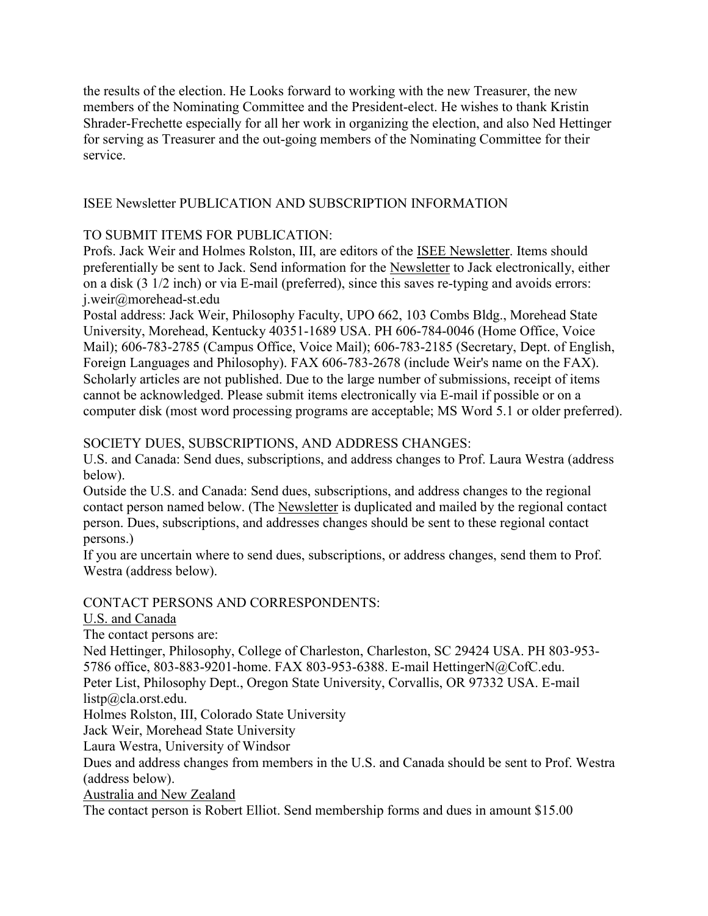the results of the election. He Looks forward to working with the new Treasurer, the new members of the Nominating Committee and the President-elect. He wishes to thank Kristin Shrader-Frechette especially for all her work in organizing the election, and also Ned Hettinger for serving as Treasurer and the out-going members of the Nominating Committee for their service.

### ISEE Newsletter PUBLICATION AND SUBSCRIPTION INFORMATION

### TO SUBMIT ITEMS FOR PUBLICATION:

Profs. Jack Weir and Holmes Rolston, III, are editors of the ISEE Newsletter. Items should preferentially be sent to Jack. Send information for the Newsletter to Jack electronically, either on a disk (3 1/2 inch) or via E-mail (preferred), since this saves re-typing and avoids errors: j.weir@morehead-st.edu

Postal address: Jack Weir, Philosophy Faculty, UPO 662, 103 Combs Bldg., Morehead State University, Morehead, Kentucky 40351-1689 USA. PH 606-784-0046 (Home Office, Voice Mail); 606-783-2785 (Campus Office, Voice Mail); 606-783-2185 (Secretary, Dept. of English, Foreign Languages and Philosophy). FAX 606-783-2678 (include Weir's name on the FAX). Scholarly articles are not published. Due to the large number of submissions, receipt of items cannot be acknowledged. Please submit items electronically via E-mail if possible or on a computer disk (most word processing programs are acceptable; MS Word 5.1 or older preferred).

### SOCIETY DUES, SUBSCRIPTIONS, AND ADDRESS CHANGES:

U.S. and Canada: Send dues, subscriptions, and address changes to Prof. Laura Westra (address below).

Outside the U.S. and Canada: Send dues, subscriptions, and address changes to the regional contact person named below. (The Newsletter is duplicated and mailed by the regional contact person. Dues, subscriptions, and addresses changes should be sent to these regional contact persons.)

If you are uncertain where to send dues, subscriptions, or address changes, send them to Prof. Westra (address below).

### CONTACT PERSONS AND CORRESPONDENTS:

### U.S. and Canada

The contact persons are:

Ned Hettinger, Philosophy, College of Charleston, Charleston, SC 29424 USA. PH 803-953-

5786 office, 803-883-9201-home. FAX 803-953-6388. E-mail HettingerN@CofC.edu.

Peter List, Philosophy Dept., Oregon State University, Corvallis, OR 97332 USA. E-mail listp@cla.orst.edu.

Holmes Rolston, III, Colorado State University

Jack Weir, Morehead State University

Laura Westra, University of Windsor

Dues and address changes from members in the U.S. and Canada should be sent to Prof. Westra (address below).

Australia and New Zealand

The contact person is Robert Elliot. Send membership forms and dues in amount \$15.00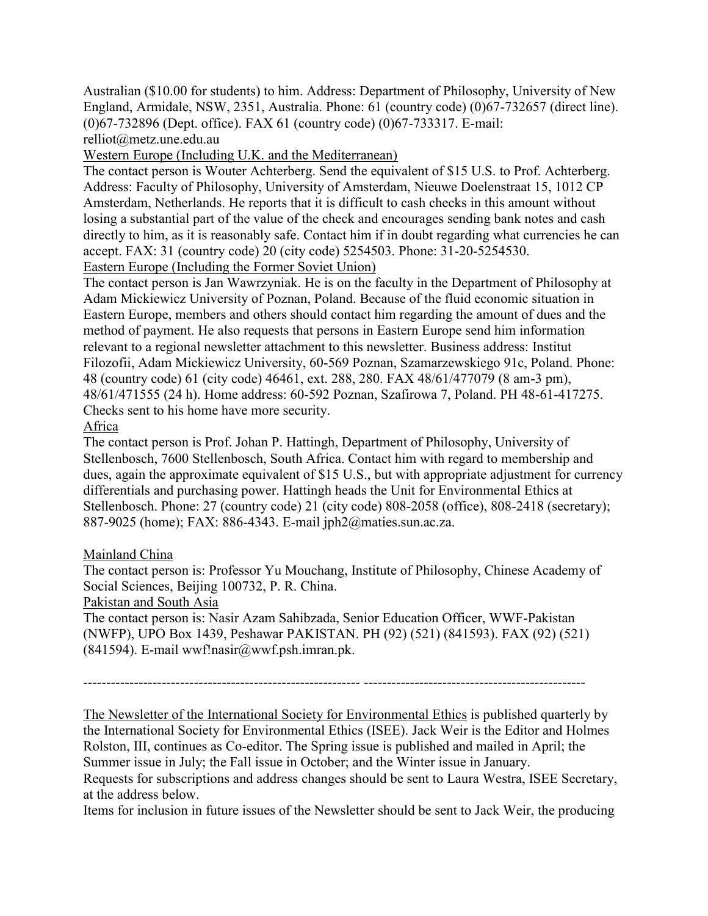Australian (\$10.00 for students) to him. Address: Department of Philosophy, University of New England, Armidale, NSW, 2351, Australia. Phone: 61 (country code) (0)67-732657 (direct line). (0)67-732896 (Dept. office). FAX 61 (country code) (0)67-733317. E-mail:

relliot@metz.une.edu.au

Western Europe (Including U.K. and the Mediterranean)

The contact person is Wouter Achterberg. Send the equivalent of \$15 U.S. to Prof. Achterberg. Address: Faculty of Philosophy, University of Amsterdam, Nieuwe Doelenstraat 15, 1012 CP Amsterdam, Netherlands. He reports that it is difficult to cash checks in this amount without losing a substantial part of the value of the check and encourages sending bank notes and cash directly to him, as it is reasonably safe. Contact him if in doubt regarding what currencies he can accept. FAX: 31 (country code) 20 (city code) 5254503. Phone: 31-20-5254530. Eastern Europe (Including the Former Soviet Union)

The contact person is Jan Wawrzyniak. He is on the faculty in the Department of Philosophy at Adam Mickiewicz University of Poznan, Poland. Because of the fluid economic situation in Eastern Europe, members and others should contact him regarding the amount of dues and the method of payment. He also requests that persons in Eastern Europe send him information relevant to a regional newsletter attachment to this newsletter. Business address: Institut Filozofii, Adam Mickiewicz University, 60-569 Poznan, Szamarzewskiego 91c, Poland. Phone: 48 (country code) 61 (city code) 46461, ext. 288, 280. FAX 48/61/477079 (8 am-3 pm), 48/61/471555 (24 h). Home address: 60-592 Poznan, Szafirowa 7, Poland. PH 48-61-417275. Checks sent to his home have more security.

#### Africa

The contact person is Prof. Johan P. Hattingh, Department of Philosophy, University of Stellenbosch, 7600 Stellenbosch, South Africa. Contact him with regard to membership and dues, again the approximate equivalent of \$15 U.S., but with appropriate adjustment for currency differentials and purchasing power. Hattingh heads the Unit for Environmental Ethics at Stellenbosch. Phone: 27 (country code) 21 (city code) 808-2058 (office), 808-2418 (secretary); 887-9025 (home); FAX: 886-4343. E-mail jph2@maties.sun.ac.za.

#### Mainland China

The contact person is: Professor Yu Mouchang, Institute of Philosophy, Chinese Academy of Social Sciences, Beijing 100732, P. R. China.

#### Pakistan and South Asia

The contact person is: Nasir Azam Sahibzada, Senior Education Officer, WWF-Pakistan (NWFP), UPO Box 1439, Peshawar PAKISTAN. PH (92) (521) (841593). FAX (92) (521) (841594). E-mail wwf!nasir@wwf.psh.imran.pk.

------------------------------------------------------------ ------------------------------------------------

The Newsletter of the International Society for Environmental Ethics is published quarterly by the International Society for Environmental Ethics (ISEE). Jack Weir is the Editor and Holmes Rolston, III, continues as Co-editor. The Spring issue is published and mailed in April; the Summer issue in July; the Fall issue in October; and the Winter issue in January.

Requests for subscriptions and address changes should be sent to Laura Westra, ISEE Secretary, at the address below.

Items for inclusion in future issues of the Newsletter should be sent to Jack Weir, the producing